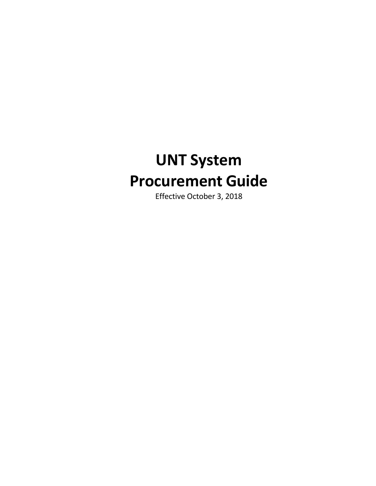# **UNT System Procurement Guide**

Effective October 3, 2018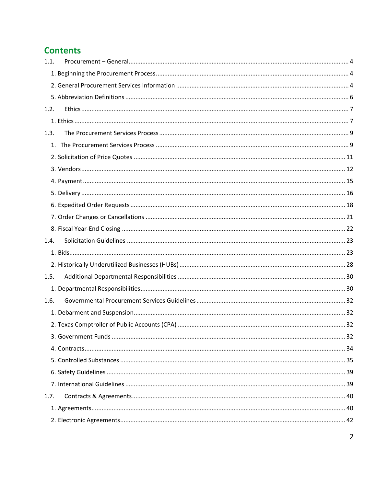# **Contents**

| 1.1. |  |
|------|--|
|      |  |
|      |  |
|      |  |
| 1.2. |  |
|      |  |
| 1.3. |  |
|      |  |
|      |  |
|      |  |
|      |  |
|      |  |
|      |  |
|      |  |
|      |  |
| 1.4. |  |
|      |  |
|      |  |
| 1.5. |  |
|      |  |
| 1.6. |  |
|      |  |
|      |  |
|      |  |
|      |  |
|      |  |
|      |  |
|      |  |
| 1.7. |  |
|      |  |
|      |  |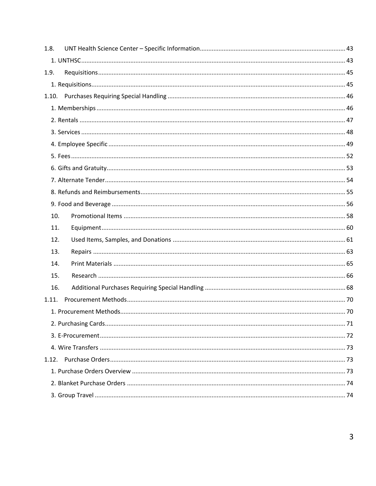| 1.8.  |  |
|-------|--|
|       |  |
| 1.9.  |  |
|       |  |
|       |  |
|       |  |
|       |  |
|       |  |
|       |  |
|       |  |
|       |  |
|       |  |
|       |  |
|       |  |
| 10.   |  |
| 11.   |  |
| 12.   |  |
| 13.   |  |
| 14.   |  |
| 15.   |  |
| 16.   |  |
| 1.11. |  |
|       |  |
|       |  |
|       |  |
|       |  |
| 1.12. |  |
|       |  |
|       |  |
|       |  |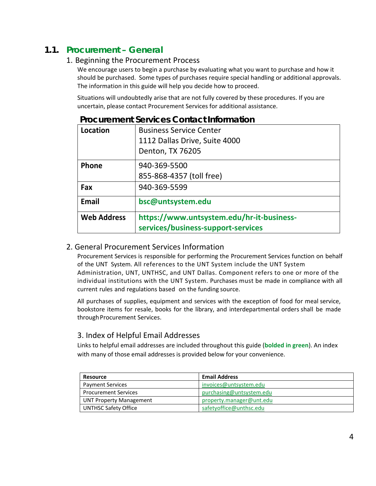# <span id="page-3-1"></span><span id="page-3-0"></span>**1.1. Procurement – General**

## 1. Beginning the Procurement Process

We encourage users to begin a purchase by evaluating what you want to purchase and how it should be purchased. Some types of purchases require special handling or additional approvals. The information in this guide will help you decide how to proceed.

Situations will undoubtedly arise that are not fully covered by these procedures. If you are uncertain, please contact Procurement Services for additional assistance.

| Location           | <b>Business Service Center</b><br>1112 Dallas Drive, Suite 4000<br>Denton, TX 76205 |
|--------------------|-------------------------------------------------------------------------------------|
| Phone              | 940-369-5500<br>855-868-4357 (toll free)                                            |
| Fax                | 940-369-5599                                                                        |
| Email              | bsc@untsystem.edu                                                                   |
| <b>Web Address</b> | https://www.untsystem.edu/hr-it-business-<br>services/business-support-services     |

## **Procurement Services Contact Information**

## <span id="page-3-2"></span>2. General Procurement Services Information

Procurement Services is responsible for performing the Procurement Services function on behalf of the UNT System. All references to the UNT System include the UNT System Administration, UNT, UNTHSC, and UNT Dallas. Component refers to one or more of the individual institutions with the UNT System. Purchases must be made in compliance with all current rules and regulations based on the funding source.

All purchases of supplies, equipment and services with the exception of food for meal service, bookstore items for resale, books for the library, and interdepartmental orders shall be made through Procurement Services.

# 3. Index of Helpful Email Addresses

Links to helpful email addresses are included throughout this guide (**bolded in green**). An index with many of those email addresses is provided below for your convenience.

| Resource                       | <b>Email Address</b>     |
|--------------------------------|--------------------------|
| <b>Payment Services</b>        | invoices@untsystem.edu   |
| <b>Procurement Services</b>    | purchasing@untsystem.edu |
| <b>UNT Property Management</b> | property.manager@unt.edu |
| <b>UNTHSC Safety Office</b>    | safetyoffice@unthsc.edu  |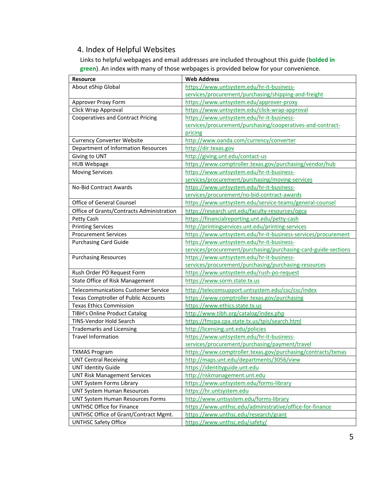# 4. Index of Helpful Websites

Links to helpful webpages and email addresses are included throughout this guide (**bolded in green**). An index with many of those webpages is provided below for your convenience.

| <b>Resource</b>                             | <b>Web Address</b>                                             |  |
|---------------------------------------------|----------------------------------------------------------------|--|
| About eShip Global                          | https://www.untsystem.edu/hr-it-business-                      |  |
|                                             | services/procurement/purchasing/shipping-and-freight           |  |
| Approver Proxy Form                         | https://www.untsystem.edu/approver-proxy                       |  |
| Click Wrap Approval                         | https://www.untsystem.edu/click-wrap-approval                  |  |
| <b>Cooperatives and Contract Pricing</b>    | https://www.untsystem.edu/hr-it-business-                      |  |
|                                             | services/procurement/purchasing/cooperatives-and-contract-     |  |
|                                             | pricing                                                        |  |
| <b>Currency Converter Website</b>           | http://www.oanda.com/currency/converter                        |  |
| <b>Department of Information Resources</b>  | http://dir.texas.gov                                           |  |
| Giving to UNT                               | http://giving.unt.edu/contact-us                               |  |
| <b>HUB Webpage</b>                          | https://www.comptroller.texas.gov/purchasing/vendor/hub        |  |
| <b>Moving Services</b>                      | https://www.untsystem.edu/hr-it-business-                      |  |
|                                             | services/procurement/purchasing/moving-services                |  |
| <b>No-Bid Contract Awards</b>               | https://www.untsystem.edu/hr-it-business-                      |  |
|                                             | services/procurement/no-bid-contract-awards                    |  |
| <b>Office of General Counsel</b>            | https://www.untsystem.edu/service-teams/general-counsel        |  |
| Office of Grants/Contracts Administration   | https://research.unt.edu/faculty-resources/ogca                |  |
| Petty Cash                                  | https://financialreporting.unt.edu/petty-cash                  |  |
| <b>Printing Services</b>                    | http://printingservices.unt.edu/printing-services              |  |
| <b>Procurement Services</b>                 | https://www.untsystem.edu/hr-it-business-services/procurement  |  |
| <b>Purchasing Card Guide</b>                | https://www.untsystem.edu/hr-it-business-                      |  |
|                                             | services/procurement/purchasing/purchasing-card-guide-sections |  |
| <b>Purchasing Resources</b>                 | https://www.untsystem.edu/hr-it-business-                      |  |
|                                             | services/procurement/purchasing/purchasing-resources           |  |
| Rush Order PO Request Form                  | https://www.untsystem.edu/rush-po-request                      |  |
| State Office of Risk Management             | https://www.sorm.state.tx.us                                   |  |
| <b>Telecommunications Customer Service</b>  | http://telecomsupport.untsystem.edu/csc/csc/index              |  |
| <b>Texas Comptroller of Public Accounts</b> | https://www.comptroller.texas.gov/purchasing                   |  |
| <b>Texas Ethics Commission</b>              | https://www.ethics.state.tx.us                                 |  |
| TIBH's Online Product Catalog               | http://www.tibh.org/catalog/index.php                          |  |
| TINS-Vendor Hold Search                     | https://fmcpa.cpa.state.tx.us/tpis/search.html                 |  |
| <b>Trademarks and Licensing</b>             | http://licensing.unt.edu/policies                              |  |
| <b>Travel Information</b>                   | https://www.untsystem.edu/hr-it-business-                      |  |
|                                             | services/procurement/purchasing/payment/travel                 |  |
| <b>TXMAS Program</b>                        | https://www.comptroller.texas.gov/purchasing/contracts/txmas   |  |
| <b>UNT Central Receiving</b>                | http://maps.unt.edu/departments/3056/view                      |  |
| <b>UNT Identity Guide</b>                   | https://identityguide.unt.edu                                  |  |
| <b>UNT Risk Management Services</b>         | http://riskmanagement.unt.edu                                  |  |
| <b>UNT System Forms Library</b>             | https://www.untsystem.edu/forms-library                        |  |
| <b>UNT System Human Resources</b>           | https://hr.untsystem.edu                                       |  |
| <b>UNT System Human Resources Forms</b>     | http://www.untsystem.edu/forms-library                         |  |
| <b>UNTHSC Office for Finance</b>            | https://www.unthsc.edu/administrative/office-for-finance       |  |
| UNTHSC Office of Grant/Contract Mgmt.       | https://www.unthsc.edu/research/grant                          |  |
| <b>UNTHSC Safety Office</b>                 | https://www.unthsc.edu/safety/                                 |  |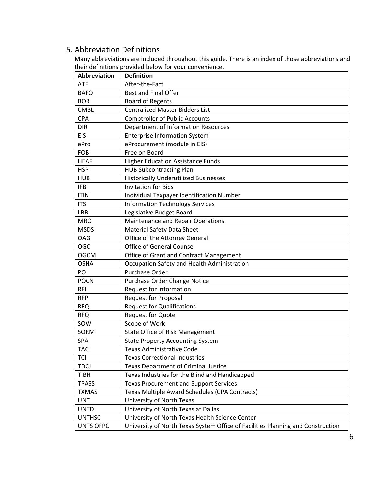# <span id="page-5-0"></span>5. Abbreviation Definitions

Many abbreviations are included throughout this guide. There is an index of those abbreviations and their definitions provided below for your convenience.

| Abbreviation     | <b>Definition</b>                                                               |
|------------------|---------------------------------------------------------------------------------|
| <b>ATF</b>       | After-the-Fact                                                                  |
| <b>BAFO</b>      | <b>Best and Final Offer</b>                                                     |
| <b>BOR</b>       | <b>Board of Regents</b>                                                         |
| <b>CMBL</b>      | <b>Centralized Master Bidders List</b>                                          |
| <b>CPA</b>       | <b>Comptroller of Public Accounts</b>                                           |
| <b>DIR</b>       | Department of Information Resources                                             |
| <b>EIS</b>       | <b>Enterprise Information System</b>                                            |
| ePro             | eProcurement (module in EIS)                                                    |
| FOB              | Free on Board                                                                   |
| <b>HEAF</b>      | <b>Higher Education Assistance Funds</b>                                        |
| <b>HSP</b>       | <b>HUB Subcontracting Plan</b>                                                  |
| <b>HUB</b>       | <b>Historically Underutilized Businesses</b>                                    |
| <b>IFB</b>       | <b>Invitation for Bids</b>                                                      |
| <b>ITIN</b>      | Individual Taxpayer Identification Number                                       |
| <b>ITS</b>       | <b>Information Technology Services</b>                                          |
| LBB              | Legislative Budget Board                                                        |
| <b>MRO</b>       | Maintenance and Repair Operations                                               |
| <b>MSDS</b>      | <b>Material Safety Data Sheet</b>                                               |
| OAG              | Office of the Attorney General                                                  |
| OGC              | <b>Office of General Counsel</b>                                                |
| <b>OGCM</b>      | Office of Grant and Contract Management                                         |
| <b>OSHA</b>      | Occupation Safety and Health Administration                                     |
| PO               | Purchase Order                                                                  |
| <b>POCN</b>      | Purchase Order Change Notice                                                    |
| <b>RFI</b>       | Request for Information                                                         |
| <b>RFP</b>       | <b>Request for Proposal</b>                                                     |
| <b>RFQ</b>       | <b>Request for Qualifications</b>                                               |
| <b>RFQ</b>       | <b>Request for Quote</b>                                                        |
| SOW              | Scope of Work                                                                   |
| SORM             | State Office of Risk Management                                                 |
| <b>SPA</b>       | <b>State Property Accounting System</b>                                         |
| <b>TAC</b>       | <b>Texas Administrative Code</b>                                                |
| <b>TCI</b>       | <b>Texas Correctional Industries</b>                                            |
| <b>TDCJ</b>      | <b>Texas Department of Criminal Justice</b>                                     |
| <b>TIBH</b>      | Texas Industries for the Blind and Handicapped                                  |
| <b>TPASS</b>     | <b>Texas Procurement and Support Services</b>                                   |
| <b>TXMAS</b>     | Texas Multiple Award Schedules (CPA Contracts)                                  |
| <b>UNT</b>       | University of North Texas                                                       |
| <b>UNTD</b>      | University of North Texas at Dallas                                             |
| <b>UNTHSC</b>    | University of North Texas Health Science Center                                 |
| <b>UNTS OFPC</b> | University of North Texas System Office of Facilities Planning and Construction |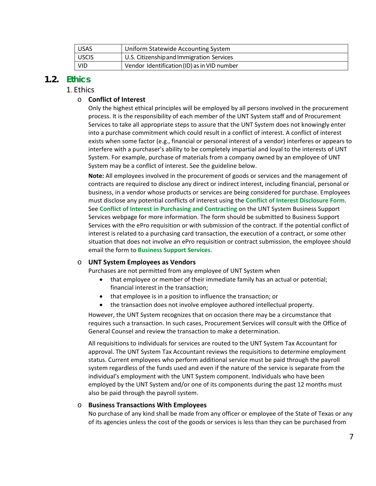| <b>USAS</b>  | Uniform Statewide Accounting System         |
|--------------|---------------------------------------------|
| <b>USCIS</b> | U.S. Citizenship and Immigration Services   |
| <b>VID</b>   | Vendor Identification (ID) as in VID number |

## <span id="page-6-1"></span><span id="page-6-0"></span>**1.2. Ethics**

## 1. Ethics

## o **Conflict of Interest**

Only the highest ethical principles will be employed by all persons involved in the procurement process. It is the responsibility of each member of the UNT System staff and of [Procurement](https://bsc.untsystem.edu/purchasing-home)  [Services](https://bsc.untsystem.edu/purchasing-home) to take all appropriate steps to assure that the UNT System does not knowingly enter into a purchase commitment which could result in a conflict of interest. A conflict of interest exists when some factor (e.g., financial or personal interest of a vendor) interferes or appears to interfere with a purchaser's ability to be completely impartial and loyal to the interests of UNT System. For example, purchase of materials from a company owned by an employee of UNT System may be a conflict of interest. See the guideline below.

**Note:** All employees involved in the procurement of goods or services and the management of contracts are required to disclose any direct or indirect interest, including financial, personal or business, in a vendor whose products or services are being considered for purchase. Employees must disclose any potential conflicts of interest using the **[Conflict of Interest Disclosure Form](https://www.untsystem.edu/sites/default/files/purchasing-contracting_conflict_of_interest_disclosure_form_-_final_002.pdf)**. See **[Conflict of Interest in Purchasing and Contracting](https://www.untsystem.edu/hr-it-business-services/business-support-services/conflict-interest-purchasing-and-contracting)** on the UNT System Business Support Services webpage for more information. The form should be submitted to Business Support Services with the ePro requisition or with submission of the contract. If the potential conflict of interest is related to a purchasing card transaction, the execution of a contract, or some other situation that does not involve an ePro requisition or contract submission, the employee should email the form to **[Business Support Services](mailto:conflictdisclosures@untsystem.edu)**.

#### o **UNT System Employees as Vendors**

Purchases are not permitted from any employee of UNT System when

- that employee or member of their immediate family has an actual or potential; financial interest in the transaction;
- that employee is in a position to influence the transaction; or
- the transaction does not involve employee authored intellectual property.

However, the UNT System recognizes that on occasion there may be a circumstance that requires such a transaction. In such cases, [Procurement Services](https://bsc.untsystem.edu/purchasing-home) will consult with the Office of General Counsel and review the transaction to make a determination.

All requisitions to individuals for services are routed to the UNT System Tax Accountant for approval. The UNT System Tax Accountant reviews the requisitions to determine employment status. Current employees who perform additional service must be paid through the payroll system regardless of the funds used and even if the nature of the service is separate from the individual's employment with the UNT System component. Individuals who have been employed by the UNT System and/or one of its components during the past 12 months must also be paid through the payroll system.

#### o **Business Transactions With Employees**

No purchase of any kind shall be made from any officer or employee of the State of Texas or any of its agencies unless the cost of the goods or services is less than they can be purchased from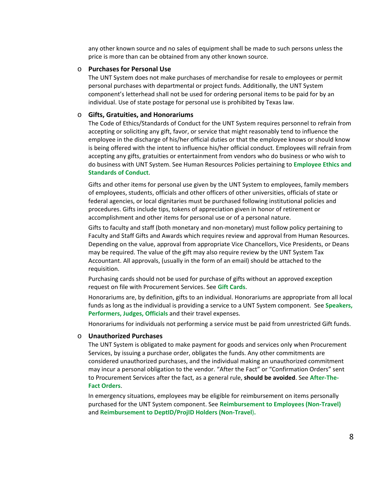any other known source and no sales of equipment shall be made to such persons unless the price is more than can be obtained from any other known source.

#### o **Purchases for Personal Use**

The UNT System does not make purchases of merchandise for resale to employees or permit personal purchases with departmental or project funds. Additionally, the UNT System component's letterhead shall not be used for ordering personal items to be paid for by an individual. Use of state postage for personal use is prohibited by Texas law.

#### o **Gifts, Gratuities, and Honorariums**

The Code of Ethics/Standards of Conduct for the UNT System requires personnel to refrain from accepting or soliciting any gift, favor, or service that might reasonably tend to influence the employee in the discharge of his/her official duties or that the employee knows or should know is being offered with the intent to influence his/her official conduct. Employees will refrain from accepting any gifts, gratuities or entertainment from vendors who do business or who wish to do business with UNT System. See Human Resources Policies pertaining to **[Employee Ethics and](https://www.untsystem.edu/sites/default/files/03.701_-_ethics_policy.pdf)  [Standards of Conduct](https://www.untsystem.edu/sites/default/files/03.701_-_ethics_policy.pdf)**.

Gifts and other items for personal use given by the UNT System to employees, family members of employees, students, officials and other officers of other universities, officials of state or federal agencies, or local dignitaries must be purchased following institutional policies and procedures. Gifts include tips, tokens of appreciation given in honor of retirement or accomplishment and other items for personal use or of a personal nature.

Gifts to faculty and staff (both monetary and non-monetary) must follow policy pertaining to Faculty and Staff Gifts and Awards which requires review and approval from Human Resources. Depending on the value, approval from appropriate Vice Chancellors, Vice Presidents, or Deans may be required. The value of the gift may also require review by the UNT System Tax Accountant. All approvals, (usually in the form of an email) should be attached to the requisition.

Purchasing cards should not be used for purchase of gifts without an approved exception request on file wit[h Procurement Services.](https://bsc.untsystem.edu/purchasing-home) See **[Gift Cards](#page-53-1)**.

Honorariums are, by definition, gifts to an individual. Honorariums are appropriate from all local funds as long as the individual is providing a service to a UNT System component. See **[Speakers,](#page-47-1)  [Performers, Judges, Officials](#page-47-1)** and their travel expenses.

Honorariums for individuals not performing a service must be paid from unrestricted Gift funds.

#### o **Unauthorized Purchases**

The UNT System is obligated to make payment for goods and services only when [Procurement](https://bsc.untsystem.edu/purchasing-home)  [Services,](https://bsc.untsystem.edu/purchasing-home) by issuing a purchase order, obligates the funds. Any other commitments are considered unauthorized purchases, and the individual making an unauthorized commitment may incur a personal obligation to the vendor. "After the Fact" or "Confirmation Orders" sent to Procurement Services after the fact, as a general rule, **should be avoided**. See **[After-The-](#page-19-0)[Fact Orders](#page-19-0)**.

In emergency situations, employees may be eligible for reimbursement on items personally purchased for the UNT System component. See **Reimbursement to [Employees \(Non-Travel\)](#page-54-1)** and **[Reimbursement to DeptID/ProjID](#page-54-2) Holders (Non-Travel**)**.**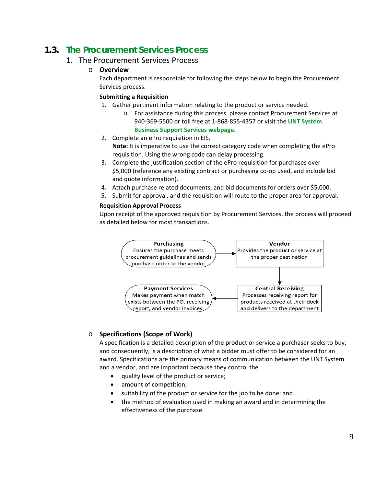# <span id="page-8-1"></span><span id="page-8-0"></span>**1.3. The Procurement Services Process**

## 1. The Procurement Services Process

## o **Overview**

Each department is responsible for following the steps below to begin the Procurement Services process.

## **Submitting a Requisition**

- 1. Gather pertinent information relating to the product or service needed.
	- o For assistance during this process, please contact Procurement Services at 940-369-5500 or toll free at 1-868-855-4357 or visit the **[UNT System](https://www.untsystem.edu/hr-it-business-services/business-support-services/about-business-suport-services)  [Business Support Services webpage](https://www.untsystem.edu/hr-it-business-services/business-support-services/about-business-suport-services)**.
- 2. Complete an ePro requisition in EIS. **Note:** It is imperative to use the correct category code when completing the ePro requisition. Using the wrong code can delay processing.
- 3. Complete the justification section of the ePro requisition for purchases over \$5,000 (reference any existing contract or purchasing co-op used, and include bid and quote information).
- 4. Attach purchase related documents, and bid documents for orders over \$5,000.
- 5. Submit for approval, and the requisition will route to the proper area for approval.

## **Requisition Approval Process**

Upon receipt of the approved requisition by Procurement Services, the process will proceed as detailed below for most transactions.



## o **Specifications (Scope of Work)**

A specification is a detailed description of the product or service a purchaser seeks to buy, and consequently, is a description of what a bidder must offer to be considered for an award. Specifications are the primary means of communication between the UNT System and a vendor, and are important because they control the

- quality level of the product or service;
- amount of competition;
- suitability of the product or service for the job to be done; and
- the method of evaluation used in making an award and in determining the effectiveness of the purchase.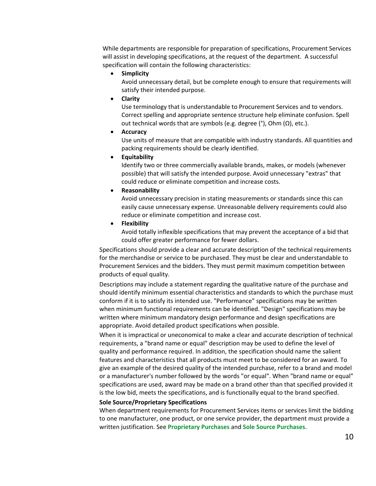While departments are responsible for preparation of specifications, Procurement Services will assist in developing specifications, at the request of the department. A successful specification will contain the following characteristics:

• **Simplicity** 

Avoid unnecessary detail, but be complete enough to ensure that requirements will satisfy their intended purpose.

• **Clarity**

Use terminology that is understandable to Procurement Services and to vendors. Correct spelling and appropriate sentence structure help eliminate confusion. Spell out technical words that are symbols (e.g. degree (°), Ohm (Ω), etc.).

• **Accuracy** 

Use units of measure that are compatible with industry standards. All quantities and packing requirements should be clearly identified.

• **Equitability** 

Identify two or three commercially available brands, makes, or models (whenever possible) that will satisfy the intended purpose. Avoid unnecessary "extras" that could reduce or eliminate competition and increase costs.

• **Reasonability**

Avoid unnecessary precision in stating measurements or standards since this can easily cause unnecessary expense. Unreasonable delivery requirements could also reduce or eliminate competition and increase cost.

• **Flexibility** 

Avoid totally inflexible specifications that may prevent the acceptance of a bid that could offer greater performance for fewer dollars.

Specifications should provide a clear and accurate description of the technical requirements for the merchandise or service to be purchased. They must be clear and understandable to Procurement Services and the bidders. They must permit maximum competition between products of equal quality.

Descriptions may include a statement regarding the qualitative nature of the purchase and should identify minimum essential characteristics and standards to which the purchase must conform if it is to satisfy its intended use. "Performance" specifications may be written when minimum functional requirements can be identified. "Design" specifications may be written where minimum mandatory design performance and design specifications are appropriate. Avoid detailed product specifications when possible.

When it is impractical or uneconomical to make a clear and accurate description of technical requirements, a "brand name or equal" description may be used to define the level of quality and performance required. In addition, the specification should name the salient features and characteristics that all products must meet to be considered for an award. To give an example of the desired quality of the intended purchase, refer to a brand and model or a manufacturer's number followed by the words "or equal". When "brand name or equal" specifications are used, award may be made on a brand other than that specified provided it is the low bid, meets the specifications, and is functionally equal to the brand specified.

#### **Sole Source/Proprietary Specifications**

When department requirements for Procurement Services items or services limit the bidding to one manufacturer, one product, or one service provider, the department must provide a written justification. See **[Proprietary Purchases](#page-24-0)** and **[Sole Source Purchases](#page-25-0)**.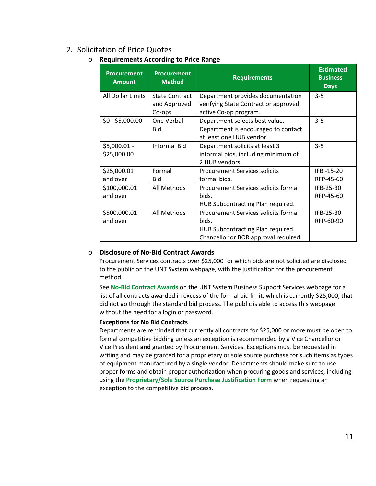# <span id="page-10-0"></span>2. Solicitation of Price Quotes

## o **Requirements According to Price Range**

| <b>Procurement</b><br><b>Amount</b> | <b>Procurement</b><br><b>Method</b> | <b>Requirements</b>                   | <b>Estimated</b><br><b>Business</b><br><b>Days</b> |
|-------------------------------------|-------------------------------------|---------------------------------------|----------------------------------------------------|
| All Dollar Limits                   | <b>State Contract</b>               | Department provides documentation     | $3 - 5$                                            |
|                                     | and Approved                        | verifying State Contract or approved, |                                                    |
|                                     | Co-ops                              | active Co-op program.                 |                                                    |
| $$0 - $5,000.00$                    | One Verbal                          | Department selects best value.        | $3 - 5$                                            |
|                                     | Bid                                 | Department is encouraged to contact   |                                                    |
|                                     |                                     | at least one HUB vendor.              |                                                    |
| \$5,000.01 -                        | <b>Informal Bid</b>                 | Department solicits at least 3        | $3 - 5$                                            |
| \$25,000.00                         |                                     | informal bids, including minimum of   |                                                    |
|                                     |                                     | 2 HUB vendors.                        |                                                    |
| \$25,000.01                         | Formal                              | <b>Procurement Services solicits</b>  | IFB-15-20                                          |
| and over                            | Bid                                 | formal bids.                          | RFP-45-60                                          |
| \$100,000.01                        | All Methods                         | Procurement Services solicits formal  | IFB-25-30                                          |
| and over                            |                                     | bids.                                 | RFP-45-60                                          |
|                                     |                                     | HUB Subcontracting Plan required.     |                                                    |
| \$500,000.01                        | All Methods                         | Procurement Services solicits formal  | IFB-25-30                                          |
| and over                            |                                     | bids.                                 | RFP-60-90                                          |
|                                     |                                     | HUB Subcontracting Plan required.     |                                                    |
|                                     |                                     | Chancellor or BOR approval required.  |                                                    |

## o **Disclosure of No-Bid Contract Awards**

Procurement Services contracts over \$25,000 for which bids are not solicited are disclosed to the public on the UNT System webpage, with the justification for the procurement method.

See **[No-Bid Contract Awards](https://www.untsystem.edu/hr-it-business-services/procurement/no-bid-contract-awards)** on the UNT System Business Support Services webpage for a list of all contracts awarded in excess of the formal bid limit, which is currently \$25,000, that did not go through the standard bid process. The public is able to access this webpage without the need for a login or password.

## **Exceptions for No Bid Contracts**

Departments are reminded that currently all contracts for \$25,000 or more must be open to formal competitive bidding unless an exception is recommended by a Vice Chancellor or Vice President **and** granted by Procurement Services. Exceptions must be requested in writing and may be granted for a proprietary or sole source purchase for such items as types of equipment manufactured by a single vendor. Departments should make sure to use proper forms and obtain proper authorization when procuring goods and services, including using the **[Proprietary/Sole Source Purchase Justification Form](http://www.untsystem.edu/sites/default/files/forms/procurement/proprietary_sole_source_purchase_justification.pdf)** when requesting an exception to the competitive bid process.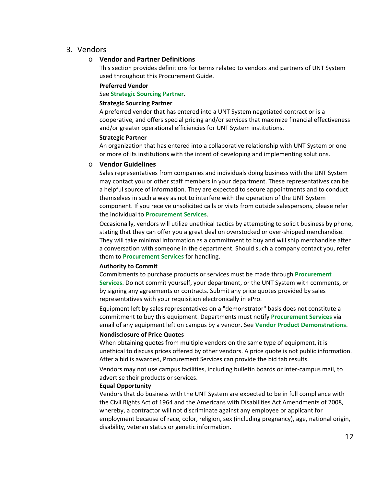## <span id="page-11-0"></span>3. Vendors

## o **Vendor and Partner Definitions**

This section provides definitions for terms related to vendors and partners of UNT System used throughout this Procurement Guide.

#### **Preferred Vendor**

See **[Strategic Sourcing Partner](#page-11-1)**.

#### <span id="page-11-1"></span>**Strategic Sourcing Partner**

A preferred vendor that has entered into a UNT System negotiated contract or is a cooperative, and offers special pricing and/or services that maximize financial effectiveness and/or greater operational efficiencies for UNT System institutions.

#### **Strategic Partner**

An organization that has entered into a collaborative relationship with UNT System or one or more of its institutions with the intent of developing and implementing solutions.

#### o **Vendor Guidelines**

Sales representatives from companies and individuals doing business with the UNT System may contact you or other staff members in your department. These representatives can be a helpful source of information. They are expected to secure appointments and to conduct themselves in such a way as not to interfere with the operation of the UNT System component. If you receive unsolicited calls or visits from outside salespersons, please refer the individual to **[Procurement Services](mailto:purchasing@untsystem.edu)**.

Occasionally, vendors will utilize unethical tactics by attempting to solicit business by phone, stating that they can offer you a great deal on overstocked or over-shipped merchandise. They will take minimal information as a commitment to buy and will ship merchandise after a conversation with someone in the department. Should such a company contact you, refer them to **[Procurement Services](https://www.untsystem.edu/hr-it-business-services/procurement)** for handling.

#### **Authority to Commit**

Commitments to purchase products or services must be made through **[Procurement](https://bsc.untsystem.edu/purchasing-home)  [Services](https://bsc.untsystem.edu/purchasing-home)**. Do not commit yourself, your department, or the UNT System with comments, or by signing any agreements or contracts. Submit any price quotes provided by sales representatives with your requisition electronically in ePro.

Equipment left by sales representatives on a "demonstrator" basis does not constitute a commitment to buy this equipment. Departments must notify **[Procurement Services](mailto:purchasing@untsystem.edu)** via email of any equipment left on campus by a vendor. See **[Vendor Product Demonstrations](#page-12-0)**.

#### **Nondisclosure of Price Quotes**

When obtaining quotes from multiple vendors on the same type of equipment, it is unethical to discuss prices offered by other vendors. A price quote is not public information. After a bid is awarded, Procurement Services can provide the bid tab results.

Vendors may not use campus facilities, including bulletin boards or inter-campus mail, to advertise their products or services.

#### **Equal Opportunity**

Vendors that do business with the UNT System are expected to be in full compliance with the Civil Rights Act of 1964 and the Americans with Disabilities Act Amendments of 2008, whereby, a contractor will not discriminate against any employee or applicant for employment because of race, color, religion, sex (including pregnancy), age, national origin, disability, veteran status or genetic information.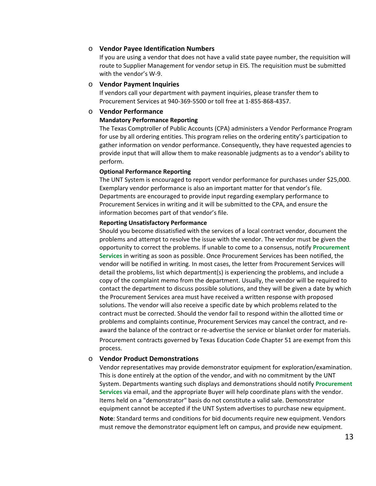#### o **Vendor Payee Identification Numbers**

If you are using a vendor that does not have a valid state payee number, the requisition will route to Supplier Management for vendor setup in EIS. The requisition must be submitted with the vendor's W-9.

#### o **Vendor Payment Inquiries**

If vendors call your department with payment inquiries, please transfer them to [Procurement Services](https://bsc.untsystem.edu/purchasing-home) at 940-369-5500 or toll free at 1-855-868-4357.

#### o **Vendor Performance**

#### **Mandatory Performance Reporting**

The Texas Comptroller of Public Accounts (CPA) administers a Vendor Performance Program for use by all ordering entities. This program relies on the ordering entity's participation to gather information on vendor performance. Consequently, they have requested agencies to provide input that will allow them to make reasonable judgments as to a vendor's ability to perform.

#### **Optional Performance Reporting**

The UNT System is encouraged to report vendor performance for purchases under \$25,000. Exemplary vendor performance is also an important matter for that vendor's file. Departments are encouraged to provide input regarding exemplary performance to Procurement Services in writing and it will be submitted to the CPA, and ensure the information becomes part of that vendor's file.

#### **Reporting Unsatisfactory Performance**

Should you become dissatisfied with the services of a local contract vendor, document the problems and attempt to resolve the issue with the vendor. The vendor must be given the opportunity to correct the problems. If unable to come to a consensus, notify **[Procurement](mailto:purchasing@untsystem.edu)  [Services](mailto:purchasing@untsystem.edu)** in writing as soon as possible. Once [Procurement Services](https://bsc.untsystem.edu/purchasing-home) has been notified, the vendor will be notified in writing. In most cases, the letter from Procurement Services will detail the problems, list which department(s) is experiencing the problems, and include a copy of the complaint memo from the department. Usually, the vendor will be required to contact the department to discuss possible solutions, and they will be given a date by which the [Procurement Services](https://bsc.untsystem.edu/purchasing-home) area must have received a written response with proposed solutions. The vendor will also receive a specific date by which problems related to the contract must be corrected. Should the vendor fail to respond within the allotted time or problems and complaints continue, Procurement Services may cancel the contract, and reaward the balance of the contract or re-advertise the service or blanket order for materials.

Procurement contracts governed by Texas Education Code Chapter 51 are exempt from this process.

#### <span id="page-12-0"></span>o **Vendor Product Demonstrations**

Vendor representatives may provide demonstrator equipment for exploration/examination. This is done entirely at the option of the vendor, and with no commitment by the UNT System. Departments wanting such displays and demonstrations should notify **[Procurement](mailto:purchasing@untsystem.edu)  [Services](mailto:purchasing@untsystem.edu)** via email, and the appropriate Buyer will help coordinate plans with the vendor. Items held on a "demonstrator" basis do not constitute a valid sale. Demonstrator equipment cannot be accepted if the UNT System advertises to purchase new equipment.

**Note**: Standard terms and conditions for bid documents require new equipment. Vendors must remove the demonstrator equipment left on campus, and provide new equipment.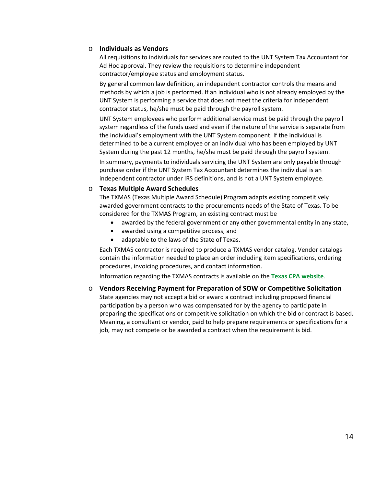## o **Individuals as Vendors**

All requisitions to individuals for services are routed to the UNT System Tax Accountant for Ad Hoc approval. They review the requisitions to determine independent contractor/employee status and employment status.

By general common law definition, an independent contractor controls the means and methods by which a job is performed. If an individual who is not already employed by the UNT System is performing a service that does not meet the criteria for independent contractor status, he/she must be paid through the payroll system.

UNT System employees who perform additional service must be paid through the payroll system regardless of the funds used and even if the nature of the service is separate from the individual's employment with the UNT System component. If the individual is determined to be a current employee or an individual who has been employed by UNT System during the past 12 months, he/she must be paid through the payroll system.

In summary, payments to individuals servicing the UNT System are only payable through purchase order if the UNT System Tax Accountant determines the individual is an independent contractor under IRS definitions, and is not a UNT System employee.

## o **Texas Multiple Award Schedules**

The TXMAS (Texas Multiple Award Schedule) Program adapts existing competitively awarded government contracts to the procurements needs of the State of Texas. To be considered for the TXMAS Program, an existing contract must be

- awarded by the federal government or any other governmental entity in any state,
- awarded using a competitive process, and
- adaptable to the laws of the State of Texas.

Each TXMAS contractor is required to produce a TXMAS vendor catalog. Vendor catalogs contain the information needed to place an order including item specifications, ordering procedures, invoicing procedures, and contact information.

Information regarding the TXMAS contracts is available on the **[Texas CPA website](https://www.comptroller.texas.gov/purchasing/contracts/txmas/contract-documents.php)**.

## o **Vendors Receiving Payment for Preparation of SOW or Competitive Solicitation**

State agencies may not accept a bid or award a contract including proposed financial participation by a person who was compensated for by the agency to participate in preparing the specifications or competitive solicitation on which the bid or contract is based. Meaning, a consultant or vendor, paid to help prepare requirements or specifications for a job, may not compete or be awarded a contract when the requirement is bid.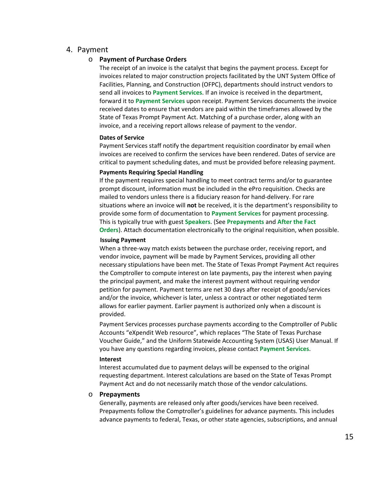## <span id="page-14-2"></span><span id="page-14-0"></span>4. Payment

## o **Payment of Purchase Orders**

The receipt of an invoice is the catalyst that begins the payment process. Except for invoices related to major construction projects facilitated by the UNT System Office of Facilities, Planning, and Construction (OFPC), departments should instruct vendors to send all invoices to **[Payment Services](mailto:invoices@untsystem.edu)**[.](mailto:invoices@untsystem.edu) If an invoice is received in the department, forward it to **[Payment Services](mailto:invoices@untsystem.edu)** upon receipt. [Payment](https://bsc.untsystem.edu/purchasing-home) Services documents the invoice received dates to ensure that vendors are paid within the timeframes allowed by the State of Texas Prompt Payment Act. Matching of a purchase order, along with an invoice, and a receiving report allows release of payment to the vendor.

#### **Dates of Service**

Payment Services staff notify the department requisition coordinator by email when invoices are received to confirm the services have been rendered. Dates of service are critical to payment scheduling dates, and must be provided before releasing payment.

#### **Payments Requiring Special Handling**

If the payment requires special handling to meet contract terms and/or to guarantee prompt discount, information must be included in the ePro requisition. Checks are mailed to vendors unless there is a fiduciary reason for hand-delivery. For rare situations where an invoice will **not** be received, it is the department's responsibility to provide some form of documentation to **[Payment Services](mailto:invoices@untsystem.edu)** for payment processing. This is typically true with guest **[Speakers](#page-47-1)**. (See **[Prepayments](#page-14-1)** and **[After the Fact](#page-19-0)  [Orders](#page-19-0)**). Attach documentation electronically to the original requisition, when possible.

#### **Issuing Payment**

When a three-way match exists between the purchase order, receiving report, and vendor invoice, payment will be made by Payment Services, providing all other necessary stipulations have been met. The State of Texas Prompt Payment Act requires the Comptroller to compute interest on late payments, pay the interest when paying the principal payment, and make the interest payment without requiring vendor petition for payment. Payment terms are net 30 days after receipt of goods/services and/or the invoice, whichever is later, unless a contract or other negotiated term allows for earlier payment. Earlier payment is authorized only when a discount is provided.

Payment Services processes purchase payments according to the Comptroller of Public Accounts "eXpendit Web resource", which replaces "The State of Texas Purchase Voucher Guide," and the Uniform Statewide Accounting System (USAS) User Manual. If you have any questions regarding invoices, please contact **[Payment Services](mailto:invoices@untsystem.edu)**.

#### **Interest**

Interest accumulated due to payment delays will be expensed to the original requesting department. Interest calculations are based on the State of Texas Prompt Payment Act and do not necessarily match those of the vendor calculations.

#### <span id="page-14-1"></span>o **Prepayments**

Generally, payments are released only after goods/services have been received. Prepayments follow the Comptroller's guidelines for advance payments. This includes advance payments to federal, Texas, or other state agencies, subscriptions, and annual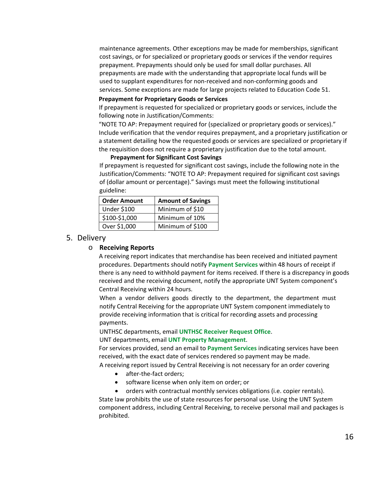maintenance agreements. Other exceptions may be made for memberships, significant cost savings, or for specialized or proprietary goods or services if the vendor requires prepayment. Prepayments should only be used for small dollar purchases. All prepayments are made with the understanding that appropriate local funds will be used to supplant expenditures for non-received and non-conforming goods and services. Some exceptions are made for large projects related to Education Code 51.

#### **Prepayment for Proprietary Goods or Services**

If prepayment is requested for specialized or proprietary goods or services, include the following note in Justification/Comments:

"NOTE TO AP: Prepayment required for (specialized or proprietary goods or services)." Include verification that the vendor requires prepayment, and a proprietary justification or a statement detailing how the requested goods or services are specialized or proprietary if the requisition does not require a proprietary justification due to the total amount.

#### **Prepayment for Significant Cost Savings**

If prepayment is requested for significant cost savings, include the following note in the Justification/Comments: "NOTE TO AP: Prepayment required for significant cost savings of (dollar amount or percentage)." Savings must meet the following institutional guideline:

| <b>Order Amount</b> | <b>Amount of Savings</b> |
|---------------------|--------------------------|
| <b>Under \$100</b>  | Minimum of \$10          |
| \$100-\$1,000       | Minimum of 10%           |
| Over \$1,000        | Minimum of \$100         |

#### <span id="page-15-0"></span>5. Delivery

#### o **Receiving Reports**

A receiving report indicates that merchandise has been received and initiated payment procedures. Departments should notify **[Payment Services](mailto:invoices@untsystem.edu)** within 48 hours of receipt if there is any need to withhold payment for items received. If there is a discrepancy in goods received and the receiving document, notify the appropriate UNT System component's Central Receiving within 24 hours.

When a vendor delivers goods directly to the department, the department must notify Central Receiving for the appropriate UNT System component immediately to provide receiving information that is critical for recording assets and processing payments.

UNTHSC departments, email **[UNTHSC Receiver Request Office](mailto:receiver@unthsc.edu)**.

UNT departments, email **[UNT Property Management](mailto:property.manager@unt.edu)**.

For services provided, send an email to **[Payment Services](mailto:invoices@untsystem.edu)** indicating services have been received, with the exact date of services rendered so payment may be made.

A receiving report issued by Central Receiving is not necessary for an order covering

- after-the-fact orders;
- software license when only item on order; or
- orders with contractual monthly services obligations (i.e. copier rentals).

State law prohibits the use of state resources for personal use. Using the UNT System component address, including Central Receiving, to receive personal mail and packages is prohibited.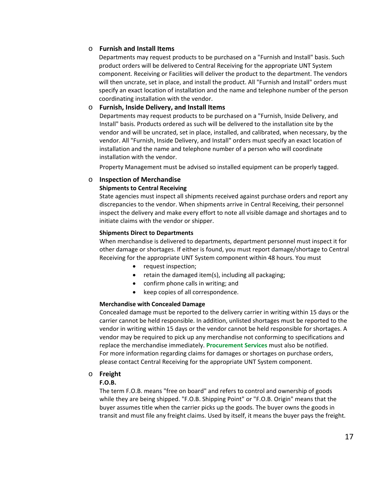## o **Furnish and Install Items**

Departments may request products to be purchased on a "Furnish and Install" basis. Such product orders will be delivered to Central Receiving for the appropriate UNT System component. Receiving or Facilities will deliver the product to the department. The vendors will then uncrate, set in place, and install the product. All "Furnish and Install" orders must specify an exact location of installation and the name and telephone number of the person coordinating installation with the vendor.

## o **Furnish, Inside Delivery, and Install Items**

Departments may request products to be purchased on a "Furnish, Inside Delivery, and Install" basis. Products ordered as such will be delivered to the installation site by the vendor and will be uncrated, set in place, installed, and calibrated, when necessary, by the vendor. All "Furnish, Inside Delivery, and Install" orders must specify an exact location of installation and the name and telephone number of a person who will coordinate installation with the vendor.

Property Management must be advised so installed equipment can be properly tagged.

#### o **Inspection of Merchandise Shipments to Central Receiving**

State agencies must inspect all shipments received against purchase orders and report any discrepancies to the vendor. When shipments arrive in Central Receiving, their personnel inspect the delivery and make every effort to note all visible damage and shortages and to initiate claims with the vendor or shipper.

#### **Shipments Direct to Departments**

When merchandise is delivered to departments, department personnel must inspect it for other damage or shortages. If either is found, you must report damage/shortage to Central Receiving for the appropriate UNT System component within 48 hours. You must

- request inspection;
- retain the damaged item(s), including all packaging;
- confirm phone calls in writing; and
- keep copies of all correspondence.

#### **Merchandise with Concealed Damage**

Concealed damage must be reported to the delivery carrier in writing within 15 days or the carrier cannot be held responsible. In addition, unlisted shortages must be reported to the vendor in writing within 15 days or the vendor cannot be held responsible for shortages. A vendor may be required to pick up any merchandise not conforming to specifications and replace the merchandise immediately. **[Procurement Services](mailto:purchasing@untsystem.edu)** must also be notified. For more information regarding claims for damages or shortages on purchase orders, please contact Central Receiving for the appropriate UNT System component.

#### o **Freight**

#### **F.O.B.**

The term F.O.B. means "free on board" and refers to control and ownership of goods while they are being shipped. "F.O.B. Shipping Point" or "F.O.B. Origin" means that the buyer assumes title when the carrier picks up the goods. The buyer owns the goods in transit and must file any freight claims. Used by itself, it means the buyer pays the freight.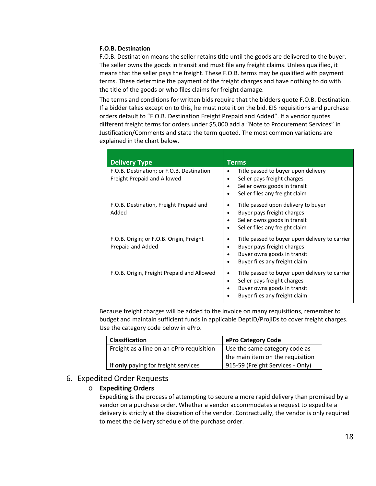#### **F.O.B. Destination**

F.O.B. Destination means the seller retains title until the goods are delivered to the buyer. The seller owns the goods in transit and must file any freight claims. Unless qualified, it means that the seller pays the freight. These F.O.B. terms may be qualified with payment terms. These determine the payment of the freight charges and have nothing to do with the title of the goods or who files claims for freight damage.

The terms and conditions for written bids require that the bidders quote F.O.B. Destination. If a bidder takes exception to this, he must note it on the bid. EIS requisitions and purchase orders default to "F.O.B. Destination Freight Prepaid and Added". If a vendor quotes different freight terms for orders under \$5,000 add a "Note to Procurement Services" in Justification/Comments and state the term quoted. The most common variations are explained in the chart below.

| <b>Delivery Type</b>                                                     | Terms                                                                                                                                                 |
|--------------------------------------------------------------------------|-------------------------------------------------------------------------------------------------------------------------------------------------------|
| F.O.B. Destination; or F.O.B. Destination<br>Freight Prepaid and Allowed | Title passed to buyer upon delivery<br>Seller pays freight charges<br>Seller owns goods in transit<br>Seller files any freight claim                  |
| F.O.B. Destination, Freight Prepaid and<br>Added                         | Title passed upon delivery to buyer<br>٠<br>Buyer pays freight charges<br>Seller owns goods in transit<br>Seller files any freight claim<br>$\bullet$ |
| F.O.B. Origin; or F.O.B. Origin, Freight<br>Prepaid and Added            | Title passed to buyer upon delivery to carrier<br>Buyer pays freight charges<br>Buyer owns goods in transit<br>Buyer files any freight claim          |
| F.O.B. Origin, Freight Prepaid and Allowed                               | Title passed to buyer upon delivery to carrier<br>Seller pays freight charges<br>Buyer owns goods in transit<br>Buyer files any freight claim         |

Because freight charges will be added to the invoice on many requisitions, remember to budget and maintain sufficient funds in applicable DeptID/ProjIDs to cover freight charges. Use the category code below in ePro.

| <b>Classification</b>                    | ePro Category Code               |
|------------------------------------------|----------------------------------|
| Freight as a line on an ePro requisition | Use the same category code as    |
|                                          | the main item on the requisition |
| If only paying for freight services      | 915-59 (Freight Services - Only) |

## <span id="page-17-0"></span>6. Expedited Order Requests

## o **Expediting Orders**

Expediting is the process of attempting to secure a more rapid delivery than promised by a vendor on a purchase order. Whether a vendor accommodates a request to expedite a delivery is strictly at the discretion of the vendor. Contractually, the vendor is only required to meet the delivery schedule of the purchase order.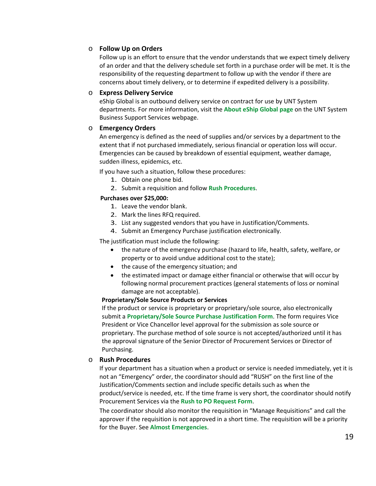## o **Follow Up on Orders**

Follow up is an effort to ensure that the vendor understands that we expect timely delivery of an order and that the delivery schedule set forth in a purchase order will be met. It is the responsibility of the requesting department to follow up with the vendor if there are concerns about timely delivery, or to determine if expedited delivery is a possibility.

## o **Express Delivery Service**

eShip Global is an outbound delivery service on contract for use by UNT System departments. For more information, visit the **[About eShip Global page](https://www.untsystem.edu/hr-it-business-services/procurement/purchasing/shipping-and-freight)** on the UNT System Business Support Services webpage.

## o **Emergency Orders**

An emergency is defined as the need of supplies and/or services by a department to the extent that if not purchased immediately, serious financial or operation loss will occur. Emergencies can be caused by breakdown of essential equipment, weather damage, sudden illness, epidemics, etc.

If you have such a situation, follow these procedures:

- 1. Obtain one phone bid.
- 2. Submit a requisition and follow **[Rush Procedures](#page-18-0)**.

## **Purchases over \$25,000:**

- 1. Leave the vendor blank.
- 2. Mark the lines RFQ required.
- 3. List any suggested vendors that you have in Justification/Comments.
- 4. Submit an Emergency Purchase justification electronically.

The justification must include the following:

- the nature of the emergency purchase (hazard to life, health, safety, welfare, or property or to avoid undue additional cost to the state);
- the cause of the emergency situation; and
- the estimated impact or damage either financial or otherwise that will occur by following normal procurement practices (general statements of loss or nominal damage are not acceptable).

## **Proprietary/Sole Source Products or Services**

If the product or service is proprietary or proprietary/sole source, also electronically submit a **[Proprietary/Sole Source Purchase Justification Form](http://www.untsystem.edu/sites/default/files/forms/procurement/proprietary_sole_source_purchase_justification.pdf)**. The form requires Vice President or Vice Chancellor level approval for the submission as sole source or proprietary. The purchase method of sole source is not accepted/authorized until it has the approval signature of the Senior Director of Procurement Services or Director of Purchasing.

## <span id="page-18-0"></span>o **Rush Procedures**

If your department has a situation when a product or service is needed immediately, yet it is not an "Emergency" order, the coordinator should add "RUSH" on the first line of the Justification/Comments section and include specific details such as when the product/service is needed, etc. If the time frame is very short, the coordinator should notify [Procurement Services](https://bsc.untsystem.edu/purchasing-home) via the **[Rush to PO Request Form](https://www.untsystem.edu/rush-po-request)**.

The coordinator should also monitor the requisition in "Manage Requisitions" and call the approver if the requisition is not approved in a short time. The requisition will be a priority for the Buyer. See **[Almost Emergencies](#page-19-1)**.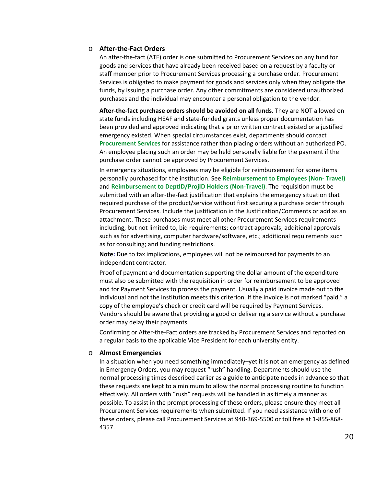#### <span id="page-19-0"></span>o **After-the-Fact Orders**

An after-the-fact (ATF) order is one submitted to Procurement Services on any fund for goods and services that have already been received based on a request by a faculty or staff member prior to Procurement Services processing a purchase order. [Procurement](https://bsc.untsystem.edu/purchasing-home)  [Services](https://bsc.untsystem.edu/purchasing-home) is obligated to make payment for goods and services only when they obligate the funds, by issuing a purchase order. Any other commitments are considered unauthorized purchases and the individual may encounter a personal obligation to the vendor.

**After-the-fact purchase orders should be avoided on all funds.** They are NOT allowed on state funds including HEAF and state-funded grants unless proper documentation has been provided and approved indicating that a prior written contract existed or a justified emergency existed. When special circumstances exist, departments should contact **[Procurement Services](mailto:purchasing@untsystem.edu)** for assistance rather than placing orders without an authorized PO. An employee placing such an order may be held personally liable for the payment if the purchase order cannot be approved by Procurement Services.

In emergency situations, employees may be eligible for reimbursement for some items personally purchased for the institution. See **[Reimbursement to Employees \(Non-](#page-54-1) Travel)** and **[Reimbursement to DeptID/ProjID](#page-54-2) Holders (Non-Travel)**. The requisition must be submitted with an after-the-fact justification that explains the emergency situation that required purchase of the product/service without first securing a purchase order through Procurement Services. Include the justification in the Justification/Comments or add as an attachment. These purchases must meet all other Procurement Services requirements including, but not limited to, bid requirements; contract approvals; additional approvals such as for advertising, computer hardware/software, etc.; additional requirements such as for consulting; and funding restrictions.

**Note:** Due to tax implications, employees will not be reimbursed for payments to an independent contractor.

Proof of payment and documentation supporting the dollar amount of the expenditure must also be submitted with the requisition in order for reimbursement to be approved and for Payment Services to process the payment. Usually a paid invoice made out to the individual and not the institution meets this criterion. If the invoice is not marked "paid," a copy of the employee's check or credit card will be required by Payment Services. Vendors should be aware that providing a good or delivering a service without a purchase order may delay their payments.

Confirming or After-the-Fact orders are tracked by Procurement Services and reported on a regular basis to the applicable Vice President for each university entity.

#### <span id="page-19-1"></span>o **Almost Emergencies**

In a situation when you need something immediately–yet it is not an emergency as defined in Emergency Orders, you may request "rush" handling. Departments should use the normal processing times described earlier as a guide to anticipate needs in advance so that these requests are kept to a minimum to allow the normal processing routine to function effectively. All orders with "rush" requests will be handled in as timely a manner as possible. To assist in the prompt processing of these orders, please ensure they meet all Procurement Services requirements when submitted. If you need assistance with one of these orders, please call Procurement Services at 940-369-5500 or toll free at 1-855-868- 4357.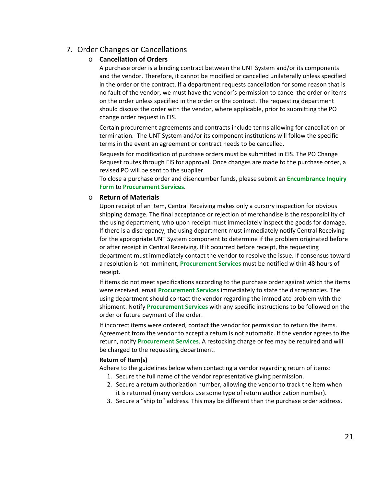# <span id="page-20-0"></span>7. Order Changes or Cancellations

## o **Cancellation of Orders**

A purchase order is a binding contract between the UNT System and/or its components and the vendor. Therefore, it cannot be modified or cancelled unilaterally unless specified in the order or the contract. If a department requests cancellation for some reason that is no fault of the vendor, we must have the vendor's permission to cancel the order or items on the order unless specified in the order or the contract. The requesting department should discuss the order with the vendor, where applicable, prior to submitting the PO change order request in EIS.

Certain procurement agreements and contracts include terms allowing for cancellation or termination. The UNT System and/or its component institutions will follow the specific terms in the event an agreement or contract needs to be cancelled.

Requests for modification of purchase orders must be submitted in EIS. The PO Change Request routes through EIS for approval. Once changes are made to the purchase order, a revised PO will be sent to the supplier.

To close a purchase order and disencumber funds, please submit an **[Encumbrance Inquiry](https://www.untsystem.edu/encumbrance-inquiry)  [Form](https://www.untsystem.edu/encumbrance-inquiry)** to **[Procurement Services](mailto:purchasing@untsystem.edu)**.

## <span id="page-20-1"></span>o **Return of Materials**

Upon receipt of an item, Central Receiving makes only a cursory inspection for obvious shipping damage. The final acceptance or rejection of merchandise is the responsibility of the using department, who upon receipt must immediately inspect the goods for damage. If there is a discrepancy, the using department must immediately notify Central Receiving for the appropriate UNT System component to determine if the problem originated before or after receipt in Central Receiving. If it occurred before receipt, the requesting department must immediately contact the vendor to resolve the issue. If consensus toward a resolution is not imminent, **[Procurement Services](mailto:purchasing@untsystem.edu)** must be notified within 48 hours of receipt.

If items do not meet specifications according to the purchase order against which the items were received, email **[Procurement Services](mailto:purchasing@untsystem.edu)** immediately to state the discrepancies. The using department should contact the vendor regarding the immediate problem with the shipment. Notify **[Procurement Services](mailto:purchasing@untsystem.edu)** with any specific instructions to be followed on the order or future payment of the order.

If incorrect items were ordered, contact the vendor for permission to return the items. Agreement from the vendor to accept a return is not automatic. If the vendor agrees to the return, notify **[Procurement Services](mailto:purchasing@untsystem.edu)**. A restocking charge or fee may be required and will be charged to the requesting department.

#### **Return of Item(s)**

Adhere to the guidelines below when contacting a vendor regarding return of items:

- 1. Secure the full name of the vendor representative giving permission.
- 2. Secure a return authorization number, allowing the vendor to track the item when it is returned (many vendors use some type of return authorization number).
- 3. Secure a "ship to" address. This may be different than the purchase order address.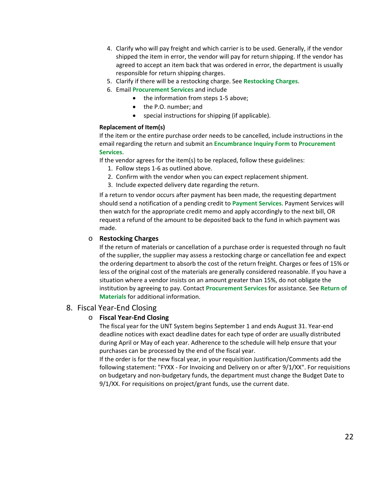- 4. Clarify who will pay freight and which carrier is to be used. Generally, if the vendor shipped the item in error, the vendor will pay for return shipping. If the vendor has agreed to accept an item back that was ordered in error, the department is usually responsible for return shipping charges.
- 5. Clarify if there will be a restocking charge. See **[Restocking Charges](#page-21-1)**.
- 6. Email **[Procurement Services](mailto:purchasing@untsystem.edu)** and include
	- the information from steps 1-5 above;
	- the P.O. number; and
	- special instructions for shipping (if applicable).

#### **Replacement of Item(s)**

If the item or the entire purchase order needs to be cancelled, include instructions in the email regarding the return and submit an **[Encumbrance Inquiry Form](https://www.untsystem.edu/encumbrance-inquiry)** to **[Procurement](mailto:purchasing@untsystem.edu)  [Services](mailto:purchasing@untsystem.edu)**.

If the vendor agrees for the item(s) to be replaced, follow these guidelines:

- 1. Follow steps 1-6 as outlined above.
- 2. Confirm with the vendor when you can expect replacement shipment.
- 3. Include expected delivery date regarding the return.

If a return to vendor occurs after payment has been made, the requesting department should send a notification of a pending credit to **[Payment Services](mailto:invoices@untystem.edu)**. Payment Services will then watch for the appropriate credit memo and apply accordingly to the next bill, OR request a refund of the amount to be deposited back to the fund in which payment was made.

## <span id="page-21-1"></span>o **Restocking Charges**

If the return of materials or cancellation of a purchase order is requested through no fault of the supplier, the supplier may assess a restocking charge or cancellation fee and expect the ordering department to absorb the cost of the return freight. Charges or fees of 15% or less of the original cost of the materials are generally considered reasonable. If you have a situation where a vendor insists on an amount greater than 15%, do not obligate the institution by agreeing to pay. Contact **[Procurement Services](mailto:purchasing@untsystem.edu)** for assistance. See **[Return of](#page-20-1)  [Materials](#page-20-1)** for additional information.

## <span id="page-21-0"></span>8. Fiscal Year-End Closing

## o **Fiscal Year-End Closing**

The fiscal year for the UNT System begins September 1 and ends August 31. Year-end deadline notices with exact deadline dates for each type of order are usually distributed during April or May of each year. Adherence to the schedule will help ensure that your purchases can be processed by the end of the fiscal year.

If the order is for the new fiscal year, in your requisition Justification/Comments add the following statement: "FYXX - For Invoicing and Delivery on or after 9/1/XX". For requisitions on budgetary and non-budgetary funds, the department must change the Budget Date to 9/1/XX. For requisitions on project/grant funds, use the current date.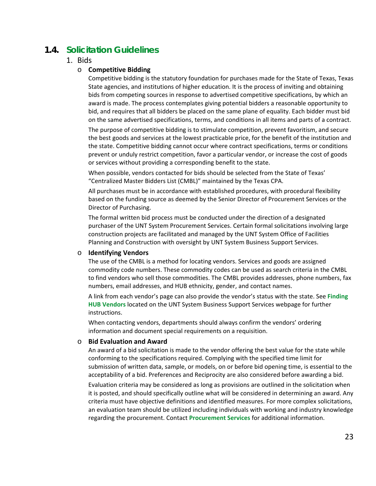# <span id="page-22-1"></span><span id="page-22-0"></span>**1.4. Solicitation Guidelines**

## 1. Bids

#### o **Competitive Bidding**

Competitive bidding is the statutory foundation for purchases made for the State of Texas, Texas State agencies, and institutions of higher education. It is the process of inviting and obtaining bids from competing sources in response to advertised competitive specifications, by which an award is made. The process contemplates giving potential bidders a reasonable opportunity to bid, and requires that all bidders be placed on the same plane of equality. Each bidder must bid on the same advertised specifications, terms, and conditions in all items and parts of a contract.

The purpose of competitive bidding is to stimulate competition, prevent favoritism, and secure the best goods and services at the lowest practicable price, for the benefit of the institution and the state. Competitive bidding cannot occur where contract specifications, terms or conditions prevent or unduly restrict competition, favor a particular vendor, or increase the cost of goods or services without providing a corresponding benefit to the state.

When possible, vendors contacted for bids should be selected from the State of Texas' "Centralized Master Bidders List (CMBL)" maintained by the Texas CPA.

All purchases must be in accordance with established procedures, with procedural flexibility based on the funding source as deemed by the Senior Director of Procurement Services or the Director of Purchasing.

The formal written bid process must be conducted under the direction of a designated purchaser of the UNT System [Procurement Services.](https://bsc.untsystem.edu/purchasing-home) Certain formal solicitations involving large construction projects are facilitated and managed by the UNT System Office of Facilities Planning and Construction with oversight by UNT System Business Support Services.

#### o **Identifying Vendors**

The use of the CMBL is a method for locating vendors. Services and goods are assigned commodity code numbers. These commodity codes can be used as search criteria in the CMBL to find vendors who sell those commodities. The CMBL provides addresses, phone numbers, fax numbers, email addresses, and HUB ethnicity, gender, and contact names.

A link from each vendor's page can also provide the vendor's status with the state. See **[Finding](https://www.untsystem.edu/hr-it-business-services/finding-hub-vendors)  [HUB Vendors](https://www.untsystem.edu/hr-it-business-services/finding-hub-vendors)** located on the UNT System Business Support Services webpage for further instructions.

When contacting vendors, departments should always confirm the vendors' ordering information and document special requirements on a requisition.

#### o **Bid Evaluation and Award**

An award of a bid solicitation is made to the vendor offering the best value for the state while conforming to the specifications required. Complying with the specified time limit for submission of written data, sample, or models, on or before bid opening time, is essential to the acceptability of a bid. Preferences and Reciprocity are also considered before awarding a bid.

Evaluation criteria may be considered as long as provisions are outlined in the solicitation when it is posted, and should specifically outline what will be considered in determining an award. Any criteria must have objective definitions and identified measures. For more complex solicitations, an evaluation team should be utilized including individuals with working and industry knowledge regarding the procurement. Contact **[Procurement Services](mailto:purchasing@untsystem.edu)** for additional information.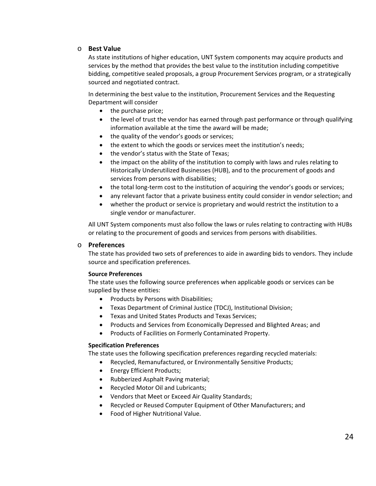## o **Best Value**

As state institutions of higher education, UNT System components may acquire products and services by the method that provides the best value to the institution including competitive bidding, competitive sealed proposals, a group Procurement Services program, or a strategically sourced and negotiated contract.

In determining the best value to the institution, Procurement Services and the Requesting Department will consider

- the purchase price;
- the level of trust the vendor has earned through past performance or through qualifying information available at the time the award will be made;
- the quality of the vendor's goods or services;
- the extent to which the goods or services meet the institution's needs;
- the vendor's status with the State of Texas;
- the impact on the ability of the institution to comply with laws and rules relating to Historically Underutilized Businesses (HUB), and to the procurement of goods and services from persons with disabilities;
- the total long-term cost to the institution of acquiring the vendor's goods or services;
- any relevant factor that a private business entity could consider in vendor selection; and
- whether the product or service is proprietary and would restrict the institution to a single vendor or manufacturer.

All UNT System components must also follow the laws or rules relating to contracting with HUBs or relating to the procurement of goods and services from persons with disabilities.

#### o **Preferences**

The state has provided two sets of preferences to aide in awarding bids to vendors. They include source and specification preferences.

#### **Source Preferences**

The state uses the following source preferences when applicable goods or services can be supplied by these entities:

- Products by Persons with Disabilities;
- Texas Department of Criminal Justice (TDCJ), Institutional Division;
- Texas and United States Products and Texas Services;
- Products and Services from Economically Depressed and Blighted Areas; and
- Products of Facilities on Formerly Contaminated Property.

## **Specification Preferences**

The state uses the following specification preferences regarding recycled materials:

- Recycled, Remanufactured, or Environmentally Sensitive Products;
	- Energy Efficient Products;
	- Rubberized Asphalt Paving material;
	- Recycled Motor Oil and Lubricants;
	- Vendors that Meet or Exceed Air Quality Standards;
	- Recycled or Reused Computer Equipment of Other Manufacturers; and
	- Food of Higher Nutritional Value.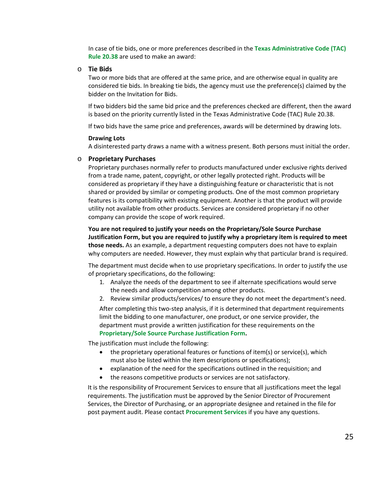In case of tie bids, one or more preferences described in the **[Texas Administrative Code \(TAC\)](http://texreg.sos.state.tx.us/public/readtac$ext.TacPage?sl=T&app=9&p_dir=P&p_rloc=130955&p_tloc=&p_ploc=1&pg=2&p_tac=&ti=34&pt=1&ch=20&rl=39)  Rule [20.38](http://texreg.sos.state.tx.us/public/readtac$ext.TacPage?sl=T&app=9&p_dir=P&p_rloc=130955&p_tloc=&p_ploc=1&pg=2&p_tac=&ti=34&pt=1&ch=20&rl=39)** are used to make an award:

#### o **Tie Bids**

Two or more bids that are offered at the same price, and are otherwise equal in quality are considered tie bids. In breaking tie bids, the agency must use the preference(s) claimed by the bidder on the Invitation for Bids.

If two bidders bid the same bid price and the preferences checked are different, then the award is based on the priority currently listed in the Texas Administrative Code (TAC) Rule 20.38.

If two bids have the same price and preferences, awards will be determined by drawing lots.

#### **Drawing Lots**

A disinterested party draws a name with a witness present. Both persons must initial the order.

#### <span id="page-24-0"></span>o **Proprietary Purchases**

Proprietary purchases normally refer to products manufactured under exclusive rights derived from a trade name, patent, copyright, or other legally protected right. Products will be considered as proprietary if they have a distinguishing feature or characteristic that is not shared or provided by similar or competing products. One of the most common proprietary features is its compatibility with existing equipment. Another is that the product will provide utility not available from other products. Services are considered proprietary if no other company can provide the scope of work required.

**You are not required to justify your needs on the [Proprietary/Sole Source Purchase](http://www.untsystem.edu/sites/default/files/forms/procurement/proprietary_sole_source_purchase_justification.pdf)  [Justification Form,](http://www.untsystem.edu/sites/default/files/forms/procurement/proprietary_sole_source_purchase_justification.pdf) but you are required to justify why a proprietary item is required to meet those needs.** As an example, a department requesting computers does not have to explain why computers are needed. However, they must explain why that particular brand is required.

The department must decide when to use proprietary specifications. In order to justify the use of proprietary specifications, do the following:

- 1. Analyze the needs of the department to see if alternate specifications would serve the needs and allow competition among other products.
- 2. Review similar products/services/ to ensure they do not meet the department's need.

After completing this two-step analysis, if it is determined that department requirements limit the bidding to one manufacturer, one product, or one service provider, the department must provide a written justification for these requirements on the **[Proprietary/Sole Source Purchase Justification Form.](http://www.untsystem.edu/sites/default/files/forms/procurement/proprietary_sole_source_purchase_justification.pdf)** 

The justification must include the following:

- the proprietary operational features or functions of item(s) or service(s), which must also be listed within the item descriptions or specifications);
- explanation of the need for the specifications outlined in the requisition; and
- the reasons competitive products or services are not satisfactory.

It is the responsibility of Procurement Services to ensure that all justifications meet the legal requirements. The justification must be approved by the Senior Director of Procurement Services, the Director of Purchasing, or an appropriate designee and retained in the file for post payment audit. Please contact **[Procurement Services](mailto:purchasing@untsystem.edu)** if you have any questions.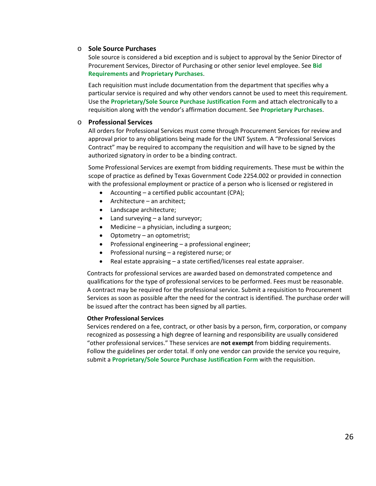#### <span id="page-25-0"></span>o **Sole Source Purchases**

Sole source is considered a bid exception and is subject to approval by the Senior Director of Procurement Services, Director of Purchasing or other senior level employee. See **[Bid](#page-26-0)  [Requirements](#page-26-0)** and **[Proprietary Purchases](#page-24-0)**.

Each requisition must include documentation from the department that specifies why a particular service is required and why other vendors cannot be used to meet this requirement. Use the **[Proprietary/Sole Source Purchase Justification Form](http://www.untsystem.edu/sites/default/files/forms/procurement/proprietary_sole_source_purchase_justification.pdf)** and attach electronically to a requisition along with the vendor's affirmation document. See **[Proprietary Purchases](#page-24-0)**.

## o **Professional Services**

All orders for Professional Services must come through Procurement Services for review and approval prior to any obligations being made for the UNT System. A "Professional Services Contract" may be required to accompany the requisition and will have to be signed by the authorized signatory in order to be a binding contract.

Some Professional Services are exempt from bidding requirements. These must be within the scope of practice as defined by Texas Government Code 2254.002 or provided in connection with the professional employment or practice of a person who is licensed or registered in

- Accounting a certified public accountant (CPA);
- Architecture an architect;
- Landscape architecture;
- Land surveying a land surveyor;
- Medicine a physician, including a surgeon;
- Optometry an optometrist;
- Professional engineering a professional engineer;
- Professional nursing a registered nurse; or
- Real estate appraising a state certified/licenses real estate appraiser.

Contracts for professional services are awarded based on demonstrated competence and qualifications for the type of professional services to be performed. Fees must be reasonable. A contract may be required for the professional service. Submit a requisition to Procurement Services as soon as possible after the need for the contract is identified. The purchase order will be issued after the contract has been signed by all parties.

#### **Other Professional Services**

Services rendered on a fee, contract, or other basis by a person, firm, corporation, or company recognized as possessing a high degree of learning and responsibility are usually considered "other professional services." These services are **not exempt** from bidding requirements. Follow the guidelines per order total. If only one vendor can provide the service you require, submit a **[Proprietary/Sole Source Purchase Justification Form](http://www.untsystem.edu/sites/default/files/forms/procurement/proprietary_sole_source_purchase_justification.pdf)** with the requisition.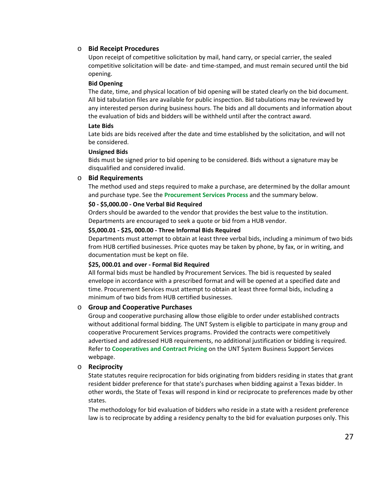## o **Bid Receipt Procedures**

Upon receipt of competitive solicitation by mail, hand carry, or special carrier, the sealed competitive solicitation will be date- and time-stamped, and must remain secured until the bid opening.

#### **Bid Opening**

The date, time, and physical location of bid opening will be stated clearly on the bid document. All bid tabulation files are available for public inspection. Bid tabulations may be reviewed by any interested person during business hours. The bids and all documents and information about the evaluation of bids and bidders will be withheld until after the contract award.

#### **Late Bids**

Late bids are bids received after the date and time established by the solicitation, and will not be considered.

#### **Unsigned Bids**

Bids must be signed prior to bid opening to be considered. Bids without a signature may be disqualified and considered invalid.

#### <span id="page-26-0"></span>o **Bid Requirements**

The method used and steps required to make a purchase, are determined by the dollar amount and purchase type. See the **[Procurement Services](#page-8-0) Process** and the summary below.

#### **\$0 - \$5,000.00 - One Verbal Bid Required**

Orders should be awarded to the vendor that provides the best value to the institution. Departments are encouraged to seek a quote or bid from a HUB vendor.

#### **\$5,000.01 - \$25, 000.00 - Three Informal Bids Required**

Departments must attempt to obtain at least three verbal bids, including a minimum of two bids from HUB certified businesses. Price quotes may be taken by phone, by fax, or in writing, and documentation must be kept on file.

#### **\$25, 000.01 and over - Formal Bid Required**

All formal bids must be handled b[y Procurement Services.](https://bsc.untsystem.edu/purchasing-home) The bid is requested by sealed envelope in accordance with a prescribed format and will be opened at a specified date and time. Procurement Services must attempt to obtain at least three formal bids, including a minimum of two bids from HUB certified businesses.

#### o **Group and Cooperative Purchases**

Group and cooperative purchasing allow those eligible to order under established contracts without additional formal bidding. The UNT System is eligible to participate in many group and cooperative Procurement Services programs. Provided the contracts were competitively advertised and addressed HUB requirements, no additional justification or bidding is required. Refer to **[Cooperatives and Contract Pricing](https://www.untsystem.edu/hr-it-business-services/procurement/purchasing/cooperatives-and-contract-pricing)** on the UNT System Business Support Services webpage.

#### o **Reciprocity**

State statutes require reciprocation for bids originating from bidders residing in states that grant resident bidder preference for that state's purchases when bidding against a Texas bidder. In other words, the State of Texas will respond in kind or reciprocate to preferences made by other states.

The methodology for bid evaluation of bidders who reside in a state with a resident preference law is to reciprocate by adding a residency penalty to the bid for evaluation purposes only. This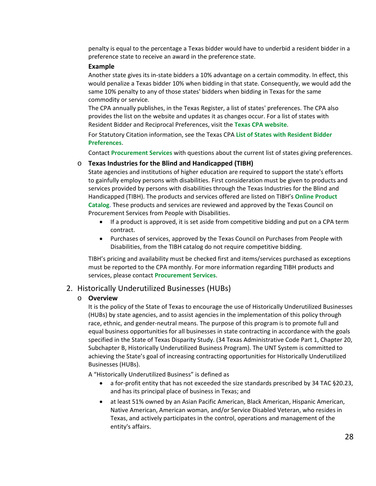penalty is equal to the percentage a Texas bidder would have to underbid a resident bidder in a preference state to receive an award in the preference state.

#### **Example**

Another state gives its in-state bidders a 10% advantage on a certain commodity. In effect, this would penalize a Texas bidder 10% when bidding in that state. Consequently, we would add the same 10% penalty to any of those states' bidders when bidding in Texas for the same commodity or service.

The CPA annually publishes, in the Texas Register, a list of states' preferences. The CPA also provides the list on the website and updates it as changes occur. For a list of states with Resident Bidder and Reciprocal Preferences, visit the **[Texas CPA website](http://www.comptroller.texas.gov/purchasing/bidder-preference/)**.

For Statutory Citation information, see the Texas CPA **[List of States with Resident Bidder](http://www.comptroller.texas.gov/purchasing/bidder-preference/)  [Preferences](http://www.comptroller.texas.gov/purchasing/bidder-preference/)**.

Contact **[Procurement Services](mailto:purchasing@untsystem.edu)** with questions about the current list of states giving preferences.

#### o **Texas Industries for the Blind and Handicapped (TIBH)**

State agencies and institutions of higher education are required to support the state's efforts to gainfully employ persons with disabilities. First consideration must be given to products and services provided by persons with disabilities through the Texas Industries for the Blind and Handicapped (TIBH). The products and services offered are listed on TIBH's **[Online Product](http://www.tibh.org/catalog/index.php)  [Catalog](http://www.tibh.org/catalog/index.php)**. These products and services are reviewed and approved by the Texas Council on Procurement Services from People with Disabilities.

- If a product is approved, it is set aside from competitive bidding and put on a CPA term contract.
- Purchases of services, approved by the Texas Council on Purchases from People with Disabilities, from the TIBH catalog do not require competitive bidding.

TIBH's pricing and availability must be checked first and items/services purchased as exceptions must be reported to the CPA monthly. For more information regarding TIBH products and services, please contact **[Procurement Services](mailto:purchasing@untsystem.edu)**.

#### <span id="page-27-0"></span>2. Historically Underutilized Businesses (HUBs)

#### o **Overview**

It is the policy of the State of Texas to encourage the use of Historically Underutilized Businesses (HUBs) by state agencies, and to assist agencies in the implementation of this policy through race, ethnic, and gender-neutral means. The purpose of this program is to promote full and equal business opportunities for all businesses in state contracting in accordance with the goals specified in the State of Texas Disparity Study. (34 Texas Administrative Code Part 1, Chapter 20, Subchapter B, Historically Underutilized Business Program). The UNT System is committed to achieving the State's goal of increasing contracting opportunities for Historically Underutilized Businesses (HUBs).

A "Historically Underutilized Business" is defined as

- a for-profit entity that has not exceeded the size standards prescribed by 34 TAC §20.23, and has its principal place of business in Texas; and
- at least 51% owned by an Asian Pacific American, Black American, Hispanic American, Native American, American woman, and/or Service Disabled Veteran, who resides in Texas, and actively participates in the control, operations and management of the entity's affairs.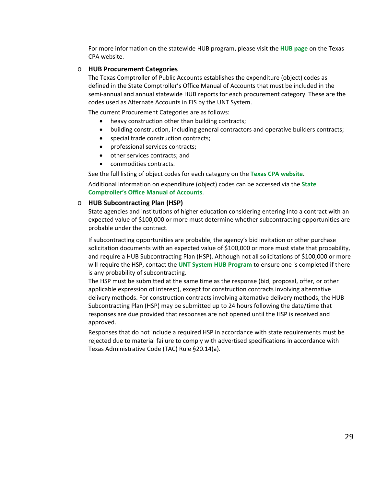For more information on the statewide HUB program, please visit the **[HUB page](https://www.comptroller.texas.gov/purchasing/vendor/hub/)** on the Texas CPA website.

#### o **HUB Procurement Categories**

The Texas Comptroller of Public Accounts establishes the expenditure (object) codes as defined in the State Comptroller's Office Manual of Accounts that must be included in the semi-annual and annual statewide HUB reports for each procurement category. These are the codes used as Alternate Accounts in EIS by the UNT System.

The current Procurement Categories are as follows:

- heavy construction other than building contracts;
- building construction, including general contractors and operative builders contracts;
- special trade construction contracts;
- professional services contracts;
- other services contracts; and
- commodities contracts.

See the full listing of object codes for each category on the **[Texas CPA website](https://www.comptroller.texas.gov/data/purchasing/hub/fy16s/atcha.pdf)**.

Additional information on expenditure (object) codes can be accessed via the **[State](https://fmx.cpa.state.tx.us/fm/pubs/cma/)  [Comptroller's Office Manual of Accounts](https://fmx.cpa.state.tx.us/fm/pubs/cma/)**.

#### o **HUB Subcontracting Plan (HSP)**

State agencies and institutions of higher education considering entering into a contract with an expected value of \$100,000 or more must determine whether subcontracting opportunities are probable under the contract.

If subcontracting opportunities are probable, the agency's bid invitation or other purchase solicitation documents with an expected value of \$100,000 or more must state that probability, and require a HUB Subcontracting Plan (HSP). Although not all solicitations of \$100,000 or more will require the HSP, contact the **[UNT System HUB Program](mailto:hub@untsystem.edu)** to ensure one is completed if there is any probability of subcontracting.

The HSP must be submitted at the same time as the response (bid, proposal, offer, or other applicable expression of interest), except for construction contracts involving alternative delivery methods. For construction contracts involving alternative delivery methods, the HUB Subcontracting Plan (HSP) may be submitted up to 24 hours following the date/time that responses are due provided that responses are not opened until the HSP is received and approved.

Responses that do not include a required HSP in accordance with state requirements must be rejected due to material failure to comply with advertised specifications in accordance with Texas Administrative Code (TAC) Rule §20.14(a).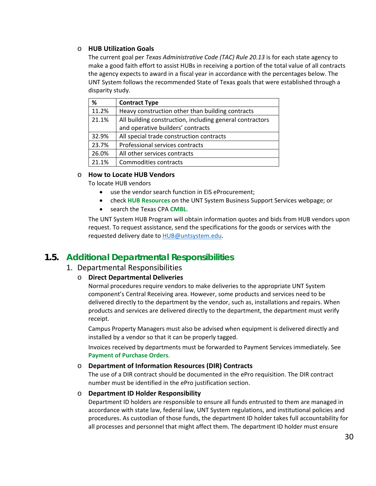## o **HUB Utilization Goals**

The current goal per *Texas Administrative Code (TAC) Rule 20.13* is for each state agency to make a good faith effort to assist HUBs in receiving a portion of the total value of all contracts the agency expects to award in a fiscal year in accordance with the percentages below. The UNT System follows the recommended State of Texas goals that were established through a disparity study.

| %     | <b>Contract Type</b>                                     |
|-------|----------------------------------------------------------|
| 11.2% | Heavy construction other than building contracts         |
| 21.1% | All building construction, including general contractors |
|       | and operative builders' contracts                        |
| 32.9% | All special trade construction contracts                 |
| 23.7% | Professional services contracts                          |
| 26.0% | All other services contracts                             |
| 21.1% | Commodities contracts                                    |

#### o **How to Locate HUB Vendors**

To locate HUB vendors

- use the vendor search function in EIS eProcurement;
- check **[HUB Resources](https://www.untsystem.edu/hr-it-business-services/resources)** on the UNT System Business Support Services webpage; or
- search the Texas CPA **[CMBL](https://www.comptroller.texas.gov/purchasing/vendor/cmbl/)**.

The UNT System HUB Program will obtain information quotes and bids from HUB vendors upon request. To request assistance, send the specifications for the goods or services with the requested delivery date to [HUB@untsystem.edu.](mailto:HUB@untsystem.edu)

# <span id="page-29-1"></span><span id="page-29-0"></span>**1.5. Additional Departmental Responsibilities**

## 1. Departmental Responsibilities

#### o **Direct Departmental Deliveries**

Normal procedures require vendors to make deliveries to the appropriate UNT System component's Central Receiving area. However, some products and services need to be delivered directly to the department by the vendor, such as, installations and repairs. When products and services are delivered directly to the department, the department must verify receipt.

Campus Property Managers must also be advised when equipment is delivered directly and installed by a vendor so that it can be properly tagged.

Invoices received by departments must be forwarded to Payment Services immediately. See **[Payment of Purchase Orders](#page-14-2)**.

#### o **Department of Information Resources (DIR) Contracts**

The use of a DIR contract should be documented in the ePro requisition. The DIR contract number must be identified in the ePro justification section.

#### o **Department ID Holder Responsibility**

Department ID holders are responsible to ensure all funds entrusted to them are managed in accordance with state law, federal law, UNT System regulations, and institutional policies and procedures. As custodian of those funds, the department ID holder takes full accountability for all processes and personnel that might affect them. The department ID holder must ensure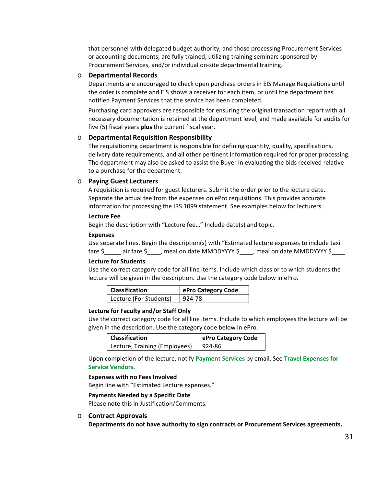that personnel with delegated budget authority, and those processing Procurement Services or accounting documents, are fully trained, utilizing training seminars sponsored by [Procurement Services,](https://bsc.untsystem.edu/purchasing-home) and/or individual on-site departmental training.

#### o **Departmental Records**

Departments are encouraged to check open purchase orders in EIS Manage Requisitions until the order is complete and EIS shows a receiver for each item, or until the department has notified Payment Services that the service has been completed.

Purchasing card approvers are responsible for ensuring the original transaction report with all necessary documentation is retained at the department level, and made available for audits for five (5) fiscal years **plus** the current fiscal year.

#### o **Departmental Requisition Responsibility**

The requisitioning department is responsible for defining quantity, quality, specifications, delivery date requirements, and all other pertinent information required for proper processing. The department may also be asked to assist the Buyer in evaluating the bids received relative to a purchase for the department.

#### o **Paying Guest Lecturers**

A requisition is required for guest lecturers. Submit the order prior to the lecture date. Separate the actual fee from the expenses on ePro requisitions. This provides accurate information for processing the IRS 1099 statement. See examples below for lecturers.

#### **Lecture Fee**

Begin the description with "Lecture fee…" Include date(s) and topic.

#### **Expenses**

Use separate lines. Begin the description(s) with "Estimated lecture expenses to include taxi fare \$\_\_\_\_\_\_ air fare \$\_\_\_\_, meal on date MMDDYYYY \$\_\_\_\_, meal on date MMDDYYYY \$\_

#### **Lecture for Students**

Use the correct category code for all line items. Include which class or to which students the lecture will be given in the description. Use the category code below in ePro.

| <b>Classification</b>  | ePro Category Code |
|------------------------|--------------------|
| Lecture (For Students) | $ 924-78 $         |

#### **Lecture for Faculty and/or Staff Only**

Use the correct category code for all line items. Include to which employees the lecture will be given in the description. Use the category code below in ePro.

| <b>Classification</b>         | ePro Category Code |
|-------------------------------|--------------------|
| Lecture, Training (Employees) | $1924 - 86$        |

Upon completion of the lecture, notify **[Payment Services](mailto:invoices@untsystem.edu)** by email. See **[Travel Expenses for](#page-49-0)  [Service Vendors.](#page-49-0)**

#### **Expenses with no Fees Involved**

Begin line with "Estimated Lecture expenses."

#### **Payments Needed by a Specific Date**

Please note this in Justification/Comments.

#### o **Contract Approvals**

**Departments do not have authority to sign contracts or Procurement Services agreements.**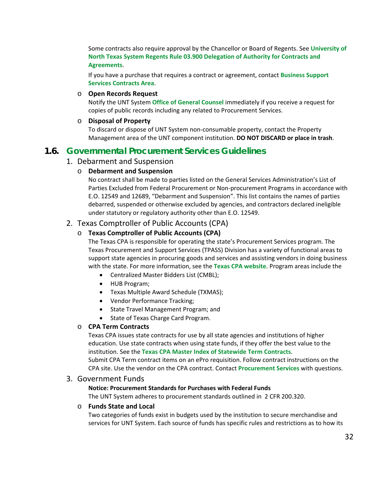Some contracts also require approval by the Chancellor or Board of Regents. See **[University of](https://www.untsystem.edu/sites/default/files/forms/board-of-regents/rr_03.900_delegation_of_authority_for_contracts_and_agreements_00159622xc146b.pdf)  [North Texas System Regents Rule 03.900 Delegation of Authority for Contracts and](https://www.untsystem.edu/sites/default/files/forms/board-of-regents/rr_03.900_delegation_of_authority_for_contracts_and_agreements_00159622xc146b.pdf)  [Agreements](https://www.untsystem.edu/sites/default/files/forms/board-of-regents/rr_03.900_delegation_of_authority_for_contracts_and_agreements_00159622xc146b.pdf)**.

If you have a purchase that requires a contract or agreement, contact **[Business Support](mailto:bsc.contracts@untsystem.edu) [Services Contracts Area](mailto:bsc.contracts@untsystem.edu)**.

#### o **Open Records Request**

Notify the UNT System **[Office of General Counsel](https://www.untsystem.edu/service-teams/general-counsel)** immediately if you receive a request for copies of public records including any related to Procurement Services.

## o **Disposal of Property**

To discard or dispose of UNT System non-consumable property, contact the Property Management area of the UNT component institution. **DO NOT DISCARD or place in trash**.

## <span id="page-31-1"></span><span id="page-31-0"></span>**1.6. Governmental Procurement Services Guidelines**

## 1. Debarment and Suspension

## o **Debarment and Suspension**

No contract shall be made to parties listed on the General Services Administration's List of Parties Excluded from Federal Procurement or Non-procurement Programs in accordance with E.O. 12549 and 12689, "Debarment and Suspension". This list contains the names of parties debarred, suspended or otherwise excluded by agencies, and contractors declared ineligible under statutory or regulatory authority other than E.O. 12549.

## <span id="page-31-2"></span>2. Texas Comptroller of Public Accounts (CPA)

## o **Texas Comptroller of Public Accounts (CPA)**

The Texas CPA is responsible for operating the state's Procurement Services program. The Texas Procurement and Support Services (TPASS) Division has a variety of functional areas to support state agencies in procuring goods and services and assisting vendors in doing business with the state. For more information, see the **[Texas CPA website](https://www.comptroller.texas.gov/)**[.](https://www.comptroller.texas.gov/) Program areas include the

- Centralized Master Bidders List (CMBL);
- HUB Program;
- Texas Multiple Award Schedule (TXMAS);
- Vendor Performance Tracking;
- State Travel Management Program; and
- State of Texas Charge Card Program.

## o **CPA Term Contracts**

Texas CPA issues state contracts for use by all state agencies and institutions of higher education. Use state contracts when using state funds, if they offer the best value to the institution. See the **[Texas CPA Master Index of Statewide](http://www.txsmartbuy.com/contracts) Term Contracts**. Submit CPA Term contract items on an ePro requisition. Follow contract instructions on the CPA site. Use the vendor on the CPA contract. Contact **[Procurement Services](mailto:purchasing@untsystem.edu)** with questions.

## <span id="page-31-3"></span>3. Government Funds

#### **Notice: Procurement Standards for Purchases with Federal Funds**

The UNT System adheres to procurement standards outlined in 2 CFR 200.320.

#### o **Funds State and Local**

Two categories of funds exist in budgets used by the institution to secure merchandise and services for UNT System. Each source of funds has specific rules and restrictions as to how its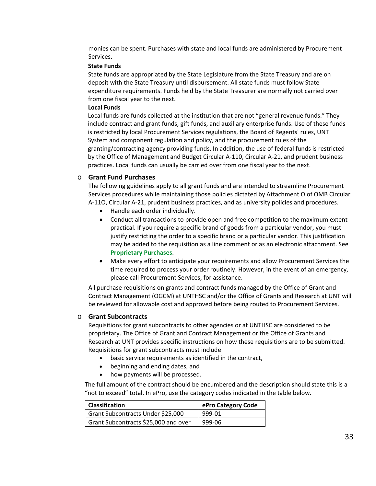monies can be spent. Purchases with state and local funds are administered by Procurement Services.

#### **State Funds**

State funds are appropriated by the State Legislature from the State Treasury and are on deposit with the State Treasury until disbursement. All state funds must follow State expenditure requirements. Funds held by the State Treasurer are normally not carried over from one fiscal year to the next.

#### **Local Funds**

Local funds are funds collected at the institution that are not "general revenue funds." They include contract and grant funds, gift funds, and auxiliary enterprise funds. Use of these funds is restricted by local Procurement Services regulations, the Board of Regents' rules, UNT System and component regulation and policy, and the procurement rules of the granting/contracting agency providing funds. In addition, the use of federal funds is restricted by the Office of Management and Budget Circular A-110, Circular A-21, and prudent business practices. Local funds can usually be carried over from one fiscal year to the next.

#### o **Grant Fund Purchases**

The following guidelines apply to all grant funds and are intended to streamline Procurement Services procedures while maintaining those policies dictated by Attachment O of OMB Circular A-11O, Circular A-21, prudent business practices, and as university policies and procedures.

- Handle each order individually.
- Conduct all transactions to provide open and free competition to the maximum extent practical. If you require a specific brand of goods from a particular vendor, you must justify restricting the order to a specific brand or a particular vendor. This justification may be added to the requisition as a line comment or as an electronic attachment. See **[Proprietary Purchases](#page-24-0)**.
- Make every effort to anticipate your requirements and allow Procurement Services the time required to process your order routinely. However, in the event of an emergency, please call Procurement Services, for assistance.

All purchase requisitions on grants and contract funds managed by the Office of Grant and Contract Management (OGCM) at UNTHSC and/or the Office of Grants and Research at UNT will be reviewed for allowable cost and approved before being routed to Procurement Services.

#### o **Grant Subcontracts**

Requisitions for grant subcontracts to other agencies or at UNTHSC are considered to be proprietary. The Office of Grant and Contract Management or the Office of Grants and Research at UNT provides specific instructions on how these requisitions are to be submitted. Requisitions for grant subcontracts must include

- basic service requirements as identified in the contract,
- beginning and ending dates, and
- how payments will be processed.

The full amount of the contract should be encumbered and the description should state this is a "not to exceed" total. In ePro, use the category codes indicated in the table below.

| <b>Classification</b>                | ePro Category Code |
|--------------------------------------|--------------------|
| Grant Subcontracts Under \$25,000    | 999-01             |
| Grant Subcontracts \$25,000 and over | 999-06             |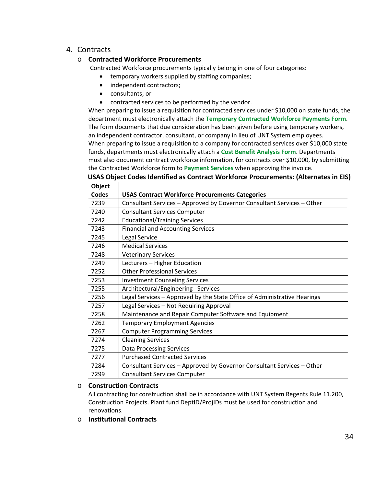# <span id="page-33-0"></span>4. Contracts

## o **Contracted Workforce Procurements**

Contracted Workforce procurements typically belong in one of four categories:

- temporary workers supplied by staffing companies;
- independent contractors;
- consultants; or
- contracted services to be performed by the vendor.

When preparing to issue a requisition for contracted services under \$10,000 on state funds, the department must electronically attach the **[Temporary Contracted Workforce Payments Form](https://www.untsystem.edu/sites/default/files/forms/procurement/hsc_contracted_workforce_v1.12b.pdf)**. The form documents that due consideration has been given before using temporary workers, an independent contractor, consultant, or company in lieu of UNT System employees. When preparing to issue a requisition to a company for contracted services over \$10,000 state funds, departments must electronically attach a **[Cost Benefit Analysis Form](https://www.untsystem.edu/sites/default/files/forms/procurement/hsc_contracted_workforce_v1.12a.pdf)**. Departments must also document contract workforce information, for contracts over \$10,000, by submitting the Contracted Workforce form to **[Payment Services](mailto:invoices@untsystem.edu)** when approving the invoice.

## **USAS Object Codes Identified as Contract Workforce Procurements: (Alternates in EIS)**

| Object       |                                                                          |
|--------------|--------------------------------------------------------------------------|
| <b>Codes</b> | <b>USAS Contract Workforce Procurements Categories</b>                   |
| 7239         | Consultant Services - Approved by Governor Consultant Services - Other   |
| 7240         | <b>Consultant Services Computer</b>                                      |
| 7242         | <b>Educational/Training Services</b>                                     |
| 7243         | <b>Financial and Accounting Services</b>                                 |
| 7245         | Legal Service                                                            |
| 7246         | <b>Medical Services</b>                                                  |
| 7248         | <b>Veterinary Services</b>                                               |
| 7249         | Lecturers - Higher Education                                             |
| 7252         | <b>Other Professional Services</b>                                       |
| 7253         | <b>Investment Counseling Services</b>                                    |
| 7255         | Architectural/Engineering Services                                       |
| 7256         | Legal Services - Approved by the State Office of Administrative Hearings |
| 7257         | Legal Services - Not Requiring Approval                                  |
| 7258         | Maintenance and Repair Computer Software and Equipment                   |
| 7262         | <b>Temporary Employment Agencies</b>                                     |
| 7267         | <b>Computer Programming Services</b>                                     |
| 7274         | <b>Cleaning Services</b>                                                 |
| 7275         | <b>Data Processing Services</b>                                          |
| 7277         | <b>Purchased Contracted Services</b>                                     |
| 7284         | Consultant Services - Approved by Governor Consultant Services - Other   |
| 7299         | <b>Consultant Services Computer</b>                                      |

## o **Construction Contracts**

All contracting for construction shall be in accordance with UNT System Regents Rule 11.200, Construction Projects. Plant fund DeptID/ProjIDs must be used for construction and renovations.

o **Institutional Contracts**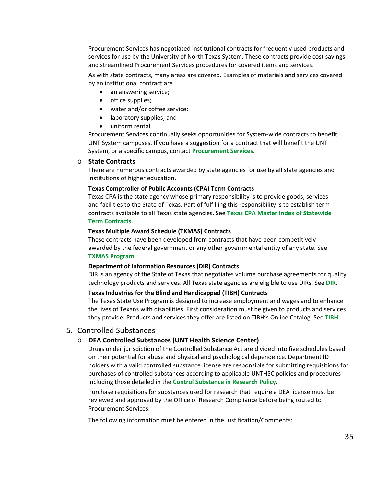[Procurement Services](https://bsc.untsystem.edu/purchasing-home) has negotiated institutional contracts for frequently used products and services for use by the University of North Texas System. These contracts provide cost savings and streamlined Procurement Services procedures for covered items and services.

As with state contracts, many areas are covered. Examples of materials and services covered by an institutional contract are

- an answering service;
- office supplies;
- water and/or coffee service;
- laboratory supplies; and
- uniform rental.

Procurement Services continually seeks opportunities for System-wide contracts to benefit UNT System campuses. If you have a suggestion for a contract that will benefit the UNT System, or a specific campus, contact **[Procurement Services](mailto:purchasing@untsystem.edu)**.

#### o **State Contracts**

There are numerous contracts awarded by state agencies for use by all state agencies and institutions of higher education.

#### **Texas Comptroller of Public Accounts (CPA) Term Contracts**

Texas CPA is the state agency whose primary responsibility is to provide goods, services and facilities to the State of Texas. Part of fulfilling this responsibility is to establish term contracts available to all Texas state agencies. See **[Texas CPA Master Index of Statewide](http://www.txsmartbuy.com/contracts) [Term Contracts](http://www.txsmartbuy.com/contracts)**.

#### **Texas Multiple Award Schedule (TXMAS) Contracts**

These contracts have been developed from contracts that have been competitively awarded by the federal government or any other governmental entity of any state. See **[TXMAS Program](https://www.comptroller.texas.gov/purchasing/contracts/txmas/contract-documents.php)**.

#### **Department of Information Resources (DIR) Contracts**

DIR is an agency of the State of Texas that negotiates volume purchase agreements for quality technology products and services. All Texas state agencies are eligible to use DIRs. See **[DIR](http://dir.texas.gov/View-Contracts-And-Services/Landing.aspx)**.

#### **Texas Industries for the Blind and Handicapped (TIBH) Contracts**

The Texas State Use Program is designed to increase employment and wages and to enhance the lives of Texans with disabilities. First consideration must be given to products and services they provide. Products and services they offer are listed on TIBH's Online Catalog. See **[TIBH](http://www.tibh.org/catalog/index.php)**.

## <span id="page-34-0"></span>5. Controlled Substances

#### o **DEA Controlled Substances (UNT Health Science Center)**

Drugs under jurisdiction of the Controlled Substance Act are divided into five schedules based on their potential for abuse and physical and psychological dependence. Department ID holders with a valid controlled substance license are responsible for submitting requisitions for purchases of controlled substances according to applicable UNTHSC policies and procedures including those detailed in the **[Control Substance in Research Policy](https://www.unthsc.edu/research/controlled-substance-program/)**.

Purchase requisitions for substances used for research that require a DEA license must be reviewed and approved by the Office of Research Compliance before being routed to Procurement Services.

The following information must be entered in the Justification/Comments: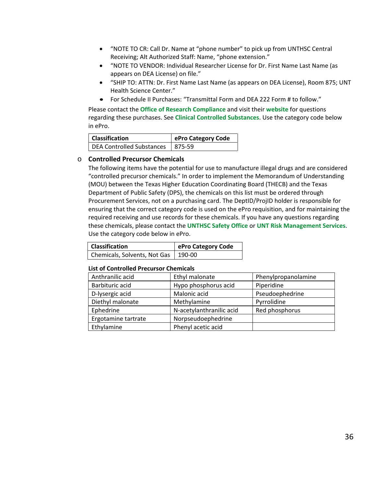- "NOTE TO CR: Call Dr. Name at "phone number" to pick up from UNTHSC Central Receiving; Alt Authorized Staff: Name, "phone extension."
- "NOTE TO VENDOR: Individual Researcher License for Dr. First Name Last Name (as appears on DEA License) on file."
- "SHIP TO: ATTN: Dr. First Name Last Name (as appears on DEA License), Room 875; UNT Health Science Center."
- For Schedule II Purchases: "Transmittal Form and DEA 222 Form # to follow."

Please contact the **[Office of Research Compliance](https://www.unthsc.edu/research/office-of-research-compliance/orec-contacts/)** and visit their **[website](http://www.hsc.unt.edu/research/compliance/)** for questions regarding these purchases. See **[Clinical Controlled Substances](#page-36-0)**. Use the category code below in ePro.

| <b>Classification</b>              | ePro Category Code |
|------------------------------------|--------------------|
| DEA Controlled Substances   875-59 |                    |

#### o **Controlled Precursor Chemicals**

The following items have the potential for use to manufacture illegal drugs and are considered "controlled precursor chemicals." In order to implement the Memorandum of Understanding (MOU) between the Texas Higher Education Coordinating Board (THECB) and the Texas Department of Public Safety (DPS), the chemicals on this list must be ordered through Procurement Services, not on a purchasing card. The DeptID/ProjID holder is responsible for ensuring that the correct category code is used on the ePro requisition, and for maintaining the required receiving and use records for these chemicals. If you have any questions regarding these chemicals, please contact the **[UNTHSC Safety Office](mailto:SafetyOffice@unthsc.edu)** or **[UNT Risk Management Services](mailto:AskRMS@unt.edu)**. Use the category code below in ePro.

| <b>Classification</b>                 | ePro Category Code |
|---------------------------------------|--------------------|
| Chemicals, Solvents, Not Gas   190-00 |                    |

#### **List of Controlled Precursor Chemicals**

| Anthranilic acid    | Ethyl malonate           | Phenylpropanolamine |
|---------------------|--------------------------|---------------------|
| Barbituric acid     | Hypo phosphorus acid     | Piperidine          |
| D-lysergic acid     | Malonic acid             | Pseudoephedrine     |
| Diethyl malonate    | Methylamine              | Pyrrolidine         |
| Ephedrine           | N-acetylanthranilic acid | Red phosphorus      |
| Ergotamine tartrate | Norpseudoephedrine       |                     |
| Ethylamine          | Phenyl acetic acid       |                     |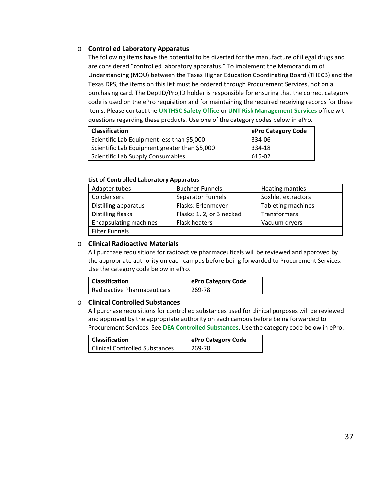# <span id="page-36-0"></span>o **Controlled Laboratory Apparatus**

The following items have the potential to be diverted for the manufacture of illegal drugs and are considered "controlled laboratory apparatus." To implement the Memorandum of Understanding (MOU) between the Texas Higher Education Coordinating Board (THECB) and the Texas DPS, the items on this list must be ordered through Procurement Services, not on a purchasing card. The DeptID/ProjID holder is responsible for ensuring that the correct category code is used on the ePro requisition and for maintaining the required receiving records for these items. Please contact the **[UNTHSC Safety Office](mailto:SafetyOffice@unthsc.edu)** or **[UNT Risk Management Services](mailto:AskRMS@unt.edu)** office with questions regarding these products. Use one of the category codes below in ePro.

| <b>Classification</b>                         | ePro Category Code |
|-----------------------------------------------|--------------------|
| Scientific Lab Equipment less than \$5,000    | 334-06             |
| Scientific Lab Equipment greater than \$5,000 | 334-18             |
| Scientific Lab Supply Consumables             | 615-02             |

#### **List of Controlled Laboratory Apparatus**

| Adapter tubes                 | <b>Buchner Funnels</b>    | Heating mantles    |
|-------------------------------|---------------------------|--------------------|
| Condensers                    | <b>Separator Funnels</b>  | Soxhlet extractors |
| Distilling apparatus          | Flasks: Erlenmeyer        | Tableting machines |
| Distilling flasks             | Flasks: 1, 2, or 3 necked | Transformers       |
| <b>Encapsulating machines</b> | Flask heaters             | Vacuum dryers      |
| <b>Filter Funnels</b>         |                           |                    |

# <span id="page-36-1"></span>o **Clinical Radioactive Materials**

All purchase requisitions for radioactive pharmaceuticals will be reviewed and approved by the appropriate authority on each campus before being forwarded to Procurement Services. Use the category code below in ePro.

| <b>Classification</b>              | ePro Category Code |
|------------------------------------|--------------------|
| <b>Radioactive Pharmaceuticals</b> | 269-78             |

# o **Clinical Controlled Substances**

All purchase requisitions for controlled substances used for clinical purposes will be reviewed and approved by the appropriate authority on each campus before being forwarded to Procurement Services. See **[DEA Controlled Substances](#page-34-0)**. Use the category code below in ePro.

| <b>Classification</b>                 | ePro Category Code |
|---------------------------------------|--------------------|
| <b>Clinical Controlled Substances</b> | 269-70             |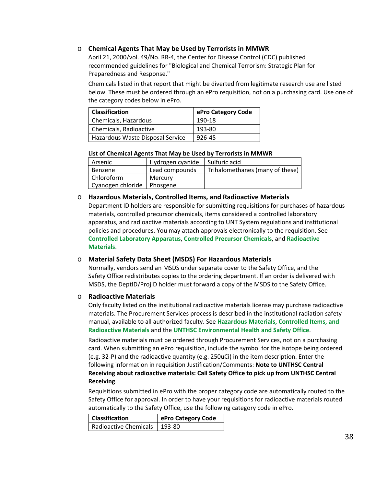# o **Chemical Agents That May be Used by Terrorists in MMWR**

April 21, 2000/vol. 49/No. RR-4, the Center for Disease Control (CDC) published recommended guidelines for "Biological and Chemical Terrorism: Strategic Plan for Preparedness and Response."

Chemicals listed in that report that might be diverted from legitimate research use are listed below. These must be ordered through an ePro requisition, not on a purchasing card. Use one of the category codes below in ePro.

| <b>Classification</b>            | ePro Category Code |
|----------------------------------|--------------------|
| Chemicals, Hazardous             | 190-18             |
| Chemicals, Radioactive           | 193-80             |
| Hazardous Waste Disposal Service | 926-45             |

#### **List of Chemical Agents That May be Used by Terrorists in MMWR**

| Arsenic           | Hydrogen cyanide | l Sulfuric acid                 |
|-------------------|------------------|---------------------------------|
| Benzene           | Lead compounds   | Trihalomethanes (many of these) |
| Chloroform        | Mercury          |                                 |
| Cyanogen chloride | Phosgene         |                                 |

### <span id="page-37-0"></span>o **Hazardous Materials, Controlled Items, and Radioactive Materials**

Department ID holders are responsible for submitting requisitions for purchases of hazardous materials, controlled precursor chemicals, items considered a controlled laboratory apparatus, and radioactive materials according to UNT System regulations and institutional policies and procedures. You may attach approvals electronically to the requisition. See **[Controlled Laboratory Apparatus](#page-36-0)**, **[Controlled Precursor Chemicals](#page-35-0)**, and **[Radioactive](#page-36-1)  [Materials](#page-36-1)**.

#### o **Material Safety Data Sheet (MSDS) For Hazardous Materials**

Normally, vendors send an MSDS under separate cover to the Safety Office, and the Safety Office redistributes copies to the ordering department. If an order is delivered with MSDS, the DeptID/ProjID holder must forward a copy of the MSDS to the Safety Office.

# o **Radioactive Materials**

Only faculty listed on the institutional radioactive materials license may purchase radioactive materials. The Procurement Services process is described in the institutional radiation safety manual, available to all authorized faculty. See **[Hazardous Materials, Controlled Items, and](#page-37-0)  [Radioactive Materials](#page-37-0)** and the **[UNTHSC Environmental Health and Safety Office](https://www.unthsc.edu/safety/)**.

Radioactive materials must be ordered through Procurement Services, not on a purchasing card. When submitting an ePro requisition, include the symbol for the isotope being ordered (e.g. 32-P) and the radioactive quantity (e.g. 250uCi) in the item description. Enter the following information in requisition Justification/Comments: **Note to UNTHSC Central Receiving about radioactive materials: Call Safety Office to pick up from UNTHSC Central Receiving**.

Requisitions submitted in ePro with the proper category code are automatically routed to the Safety Office for approval. In order to have your requisitions for radioactive materials routed automatically to the Safety Office, use the following category code in ePro.

| <b>Classification</b>          | ePro Category Code |
|--------------------------------|--------------------|
| Radioactive Chemicals   193-80 |                    |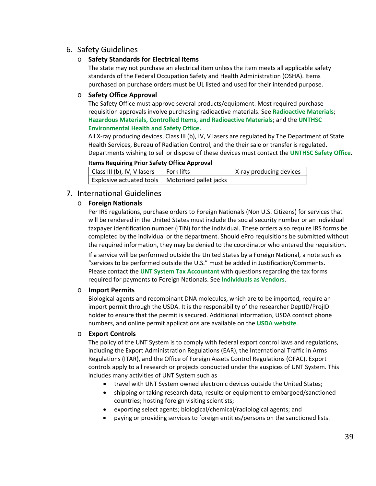# 6. Safety Guidelines

# o **Safety Standards for Electrical Items**

The state may not purchase an electrical item unless the item meets all applicable safety standards of the Federal Occupation Safety and Health Administration (OSHA). Items purchased on purchase orders must be UL listed and used for their intended purpose.

# o **Safety Office Approval**

The Safety Office must approve several products/equipment. Most required purchase requisition approvals involve purchasing radioactive materials. See **[Radioactive Materials](#page-36-1)**; **[Hazardous Materials, Controlled Items, and Radioactive Materials](#page-37-0)**; and the **[UNTHSC](https://www.unthsc.edu/safety/)  [Environmental Health and Safety Office.](https://www.unthsc.edu/safety/)**

All X-ray producing devices, Class III (b), IV, V lasers are regulated by The Department of State Health Services, Bureau of Radiation Control, and the their sale or transfer is regulated. Departments wishing to sell or dispose of these devices must contact the **[UNTHSC Safety Office](mailto:SafetyOffice@unthsc.edu)**.

### **Items Requiring Prior Safety Office Approval**

| Class III (b), IV, V lasers                       | l Fork lifts | X-ray producing devices |
|---------------------------------------------------|--------------|-------------------------|
| Explosive actuated tools   Motorized pallet jacks |              |                         |

# 7. International Guidelines

# o **Foreign Nationals**

Per IRS regulations, purchase orders to Foreign Nationals (Non U.S. Citizens) for services that will be rendered in the United States must include the social security number or an individual taxpayer identification number (ITIN) for the individual. These orders also require IRS forms be completed by the individual or the department. Should ePro requisitions be submitted without the required information, they may be denied to the coordinator who entered the requisition.

If a service will be performed outside the United States by a Foreign National, a note such as "services to be performed outside the U.S." must be added in Justification/Comments. Please contact the **UNT System [Tax Accountant](mailto:tax@untsystem.edu)** with questions regarding the tax forms required for payments to Foreign Nationals. See **[Individuals as Vendors](#page-13-0)**.

# o **Import Permits**

Biological agents and recombinant DNA molecules, which are to be imported, require an import permit through the USDA. It is the responsibility of the researcher DeptID/ProjID holder to ensure that the permit is secured. Additional information, USDA contact phone numbers, and online permit applications are available on the **[USDA website](http://www.aphis.usda.gov/import_export/animals/animal_import/animal_imports_anp%20%20%20roduct%20s.shtml)**.

# o **Export Controls**

The policy of the UNT System is to comply with federal export control laws and regulations, including the Export Administration Regulations (EAR), the International Traffic in Arms Regulations (ITAR), and the Office of Foreign Assets Control Regulations (OFAC). Export controls apply to all research or projects conducted under the auspices of UNT System. This includes many activities of UNT System such as

- travel with UNT System owned electronic devices outside the United States;
- shipping or taking research data, results or equipment to embargoed/sanctioned countries; hosting foreign visiting scientists;
- exporting select agents; biological/chemical/radiological agents; and
- paying or providing services to foreign entities/persons on the sanctioned lists.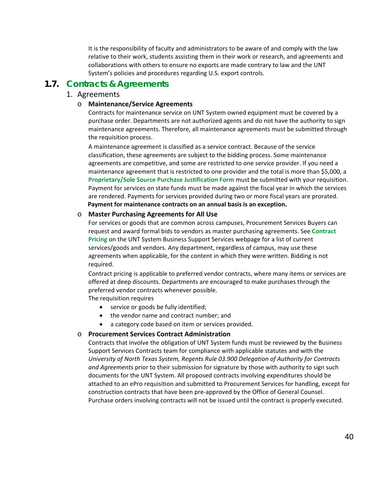It is the responsibility of faculty and administrators to be aware of and comply with the law relative to their work, students assisting them in their work or research, and agreements and collaborations with others to ensure no exports are made contrary to law and the UNT System's policies and procedures regarding U.S. export controls.

# **1.7. Contracts & Agreements**

# 1. Agreements

### o **Maintenance/Service Agreements**

Contracts for maintenance service on UNT System owned equipment must be covered by a purchase order. Departments are not authorized agents and do not have the authority to sign maintenance agreements. Therefore, all maintenance agreements must be submitted through the requisition process.

A maintenance agreement is classified as a service contract. Because of the service classification, these agreements are subject to the bidding process. Some maintenance agreements are competitive, and some are restricted to one service provider. If you need a maintenance agreement that is restricted to one provider and the total is more than \$5,000, a **[Proprietary/Sole Source Purchase Justification Form](http://www.untsystem.edu/sites/default/files/forms/procurement/proprietary_sole_source_purchase_justification.pdf)** must be submitted with your requisition. Payment for services on state funds must be made against the fiscal year in which the services are rendered. Payments for services provided during two or more fiscal years are prorated. **Payment for maintenance contracts on an annual basis is an exception.**

### o **Master Purchasing Agreements for All Use**

For services or goods that are common across campuses, Procurement Services Buyers can request and award formal bids to vendors as master purchasing agreements. See **[Contract](https://www.untsystem.edu/hr-it-business-services/procurement/purchasing/cooperatives-and-contract-pricing) Pricing** [on the UNT System Business Support Services webpage for a list of current](https://www.untsystem.edu/hr-it-business-services/procurement/purchasing/cooperatives-and-contract-pricing)  [services/goods and vendors.](https://www.untsystem.edu/hr-it-business-services/procurement/purchasing/cooperatives-and-contract-pricing) Any department, regardless of campus, may use these agreements when applicable, for the content in which they were written. Bidding is not required.

Contract pricing is applicable to preferred vendor contracts, where many items or services are offered at deep discounts. Departments are encouraged to make purchases through the preferred vendor contracts whenever possible.

The requisition requires

- service or goods be fully identified;
- the vendor name and contract number; and
- a category code based on item or services provided.

# o **Procurement Services Contract Administration**

Contracts that involve the obligation of UNT System funds must be reviewed by the Business Support Services Contracts team for compliance with applicable statutes and with the *University of North Texas System, Regents Rule 03.900 Delegation of Authority for Contracts and Agreements* prior to their submission for signature by those with authority to sign such documents for the UNT System. All proposed contracts involving expenditures should be attached to an ePro requisition and submitted to Procurement Services for handling, except for construction contracts that have been pre-approved by the Office of General Counsel. Purchase orders involving contracts will not be issued until the contract is properly executed.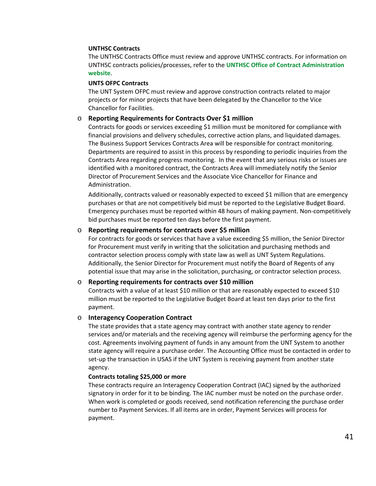#### **UNTHSC Contracts**

The UNTHSC Contracts Office must review and approve UNTHSC contracts. For information on UNTHSC contracts policies/processes, refer to the **[UNTHSC Office of Contract Administration](http://web.unthsc.edu/hscsites/OfficeofContractAdministration/)  [website](http://web.unthsc.edu/hscsites/OfficeofContractAdministration/)**.

#### **UNTS OFPC Contracts**

The UNT System OFPC must review and approve construction contracts related to major projects or for minor projects that have been delegated by the Chancellor to the Vice Chancellor for Facilities.

### o **Reporting Requirements for Contracts Over \$1 million**

Contracts for goods or services exceeding \$1 million must be monitored for compliance with financial provisions and delivery schedules, corrective action plans, and liquidated damages. The Business Support Services Contracts Area will be responsible for contract monitoring. Departments are required to assist in this process by responding to periodic inquiries from the Contracts Area regarding progress monitoring. In the event that any serious risks or issues are identified with a monitored contract, the Contracts Area will immediately notify the Senior Director of Procurement Services and the Associate Vice Chancellor for Finance and Administration.

Additionally, contracts valued or reasonably expected to exceed \$1 million that are emergency purchases or that are not competitively bid must be reported to the Legislative Budget Board. Emergency purchases must be reported within 48 hours of making payment. Non-competitively bid purchases must be reported ten days before the first payment.

#### o **Reporting requirements for contracts over \$5 million**

For contracts for goods or services that have a value exceeding \$5 million, the Senior Director for Procurement must verify in writing that the solicitation and purchasing methods and contractor selection process comply with state law as well as UNT System Regulations. Additionally, the Senior Director for Procurement must notify the Board of Regents of any potential issue that may arise in the solicitation, purchasing, or contractor selection process.

#### o **Reporting requirements for contracts over \$10 million**

Contracts with a value of at least \$10 million or that are reasonably expected to exceed \$10 million must be reported to the Legislative Budget Board at least ten days prior to the first payment.

#### o **Interagency Cooperation Contract**

The state provides that a state agency may contract with another state agency to render services and/or materials and the receiving agency will reimburse the performing agency for the cost. Agreements involving payment of funds in any amount from the UNT System to another state agency will require a purchase order. The Accounting Office must be contacted in order to set-up the transaction in USAS if the UNT System is receiving payment from another state agency.

#### **Contracts totaling \$25,000 or more**

These contracts require an Interagency Cooperation Contract (IAC) signed by the authorized signatory in order for it to be binding. The IAC number must be noted on the purchase order. When work is completed or goods received, send notification referencing the purchase order number to Payment Services. If all items are in order, Payment Services will process for payment.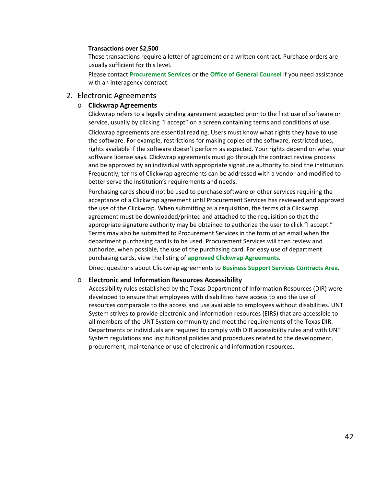#### **Transactions over \$2,500**

These transactions require a letter of agreement or a written contract. Purchase orders are usually sufficient for this level.

Please contact **[Procurement Services](mailto:purchasing@untsystem.edu)** or the **[Office of General Counsel](https://www.untsystem.edu/service-teams/general-counsel)** if you need assistance with an interagency contract.

### 2. Electronic Agreements

#### o **Clickwrap Agreements**

Clickwrap refers to a legally binding agreement accepted prior to the first use of software or service, usually by clicking "I accept" on a screen containing terms and conditions of use.

Clickwrap agreements are essential reading. Users must know what rights they have to use the software. For example, restrictions for making copies of the software, restricted uses, rights available if the software doesn't perform as expected. Your rights depend on what your software license says. Clickwrap agreements must go through the contract review process and be approved by an individual with appropriate signature authority to bind the institution. Frequently, terms of Clickwrap agreements can be addressed with a vendor and modified to better serve the institution's requirements and needs.

Purchasing cards should not be used to purchase software or other services requiring the acceptance of a Clickwrap agreement until Procurement Services has reviewed and approved the use of the Clickwrap. When submitting as a requisition, the terms of a Clickwrap agreement must be downloaded/printed and attached to the requisition so that the appropriate signature authority may be obtained to authorize the user to click "I accept." Terms may also be submitted to Procurement Services in the form of an email when the department purchasing card is to be used. Procurement Services will then review and authorize, when possible, the use of the purchasing card. For easy use of department purchasing cards, view the listing of **approved [Clickwrap Agreements](https://www.untsystem.edu/sites/default/files/click_wrap_approved_list_0.pdf)**.

Direct questions about Clickwrap agreements to **[Business Support Services Contracts Area](mailto:bsc.contracts@untsystem.edu)**.

#### o **Electronic and Information Resources Accessibility**

Accessibility rules established by the Texas Department of Information Resources (DIR) were developed to ensure that employees with disabilities have access to and the use of resources comparable to the access and use available to employees without disabilities. UNT System strives to provide electronic and information resources (EIRS) that are accessible to all members of the UNT System community and meet the requirements of the Texas DIR. Departments or individuals are required to comply with DIR accessibility rules and with UNT System regulations and institutional policies and procedures related to the development, procurement, maintenance or use of electronic and information resources.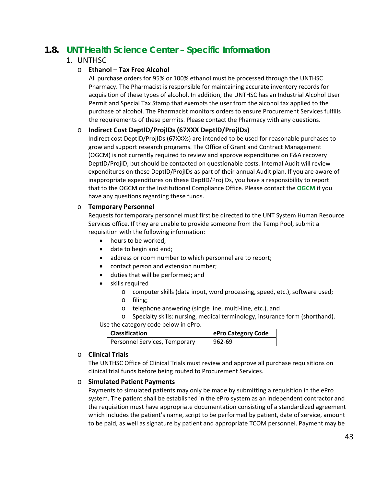# **1.8. UNT Health Science Center – Specific Information**

# 1. UNTHSC

# o **Ethanol – Tax Free Alcohol**

All purchase orders for 95% or 100% ethanol must be processed through the UNTHSC Pharmacy. The Pharmacist is responsible for maintaining accurate inventory records for acquisition of these types of alcohol. In addition, the UNTHSC has an Industrial Alcohol User Permit and Special Tax Stamp that exempts the user from the alcohol tax applied to the purchase of alcohol. The Pharmacist monitors orders to ensure Procurement Services fulfills the requirements of these permits. Please contact the Pharmacy with any questions.

# o **Indirect Cost DeptID/ProjIDs (67XXX DeptID/ProjIDs)**

Indirect cost DeptID/ProjIDs (67XXXs) are intended to be used for reasonable purchases to grow and support research programs. The Office of Grant and Contract Management (OGCM) is not currently required to review and approve expenditures on F&A recovery DeptID/ProjID, but should be contacted on questionable costs. Internal Audit will review expenditures on these DeptID/ProjIDs as part of their annual Audit plan. If you are aware of inappropriate expenditures on these DeptID/ProjIDs, you have a responsibility to report that to the OGCM or the Institutional Compliance Office. Please contact the **[OGCM](mailto:ogcmext@unthsc.edu)** if you have any questions regarding these funds.

# o **Temporary Personnel**

Requests for temporary personnel must first be directed to the UNT System Human Resource Services office. If they are unable to provide someone from the Temp Pool, submit a requisition with the following information:

- hours to be worked;
- date to begin and end;
- address or room number to which personnel are to report;
- contact person and extension number;
- duties that will be performed; and
- skills required
	- o computer skills (data input, word processing, speed, etc.), software used;
	- o filing;
		- o telephone answering (single line, multi-line, etc.), and
		- o Specialty skills: nursing, medical terminology, insurance form (shorthand).

Use the category code below in ePro.

| Classification                | ePro Category Code |
|-------------------------------|--------------------|
| Personnel Services, Temporary | 962-69             |

# o **Clinical Trials**

The UNTHSC Office of Clinical Trials must review and approve all purchase requisitions on clinical trial funds before being routed to Procurement Services.

# <span id="page-42-0"></span>o **Simulated Patient Payments**

Payments to simulated patients may only be made by submitting a requisition in the ePro system. The patient shall be established in the ePro system as an independent contractor and the requisition must have appropriate documentation consisting of a standardized agreement which includes the patient's name, script to be performed by patient, date of service, amount to be paid, as well as signature by patient and appropriate TCOM personnel. Payment may be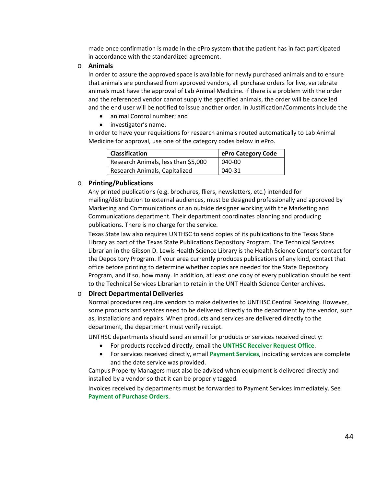made once confirmation is made in the ePro system that the patient has in fact participated in accordance with the standardized agreement.

#### o **Animals**

In order to assure the approved space is available for newly purchased animals and to ensure that animals are purchased from approved vendors, all purchase orders for live, vertebrate animals must have the approval of Lab Animal Medicine. If there is a problem with the order and the referenced vendor cannot supply the specified animals, the order will be cancelled and the end user will be notified to issue another order. In Justification/Comments include the

- animal Control number; and
- investigator's name.

In order to have your requisitions for research animals routed automatically to Lab Animal Medicine for approval, use one of the category codes below in ePro.

| <b>Classification</b>               | ePro Category Code |
|-------------------------------------|--------------------|
| Research Animals, less than \$5,000 | 040-00             |
| Research Animals, Capitalized       | 040-31             |

#### <span id="page-43-0"></span>o **Printing/Publications**

Any printed publications (e.g. brochures, fliers, newsletters, etc.) intended for mailing/distribution to external audiences, must be designed professionally and approved by Marketing and Communications or an outside designer working with the Marketing and Communications department. Their department coordinates planning and producing publications. There is no charge for the service.

Texas State law also requires UNTHSC to send copies of its publications to the Texas State Library as part of the Texas State Publications Depository Program. The Technical Services Librarian in the Gibson D. Lewis Health Science Library is the Health Science Center's contact for the Depository Program. If your area currently produces publications of any kind, contact that office before printing to determine whether copies are needed for the State Depository Program, and if so, how many. In addition, at least one copy of every publication should be sent to the Technical Services Librarian to retain in the UNT Health Science Center archives.

#### o **Direct Departmental Deliveries**

Normal procedures require vendors to make deliveries to UNTHSC Central Receiving. However, some products and services need to be delivered directly to the department by the vendor, such as, installations and repairs. When products and services are delivered directly to the department, the department must verify receipt.

UNTHSC departments should send an email for products or services received directly:

- For products received directly, email the **[UNTHSC Receiver Request Office](mailto:receiver@unthsc.edu)**.
- For services received directly, email **[Payment Services](mailto:invoices@untsystem.edu)**, indicating services are complete and the date service was provided.

Campus Property Managers must also be advised when equipment is delivered directly and installed by a vendor so that it can be properly tagged.

Invoices received by departments must be forwarded to Payment Services immediately. See **[Payment of Purchase Orders](#page-14-0)**.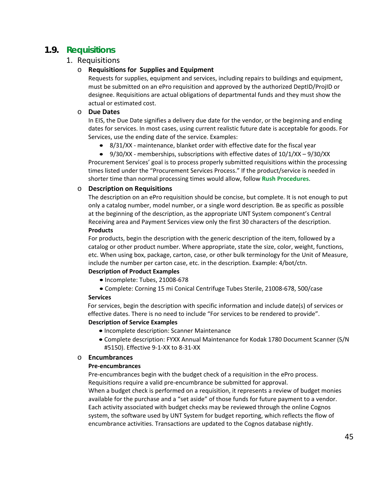# **1.9. Requisitions**

# 1. Requisitions

# o **Requisitions for Supplies and Equipment**

Requests for supplies, equipment and services, including repairs to buildings and equipment, must be submitted on an ePro requisition and approved by the authorized DeptID/ProjID or designee. Requisitions are actual obligations of departmental funds and they must show the actual or estimated cost.

#### o **Due Dates**

In EIS, the Due Date signifies a delivery due date for the vendor, or the beginning and ending dates for services. In most cases, using current realistic future date is acceptable for goods. For Services, use the ending date of the service. Examples:

• 8/31/XX - maintenance, blanket order with effective date for the fiscal year

• 9/30/XX - memberships, subscriptions with effective dates of 10/1/XX – 9/30/XX Procurement Services' goal is to process properly submitted requisitions within the processing times listed under the "Procurement Services Process." If the product/service is needed in shorter time than normal processing times would allow, follow **[Rush Procedures](#page-18-0)**.

### o **Description on Requisitions**

The description on an ePro requisition should be concise, but complete. It is not enough to put only a catalog number, model number, or a single word description. Be as specific as possible at the beginning of the description, as the appropriate UNT System component's Central Receiving area and Payment Services view only the first 30 characters of the description. **Products**

For products, begin the description with the generic description of the item, followed by a catalog or other product number. Where appropriate, state the size, color, weight, functions, etc. When using box, package, carton, case, or other bulk terminology for the Unit of Measure, include the number per carton case, etc. in the description. Example: 4/bot/ctn.

# **Description of Product Examples**

- Incomplete: Tubes, 21008-678
- Complete: Corning 15 mi Conical Centrifuge Tubes Sterile, 21008-678, 500/case

#### **Services**

For services, begin the description with specific information and include date(s) of services or effective dates. There is no need to include "For services to be rendered to provide".

#### **Description of Service Examples**

- Incomplete description: Scanner Maintenance
- Complete description: FYXX Annual Maintenance for Kodak 1780 Document Scanner (S/N #5150). Effective 9-1-XX to 8-31-XX

#### o **Encumbrances**

#### **Pre-encumbrances**

Pre-encumbrances begin with the budget check of a requisition in the ePro process. Requisitions require a valid pre-encumbrance be submitted for approval. When a budget check is performed on a requisition, it represents a review of budget monies available for the purchase and a "set aside" of those funds for future payment to a vendor. Each activity associated with budget checks may be reviewed through the online Cognos system, the software used by UNT System for budget reporting, which reflects the flow of encumbrance activities. Transactions are updated to the Cognos database nightly.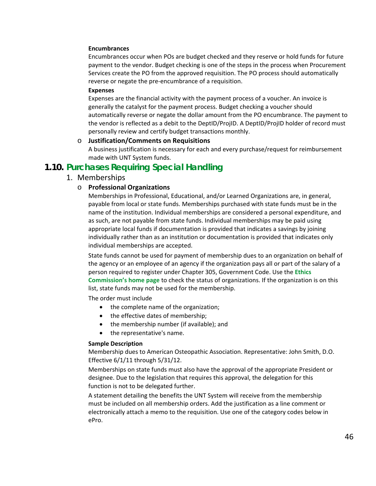#### **Encumbrances**

Encumbrances occur when POs are budget checked and they reserve or hold funds for future payment to the vendor. Budget checking is one of the steps in the process when Procurement Services create the PO from the approved requisition. The PO process should automatically reverse or negate the pre-encumbrance of a requisition.

#### **Expenses**

Expenses are the financial activity with the payment process of a voucher. An invoice is generally the catalyst for the payment process. Budget checking a voucher should automatically reverse or negate the dollar amount from the PO encumbrance. The payment to the vendor is reflected as a debit to the DeptID/ProjID. A DeptID/ProjID holder of record must personally review and certify budget transactions monthly.

#### o **Justification/Comments on Requisitions**

A business justification is necessary for each and every purchase/request for reimbursement made with UNT System funds.

# **1.10. Purchases Requiring Special Handling**

### 1. Memberships

#### o **Professional Organizations**

Memberships in Professional, Educational, and/or Learned Organizations are, in general, payable from local or state funds. Memberships purchased with state funds must be in the name of the institution. Individual memberships are considered a personal expenditure, and as such, are not payable from state funds. Individual memberships may be paid using appropriate local funds if documentation is provided that indicates a savings by joining individually rather than as an institution or documentation is provided that indicates only individual memberships are accepted.

State funds cannot be used for payment of membership dues to an organization on behalf of the agency or an employee of an agency if the organization pays all or part of the salary of a person required to register under Chapter 305, Government Code. Use the **[Ethics](http://www.ethics.state.tx.us/)  [Commission's home page](http://www.ethics.state.tx.us/)** to check the status of organizations. If the organization is on this list, state funds may not be used for the membership.

The order must include

- the complete name of the organization;
- the effective dates of membership;
- the membership number (if available); and
- the representative's name.

#### **Sample Description**

Membership dues to American Osteopathic Association. Representative: John Smith, D.O. Effective 6/1/11 through 5/31/12.

Memberships on state funds must also have the approval of the appropriate President or designee. Due to the legislation that requires this approval, the delegation for this function is not to be delegated further.

A statement detailing the benefits the UNT System will receive from the membership must be included on all membership orders. Add the justification as a line comment or electronically attach a memo to the requisition. Use one of the category codes below in ePro.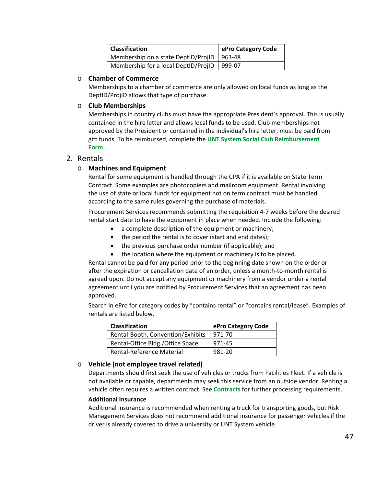| <b>Classification</b>                | ePro Category Code |
|--------------------------------------|--------------------|
| Membership on a state DeptID/ProjID  | 963-48             |
| Membership for a local DeptID/ProjID | 999-07             |

### o **Chamber of Commerce**

Memberships to a chamber of commerce are only allowed on local funds as long as the DeptID/ProjID allows that type of purchase.

### o **Club Memberships**

Memberships in country clubs must have the appropriate President's approval. This is usually contained in the hire letter and allows local funds to be used. Club memberships not approved by the President or contained in the individual's hire letter, must be paid from gift funds. To be reimbursed, complete the **[UNT System Social Club Reimbursement](https://www.untsystem.edu/sites/default/files/forms/payroll-travel/club_reimbursement_form.pdf)  [Form](https://www.untsystem.edu/sites/default/files/forms/payroll-travel/club_reimbursement_form.pdf)**.

# 2. Rentals

# o **Machines and Equipment**

Rental for some equipment is handled through the CPA if it is available on State Term Contract. Some examples are photocopiers and mailroom equipment. Rental involving the use of state or local funds for equipment not on term contract must be handled according to the same rules governing the purchase of materials.

Procurement Services recommends submitting the requisition 4-7 weeks before the desired rental start date to have the equipment in place when needed. Include the following:

- a complete description of the equipment or machinery;
- the period the rental is to cover (start and end dates);
- the previous purchase order number (if applicable); and
- the location where the equipment or machinery is to be placed.

Rental cannot be paid for any period prior to the beginning date shown on the order or after the expiration or cancellation date of an order, unless a month-to-month rental is agreed upon. Do not accept any equipment or machinery from a vendor under a rental agreement until you are notified by Procurement Services that an agreement has been approved.

Search in ePro for category codes by "contains rental" or "contains rental/lease". Examples of rentals are listed below.

| <b>Classification</b>             | ePro Category Code |
|-----------------------------------|--------------------|
| Rental-Booth, Convention/Exhibits | 971-70             |
| Rental-Office Bldg./Office Space  | 971-45             |
| Rental-Reference Material         | 981-20             |

# o **Vehicle (not employee travel related)**

Departments should first seek the use of vehicles or trucks from Facilities Fleet. If a vehicle is not available or capable, departments may seek this service from an outside vendor. Renting a vehicle often requires a written contract. See **[Contracts](#page-33-0)** for further processing requirements.

#### **Additional Insurance**

Additional insurance is recommended when renting a truck for transporting goods, but Risk Management Services does not recommend additional insurance for passenger vehicles if the driver is already covered to drive a university or UNT System vehicle.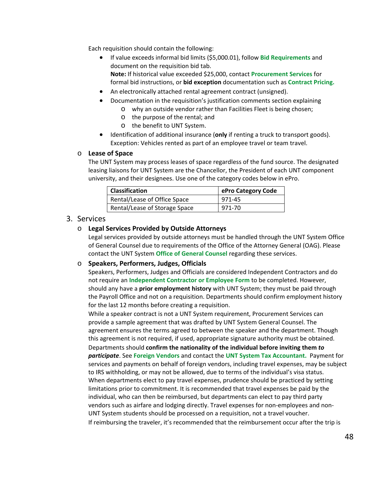Each requisition should contain the following:

• If value exceeds informal bid limits (\$5,000.01), follow **[Bid Requirements](#page-26-0)** and document on the requisition bid tab. **Note:** If historical value exceeded \$25,000, contact **[Procurement Services](mailto:purchasing@untsystem.edu)** for

formal bid instructions, or **bid exception** documentation such as **[Contract Pricing.](https://www.untsystem.edu/hr-it-business-services/procurement/purchasing/cooperatives-and-contract-pricing)**

- An electronically attached rental agreement contract (unsigned).
- Documentation in the requisition's justification comments section explaining
	- o why an outside vendor rather than Facilities Fleet is being chosen;
		- o the purpose of the rental; and
		- o the benefit to UNT System.
- Identification of additional insurance (**only** if renting a truck to transport goods). Exception: Vehicles rented as part of an employee travel or team travel.

### o **Lease of Space**

The UNT System may process leases of space regardless of the fund source. The designated leasing liaisons for UNT System are the Chancellor, the President of each UNT component university, and their designees. Use one of the category codes below in ePro.

| <b>Classification</b>         | ePro Category Code |
|-------------------------------|--------------------|
| Rental/Lease of Office Space  | 971-45             |
| Rental/Lease of Storage Space | 971-70             |

# 3. Services

# o **Legal Services Provided by Outside Attorneys**

Legal services provided by outside attorneys must be handled through the UNT System Office of General Counsel due to requirements of the Office of the Attorney General (OAG). Please contact the UNT System **[Office of General Counsel](https://www.untsystem.edu/service-teams/general-counsel)** regarding these services.

# o **Speakers, Performers, Judges, Officials**

Speakers, Performers, Judges and Officials are considered Independent Contractors and do not require an **[Independent Contractor](https://www.untsystem.edu/sites/default/files/forms/procurement/unt_system_independent_contractor.pdf) or Employee Form** to be completed. However, should any have a **prior employment history** with UNT System; they must be paid through the Payroll Office and not on a requisition. Departments should confirm employment history for the last 12 months before creating a requisition.

While a speaker contract is not a UNT System requirement, Procurement Services can provide a sample agreement that was drafted by UNT System General Counsel. The agreement ensures the terms agreed to between the speaker and the department. Though this agreement is not required, if used, appropriate signature authority must be obtained.

Departments should **confirm the nationality of the individual before inviting them** *to participate*. See **[Foreign Vendors](https://www.untsystem.edu/hr-it-business-services/procurement/purchasing/payment/payment-functions)** and contact the **[UNT System Tax Accountant.](mailto:tax@untsystem.edu)** Payment for services and payments on behalf of foreign vendors, including travel expenses, may be subject to IRS withholding, or may not be allowed, due to terms of the individual's visa status. When departments elect to pay travel expenses, prudence should be practiced by setting limitations prior to commitment. It is recommended that travel expenses be paid by the individual, who can then be reimbursed, but departments can elect to pay third party vendors such as airfare and lodging directly. Travel expenses for non-employees and non-UNT System students should be processed on a requisition, not a travel voucher. If reimbursing the traveler, it's recommended that the reimbursement occur after the trip is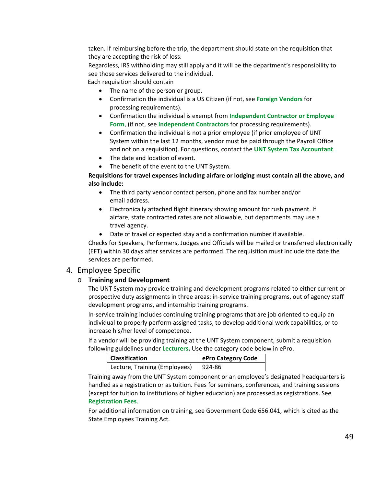taken. If reimbursing before the trip, the department should state on the requisition that they are accepting the risk of loss.

Regardless, IRS withholding may still apply and it will be the department's responsibility to see those services delivered to the individual.

Each requisition should contain

- The name of the person or group.
- Confirmation the individual is a US Citizen (if not, see **[Foreign Vendors](https://www.untsystem.edu/hr-it-business-services/procurement/purchasing/payment/payment-functions)** for processing requirements).
- Confirmation the individual is exempt from **[Independent Contractor or Employee](https://www.untsystem.edu/sites/default/files/forms/procurement/unt_system_independent_contractor.pdf)  [Form](https://www.untsystem.edu/sites/default/files/forms/procurement/unt_system_independent_contractor.pdf)**, (if not, see **[Independent Contractors](https://www.untsystem.edu/hr-it-business-services/procurement/purchasing/payment/independent-contractors)** for processing requirements).
- Confirmation the individual is not a prior employee (if prior employee of UNT System within the last 12 months, vendor must be paid through the Payroll Office and not on a requisition). For questions, contact the **[UNT System Tax Accountant](mailto:tax@untsystem.edu)**.
- The date and location of event.
- The benefit of the event to the UNT System.

# **Requisitions for travel expenses including airfare or lodging must contain all the above, and also include:**

- The third party vendor contact person, phone and fax number and/or email address.
- Electronically attached flight itinerary showing amount for rush payment. If airfare, state contracted rates are not allowable, but departments may use a travel agency.
- Date of travel or expected stay and a confirmation number if available.

Checks for Speakers, Performers, Judges and Officials will be mailed or transferred electronically (EFT) within 30 days after services are performed. The requisition must include the date the services are performed.

# 4. Employee Specific

# o **Training and Development**

The UNT System may provide training and development programs related to either current or prospective duty assignments in three areas: in-service training programs, out of agency staff development programs, and internship training programs.

In-service training includes continuing training programs that are job oriented to equip an individual to properly perform assigned tasks, to develop additional work capabilities, or to increase his/her level of competence.

If a vendor will be providing training at the UNT System component, submit a requisition following guidelines under **[Lecturers.](#page-30-0)** Use the category code below in ePro.

| <b>Classification</b>         | ePro Category Code |
|-------------------------------|--------------------|
| Lecture, Training (Employees) | 924-86             |

Training away from the UNT System component or an employee's designated headquarters is handled as a registration or as tuition. Fees for seminars, conferences, and training sessions (except for tuition to institutions of higher education) are processed as registrations. See **[Registration Fees](#page-52-0)**.

For additional information on training, see Government Code 656.041, which is cited as the State Employees Training Act.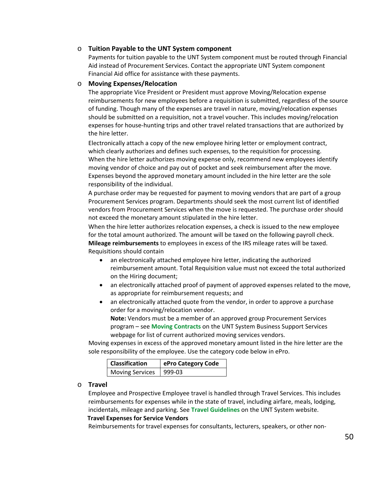### o **Tuition Payable to the UNT System component**

Payments for tuition payable to the UNT System component must be routed through Financial Aid instead of Procurement Services. Contact the appropriate UNT System component Financial Aid office for assistance with these payments.

#### o **Moving Expenses/Relocation**

The appropriate Vice President or President must approve Moving/Relocation expense reimbursements for new employees before a requisition is submitted, regardless of the source of funding. Though many of the expenses are travel in nature, moving/relocation expenses should be submitted on a requisition, not a travel voucher. This includes moving/relocation expenses for house-hunting trips and other travel related transactions that are authorized by the hire letter.

Electronically attach a copy of the new employee hiring letter or employment contract, which clearly authorizes and defines such expenses, to the requisition for processing. When the hire letter authorizes moving expense only, recommend new employees identify moving vendor of choice and pay out of pocket and seek reimbursement after the move. Expenses beyond the approved monetary amount included in the hire letter are the sole responsibility of the individual.

A purchase order may be requested for payment to moving vendors that are part of a group Procurement Services program. Departments should seek the most current list of identified vendors from Procurement Services when the move is requested. The purchase order should not exceed the monetary amount stipulated in the hire letter.

When the hire letter authorizes relocation expenses, a check is issued to the new employee for the total amount authorized. The amount will be taxed on the following payroll check. **Mileage reimbursements** to employees in excess of the IRS mileage rates will be taxed. Requisitions should contain

- an electronically attached employee hire letter, indicating the authorized reimbursement amount. Total Requisition value must not exceed the total authorized on the Hiring document;
- an electronically attached proof of payment of approved expenses related to the move, as appropriate for reimbursement requests; and
- an electronically attached quote from the vendor, in order to approve a purchase order for a moving/relocation vendor.

**Note:** Vendors must be a member of an approved group Procurement Services program – see **Moving Contracts** [on the UNT System Business Support Services](https://www.untsystem.edu/hr-it-business-services/procurement/purchasing/moving-services)  [webpage](https://www.untsystem.edu/hr-it-business-services/procurement/purchasing/moving-services) for list of current authorized moving services vendors.

Moving expenses in excess of the approved monetary amount listed in the hire letter are the sole responsibility of the employee. Use the category code below in ePro.

| <b>Classification</b>  | ePro Category Code |
|------------------------|--------------------|
| <b>Moving Services</b> | $999-03$           |

#### o **Travel**

Employee and Prospective Employee travel is handled through Travel Services. This includes reimbursements for expenses while in the state of travel, including airfare, meals, lodging, incidentals, mileage and parking. See **[Travel Guidelines](https://www.untsystem.edu/sites/default/files/unt_system_travel_guidelines.pdf)** on the UNT System website.

#### **Travel Expenses for Service Vendors**

Reimbursements for travel expenses for consultants, lecturers, speakers, or other non-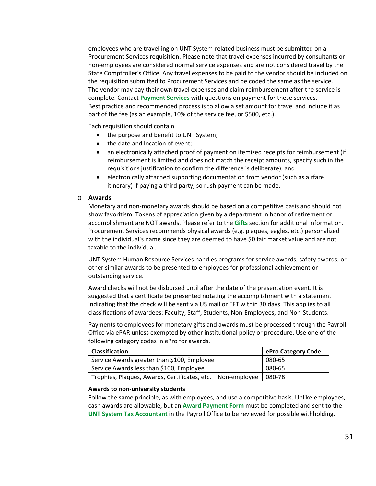employees who are travelling on UNT System-related business must be submitted on a Procurement Services requisition. Please note that travel expenses incurred by consultants or non-employees are considered normal service expenses and are not considered travel by the State Comptroller's Office. Any travel expenses to be paid to the vendor should be included on the requisition submitted to [Procurement Services](https://bsc.untsystem.edu/purchasing-home) and be coded the same as the service. The vendor may pay their own travel expenses and claim reimbursement after the service is complete. Contact **[Payment](mailto:invoices@untsystem.edu) Services** with questions on payment for these services. Best practice and recommended process is to allow a set amount for travel and include it as part of the fee (as an example, 10% of the service fee, or \$500, etc.).

Each requisition should contain

- the purpose and benefit to UNT System;
- the date and location of event;
- an electronically attached proof of payment on itemized receipts for reimbursement (if reimbursement is limited and does not match the receipt amounts, specify such in the requisitions justification to confirm the difference is deliberate); and
- electronically attached supporting documentation from vendor (such as airfare itinerary) if paying a third party, so rush payment can be made.

#### o **Awards**

Monetary and non-monetary awards should be based on a competitive basis and should not show favoritism. Tokens of appreciation given by a department in honor of retirement or accomplishment are NOT awards. Please refer to the **[Gifts](#page-7-0)** section for additional information. Procurement Services recommends physical awards (e.g. plaques, eagles, etc.) personalized with the individual's name since they are deemed to have \$0 fair market value and are not taxable to the individual.

UNT System Human Resource Services handles programs for service awards, safety awards, or other similar awards to be presented to employees for professional achievement or outstanding service.

Award checks will not be disbursed until after the date of the presentation event. It is suggested that a certificate be presented notating the accomplishment with a statement indicating that the check will be sent via US mail or EFT within 30 days. This applies to all classifications of awardees: Faculty, Staff, Students, Non-Employees, and Non-Students.

Payments to employees for monetary gifts and awards must be processed through the Payroll Office via ePAR unless exempted by other institutional policy or procedure. Use one of the following category codes in ePro for awards.

| <b>Classification</b>                                        | ePro Category Code |
|--------------------------------------------------------------|--------------------|
| Service Awards greater than \$100, Employee                  | 080-65             |
| Service Awards less than \$100, Employee                     | 080-65             |
| Trophies, Plaques, Awards, Certificates, etc. - Non-employee | 080-78             |

#### **Awards to non-university students**

Follow the same principle, as with employees, and use a competitive basis. Unlike employees, cash awards are allowable, but an **[Award Payment Form](https://www.untsystem.edu/sites/default/files/forms/procurement/award_payment_form.pdf)** must be completed and sent to the **UNT System [Tax Accountant](mailto:tax@untsystem.edu)** in the Payroll Office to be reviewed for possible withholding.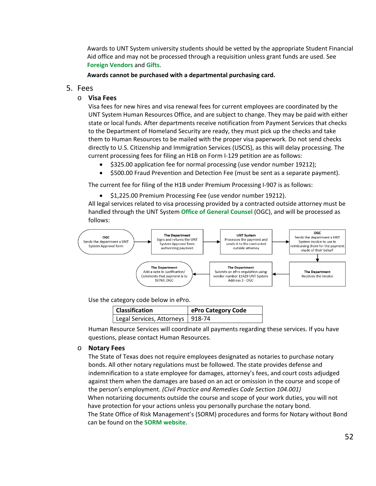Awards to UNT System university students should be vetted by the appropriate Student Financial Aid office and may not be processed through a requisition unless grant funds are used. See **[Foreign Vendors](https://www.untsystem.edu/hr-it-business-services/procurement/purchasing/payment/payment-functions)** and **[Gifts](#page-7-0)**.

**Awards cannot be purchased with a departmental purchasing card.**

# 5. Fees

# o **Visa Fees**

Visa fees for new hires and visa renewal fees for current employees are coordinated by the UNT System Human Resources Office, and are subject to change. They may be paid with either state or local funds. After departments receive notification from Payment Services that checks to the Department of Homeland Security are ready, they must pick up the checks and take them to Human Resources to be mailed with the proper visa paperwork. Do not send checks directly to U.S. Citizenship and Immigration Services (USCIS), as this will delay processing. The current processing fees for filing an H1B on Form I-129 petition are as follows:

- \$325.00 application fee for normal processing (use vendor number 19212);
- \$500.00 Fraud Prevention and Detection Fee (must be sent as a separate payment).

The current fee for filing of the H1B under Premium Processing I-907 is as follows:

• \$1,225.00 Premium Processing Fee (use vendor number 19212).

All legal services related to visa processing provided by a contracted outside attorney must be handled through the UNT System **[Office of General Counsel](https://www.untsystem.edu/service-teams/general-counsel)** (OGC), and will be processed as follows:



Use the category code below in ePro.

| <b>Classification</b>              | ePro Category Code |
|------------------------------------|--------------------|
| Legal Services, Attorneys   918-74 |                    |

Human Resource Services will coordinate all payments regarding these services. If you have questions, please contact Human Resources.

# o **Notary Fees**

The State of Texas does not require employees designated as notaries to purchase notary bonds. All other notary regulations must be followed. The state provides defense and indemnification to a state employee for damages, attorney's fees, and court costs adjudged against them when the damages are based on an act or omission in the course and scope of the person's employment. *(Civil Practice and Remedies Code Section 104.001)* When notarizing documents outside the course and scope of your work duties, you will not have protection for your actions unless you personally purchase the notary bond. The State Office of Risk Management's (SORM) procedures and forms for Notary without Bond can be found on the **[SORM website](https://www.sorm.state.tx.us/insurance-services/forms-for-texas-client-agencies)**.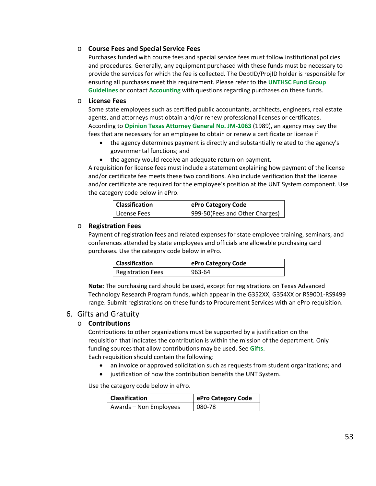### o **Course Fees and Special Service Fees**

Purchases funded with course fees and special service fees must follow institutional policies and procedures*.* Generally, any equipment purchased with these funds must be necessary to provide the services for which the fee is collected. The DeptID/ProjID holder is responsible for ensuring all purchases meet this requirement. Please refer to the **[UNTHSC Fund Group](https://www.unthsc.edu/administrative/wp-content/uploads/sites/23/ProcedureFundGroupGuidelinesAcctg.pdf)  [Guidelines](https://www.unthsc.edu/administrative/wp-content/uploads/sites/23/ProcedureFundGroupGuidelinesAcctg.pdf)** or contact **[Accounting](https://www.unthsc.edu/administrative/office-of-accounting-2/contacts/)** with questions regarding purchases on these funds.

#### o **License Fees**

Some state employees such as certified public accountants, architects, engineers, real estate agents, and attorneys must obtain and/or renew professional licenses or certificates. According to **[Opinion Texas Attorney General No. JM-1063](https://www.texasattorneygeneral.gov/opinions/opinions/47mattox/op/1989/pdf/jm1063.pdf)** (1989), an agency may pay the fees that are necessary for an employee to obtain or renew a certificate or license if

- the agency determines payment is directly and substantially related to the agency's governmental functions; and
- the agency would receive an adequate return on payment.

A requisition for license fees must include a statement explaining how payment of the license and/or certificate fee meets these two conditions. Also include verification that the license and/or certificate are required for the employee's position at the UNT System component. Use the category code below in ePro.

| <b>Classification</b> | ePro Category Code             |
|-----------------------|--------------------------------|
| License Fees          | 999-50(Fees and Other Charges) |

# <span id="page-52-0"></span>o **Registration Fees**

Payment of registration fees and related expenses for state employee training, seminars, and conferences attended by state employees and officials are allowable purchasing card purchases. Use the category code below in ePro.

| Classification    | ePro Category Code |
|-------------------|--------------------|
| Registration Fees | 963-64             |

**Note:** The purchasing card should be used, except for registrations on Texas Advanced Technology Research Program funds, which appear in the G352XX, G354XX or RS9001-RS9499 range. Submit registrations on these funds to Procurement Services with an ePro requisition.

# 6. Gifts and Gratuity

# o **Contributions**

Contributions to other organizations must be supported by a justification on the requisition that indicates the contribution is within the mission of the department. Only funding sources that allow contributions may be used. See **[Gifts](#page-7-0)**.

Each requisition should contain the following:

- an invoice or approved solicitation such as requests from student organizations; and
- justification of how the contribution benefits the UNT System.

Use the category code below in ePro.

| <b>Classification</b>  | ePro Category Code |
|------------------------|--------------------|
| Awards - Non Employees | 080-78             |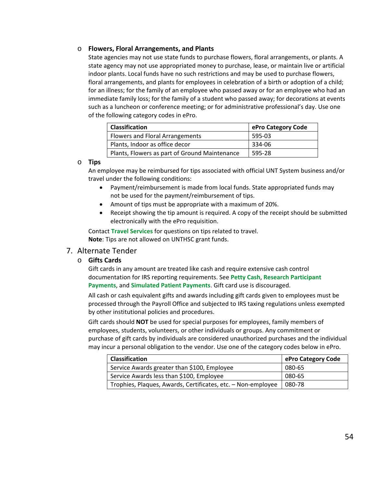### o **Flowers, Floral Arrangements, and Plants**

State agencies may not use state funds to purchase flowers, floral arrangements, or plants. A state agency may not use appropriated money to purchase, lease, or maintain live or artificial indoor plants. Local funds have no such restrictions and may be used to purchase flowers, floral arrangements, and plants for employees in celebration of a birth or adoption of a child; for an illness; for the family of an employee who passed away or for an employee who had an immediate family loss; for the family of a student who passed away; for decorations at events such as a luncheon or conference meeting; or for administrative professional's day. Use one of the following category codes in ePro.

| <b>Classification</b>                         | ePro Category Code |
|-----------------------------------------------|--------------------|
| Flowers and Floral Arrangements               | 595-03             |
| Plants, Indoor as office decor                | 334-06             |
| Plants, Flowers as part of Ground Maintenance | 595-28             |

### o **Tips**

An employee may be reimbursed for tips associated with official UNT System business and/or travel under the following conditions:

- Payment/reimbursement is made from local funds. State appropriated funds may not be used for the payment/reimbursement of tips.
- Amount of tips must be appropriate with a maximum of 20%.
- Receipt showing the tip amount is required. A copy of the receipt should be submitted electronically with the ePro requisition.

Contact **[Travel Services](mailto:bsc@untsystem.edu?subject=BSC%20Travel)** for questions on tips related to travel. **Note**: Tips are not allowed on UNTHSC grant funds.

# 7. Alternate Tender

# o **Gifts Cards**

Gift cards in any amount are treated like cash and require extensive cash control documentation for IRS reporting requirements. See **[Petty Cash](#page-53-0)**, **Research Participant Payments**, and **[Simulated Patient Payments](#page-42-0)**. Gift card use is discouraged.

All cash or cash equivalent gifts and awards including gift cards given to employees must be processed through the Payroll Office and subjected to IRS taxing regulations unless exempted by other institutional policies and procedures.

Gift cards should **NOT** be used for special purposes for employees, family members of employees, students, volunteers, or other individuals or groups. Any commitment or purchase of gift cards by individuals are considered unauthorized purchases and the individual may incur a personal obligation to the vendor. Use one of the category codes below in ePro.

<span id="page-53-0"></span>

| <b>Classification</b>                                        | ePro Category Code |
|--------------------------------------------------------------|--------------------|
| Service Awards greater than \$100, Employee                  | 080-65             |
| Service Awards less than \$100, Employee                     | 080-65             |
| Trophies, Plaques, Awards, Certificates, etc. - Non-employee | $1080 - 78$        |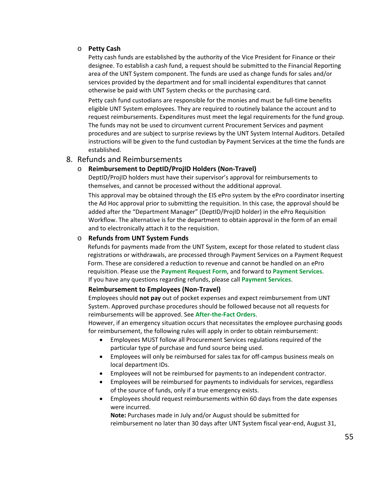### o **Petty Cash**

Petty cash funds are established by the authority of the Vice President for Finance or their designee. To establish a cash fund, a request should be submitted to the Financial Reporting area of the UNT System component. The funds are used as change funds for sales and/or services provided by the department and for small incidental expenditures that cannot otherwise be paid with UNT System checks or the purchasing card.

Petty cash fund custodians are responsible for the monies and must be full-time benefits eligible UNT System employees. They are required to routinely balance the account and to request reimbursements. Expenditures must meet the legal requirements for the fund group. The funds may not be used to circumvent current Procurement Services and payment procedures and are subject to surprise reviews by the UNT System Internal Auditors. Detailed instructions will be given to the fund custodian by Payment Services at the time the funds are established.

# <span id="page-54-1"></span>8. Refunds and Reimbursements

# o **Reimbursement to DeptID/ProjID Holders (Non-Travel)**

DeptID/ProjID holders must have their supervisor's approval for reimbursements to themselves, and cannot be processed without the additional approval.

This approval may be obtained through the EIS ePro system by the ePro coordinator inserting the Ad Hoc approval prior to submitting the requisition. In this case, the approval should be added after the "Department Manager" (DeptID/ProjID holder) in the ePro Requisition Workflow. The alternative is for the department to obtain approval in the form of an email and to electronically attach it to the requisition.

# o **Refunds from UNT System Funds**

Refunds for payments made from the UNT System, except for those related to student class registrations or withdrawals, are processed through Payment Services on a Payment Request Form. These are considered a reduction to revenue and cannot be handled on an ePro requisition. Please use the **Payment [Request Form](https://www.untsystem.edu/sites/default/files/forms/payroll-travel/payment_request_form.pdf)**, and forward to **[Payment Services](mailto:invoices@untsystem.edu)**. If you have any questions regarding refunds, please call **[Payment Services](https://www.untsystem.edu/hr-it-business-services/procurement/purchasing/payment/travel)**.

#### <span id="page-54-0"></span>**Reimbursement to Employees (Non-Travel)**

Employees should **not pay** out of pocket expenses and expect reimbursement from UNT System. Approved purchase procedures should be followed because not all requests for reimbursements will be approved. See **[After-the-Fact Orders](#page-19-0)**.

However, if an emergency situation occurs that necessitates the employee purchasing goods for reimbursement, the following rules will apply in order to obtain reimbursement:

- Employees MUST follow all Procurement Services regulations required of the particular type of purchase and fund source being used.
- Employees will only be reimbursed for sales tax for off-campus business meals on local department IDs.
- Employees will not be reimbursed for payments to an independent contractor.
- Employees will be reimbursed for payments to individuals for services, regardless of the source of funds, only if a true emergency exists.
- Employees should request reimbursements within 60 days from the date expenses were incurred.

**Note:** Purchases made in July and/or August should be submitted for reimbursement no later than 30 days after UNT System fiscal year-end, August 31,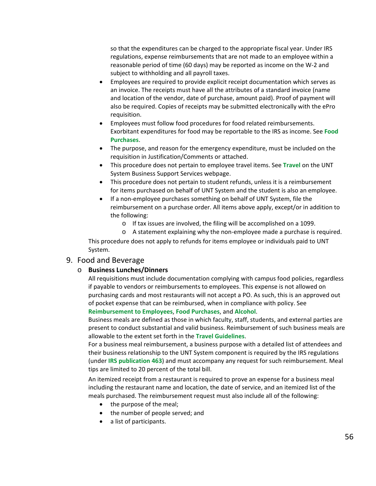so that the expenditures can be charged to the appropriate fiscal year. Under IRS regulations, expense reimbursements that are not made to an employee within a reasonable period of time (60 days) may be reported as income on the W-2 and subject to withholding and all payroll taxes.

- Employees are required to provide explicit receipt documentation which serves as an invoice. The receipts must have all the attributes of a standard invoice (name and location of the vendor, date of purchase, amount paid). Proof of payment will also be required. Copies of receipts may be submitted electronically with the ePro requisition.
- Employees must follow food procedures for food related reimbursements. Exorbitant expenditures for food may be reportable to the IRS as income. See **[Food](#page-56-0)  [Purchases](#page-56-0)**.
- The purpose, and reason for the emergency expenditure, must be included on the requisition in Justification/Comments or attached.
- This procedure does not pertain to employee travel items. See **[Travel](https://www.untsystem.edu/hr-it-business-services/procurement/purchasing/payment/travel)** on the UNT System Business Support Services webpage.
- This procedure does not pertain to student refunds, unless it is a reimbursement for items purchased on behalf of UNT System and the student is also an employee.
- If a non-employee purchases something on behalf of UNT System, file the reimbursement on a purchase order. All items above apply, except/or in addition to the following:
	- o If tax issues are involved, the filing will be accomplished on a 1099.
	- o A statement explaining why the non-employee made a purchase is required.

This procedure does not apply to refunds for items employee or individuals paid to UNT System.

#### <span id="page-55-0"></span>9. Food and Beverage

#### o **Business Lunches/Dinners**

All requisitions must include documentation complying with campus food policies, regardless if payable to vendors or reimbursements to employees. This expense is not allowed on purchasing cards and most restaurants will not accept a PO. As such, this is an approved out of pocket expense that can be reimbursed, when in compliance with policy. See **[Reimbursement to Employees](#page-54-0)**, **[Food Purchases](#page-56-0)**, and **[Alcohol](#page-56-1)**.

Business meals are defined as those in which faculty, staff, students, and external parties are present to conduct substantial and valid business. Reimbursement of such business meals are allowable to the extent set forth in the **[Travel Guidelines](https://www.untsystem.edu/sites/default/files/unt_system_travel_guidelines.pdf)**.

For a business meal reimbursement, a business purpose with a detailed list of attendees and their business relationship to the UNT System component is required by the IRS regulations (under **[IRS publication 463](http://www.irs.gov/pub/irs-pdf/p463.pdf)**) and must accompany any request for such reimbursement. Meal tips are limited to 20 percent of the total bill.

An itemized receipt from a restaurant is required to prove an expense for a business meal including the restaurant name and location, the date of service, and an itemized list of the meals purchased. The reimbursement request must also include all of the following:

- the purpose of the meal;
- the number of people served; and
- a list of participants.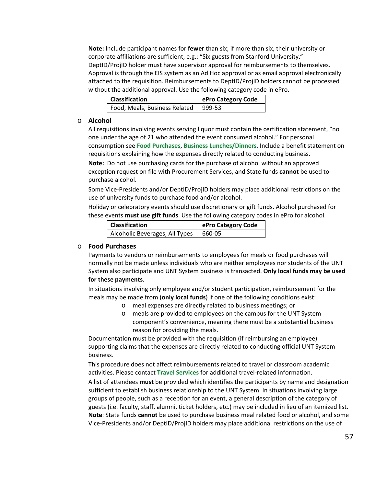**Note:** Include participant names for **fewer** than six; if more than six, their university or corporate affiliations are sufficient, e.g.: "Six guests from Stanford University." DeptID/ProjID holder must have supervisor approval for reimbursements to themselves. Approval is through the EIS system as an Ad Hoc approval or as email approval electronically attached to the requisition. Reimbursements to DeptID/ProjID holders cannot be processed without the additional approval. Use the following category code in ePro.

| Classification                | ePro Category Code |
|-------------------------------|--------------------|
| Food, Meals, Business Related | 999-53             |

#### <span id="page-56-1"></span>o **Alcohol**

All requisitions involving events serving liquor must contain the certification statement, "no one under the age of 21 who attended the event consumed alcohol." For personal consumption see **[Food Purchases](#page-56-0)**, **[Business Lunches/Dinners](#page-55-0)**. Include a benefit statement on requisitions explaining how the expenses directly related to conducting business.

**Note:** Do not use purchasing cards for the purchase of alcohol without an approved exception request on file with Procurement Services, and State funds **cannot** be used to purchase alcohol.

Some Vice-Presidents and/or DeptID/ProjID holders may place additional restrictions on the use of university funds to purchase food and/or alcohol.

Holiday or celebratory events should use discretionary or gift funds. Alcohol purchased for these events **must use gift funds**. Use the following category codes in ePro for alcohol.

| <b>Classification</b>          | ePro Category Code |
|--------------------------------|--------------------|
| Alcoholic Beverages, All Types | 660-05             |

### <span id="page-56-0"></span>o **Food Purchases**

Payments to vendors or reimbursements to employees for meals or food purchases will normally not be made unless individuals who are neither employees nor students of the UNT System also participate and UNT System business is transacted. **Only local funds may be used for these payments**.

In situations involving only employee and/or student participation, reimbursement for the meals may be made from (**only local funds**) if one of the following conditions exist:

- o meal expenses are directly related to business meetings; or
- o meals are provided to employees on the campus for the UNT System component's convenience, meaning there must be a substantial business reason for providing the meals.

Documentation must be provided with the requisition (if reimbursing an employee) supporting claims that the expenses are directly related to conducting official UNT System business.

This procedure does not affect reimbursements related to travel or classroom academic activities. Please contact **[Travel Services](mailto:bsc@untsystem.edu?subject=BSC%20Travel)** for additional travel-related information.

A list of attendees **must** be provided which identifies the participants by name and designation sufficient to establish business relationship to the UNT System. In situations involving large groups of people, such as a reception for an event, a general description of the category of guests (i.e. faculty, staff, alumni, ticket holders, etc.) may be included in lieu of an itemized list. **Note**: State funds **cannot** be used to purchase business meal related food or alcohol, and some Vice-Presidents and/or DeptID/ProjID holders may place additional restrictions on the use of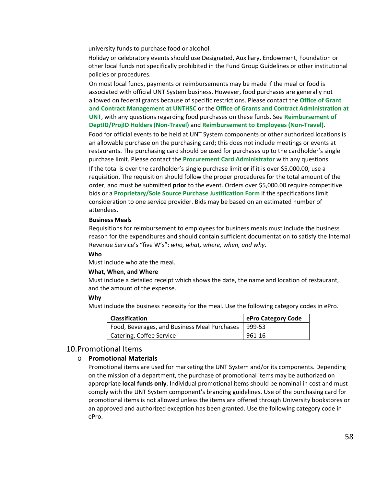university funds to purchase food or alcohol.

Holiday or celebratory events should use Designated, Auxiliary, Endowment, Foundation or other local funds not specifically prohibited in the Fund Group Guidelines or other institutional policies or procedures.

On most local funds, payments or reimbursements may be made if the meal or food is associated with official UNT System business. However, food purchases are generally not allowed on federal grants because of specific restrictions. Please contact the **[Office of Grant](https://www.unthsc.edu/research/grant-and-contract-management/)  [and Contract Management at UNTHSC](https://www.unthsc.edu/research/grant-and-contract-management/)** or the **[Office of Grants and Contract Administration at](https://research.unt.edu/faculty-resources/ogca)  [UNT](https://research.unt.edu/faculty-resources/ogca)**, with any questions regarding food purchases on these funds. See **[Reimbursement of](#page-54-1)  DeptID/ProjID [Holders \(Non-Travel\)](#page-54-1)** and **[Reimbursement to Employees \(Non-Travel\)](#page-54-0)**.

Food for official events to be held at UNT System components or other authorized locations is an allowable purchase on the purchasing card; this does not include meetings or events at restaurants. The purchasing card should be used for purchases up to the cardholder's single purchase limit. Please contact the **[Procurement Card Administrator](mailto:bsc@untsystem.edu)** with any questions. If the total is over the cardholder's single purchase limit **or** if it is over \$5,000.00, use a requisition. The requisition should follow the proper procedures for the total amount of the order, and must be submitted **prior** to the event. Orders over \$5,000.00 require competitive bids or a **[Proprietary/Sole Source Purchase Justification Form](http://www.untsystem.edu/sites/default/files/forms/procurement/proprietary_sole_source_purchase_justification.pdf)** if the specifications limit consideration to one service provider. Bids may be based on an estimated number of attendees.

#### **Business Meals**

Requisitions for reimbursement to employees for business meals must include the business reason for the expenditures and should contain sufficient documentation to satisfy the Internal Revenue Service's "five W's": *who, what, where, when, and why*.

#### **Who**

Must include who ate the meal.

#### **What, When, and Where**

Must include a detailed receipt which shows the date, the name and location of restaurant, and the amount of the expense.

#### **Why**

Must include the business necessity for the meal. Use the following category codes in ePro.

| <b>Classification</b>                        | ePro Category Code |
|----------------------------------------------|--------------------|
| Food, Beverages, and Business Meal Purchases | $1999-53$          |
| Catering, Coffee Service                     | 961-16             |

#### 10.Promotional Items

#### o **Promotional Materials**

Promotional items are used for marketing the UNT System and/or its components. Depending on the mission of a department, the purchase of promotional items may be authorized on appropriate **local funds only**. Individual promotional items should be nominal in cost and must comply with the UNT System component's branding guidelines. Use of the purchasing card for promotional items is not allowed unless the items are offered through University bookstores or an approved and authorized exception has been granted. Use the following category code in ePro.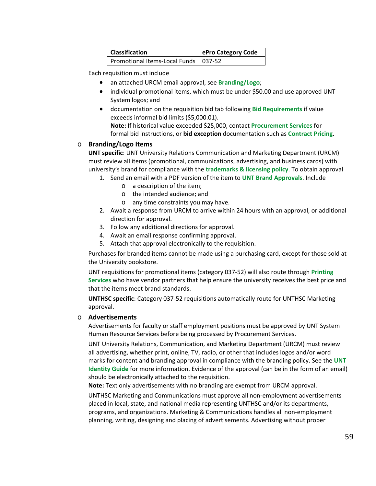| <b>Classification</b>                  | ePro Category Code |
|----------------------------------------|--------------------|
| Promotional Items-Local Funds   037-52 |                    |

Each requisition must include

- an attached URCM email approval, see **[Branding/Logo](#page-58-0)**;
- individual promotional items, which must be under \$50.00 and use approved UNT System logos; and
- documentation on the requisition bid tab following **[Bid Requirements](#page-26-0)** if value exceeds informal bid limits (\$5,000.01).

**Note:** If historical value exceeded \$25,000, contact **[Procurement Services](mailto:purchasing@untsystem.edu)** for formal bid instructions, or **bid exception** documentation such as **[Contract Pricing](https://www.untsystem.edu/hr-it-business-services/procurement/purchasing/cooperatives-and-contract-pricing)**.

# <span id="page-58-0"></span>o **Branding/Logo Items**

**UNT specific**: UNT University Relations Communication and Marketing Department (URCM) must review all items (promotional, communications, advertising, and business cards) with university's brand for compliance with the **[trademarks & licensing policy](http://licensing.unt.edu/policies)**. To obtain approval

- 1. Send an email with a PDF version of the item to **[UNT Brand Approvals](mailto:brandreview@unt.edu)**[.](mailto:brandreview@unt.edu) Include
	- o a description of the item;
	- o the intended audience; and
	- o any time constraints you may have.
- 2. Await a response from URCM to arrive within 24 hours with an approval, or additional direction for approval.
- 3. Follow any additional directions for approval.
- 4. Await an email response confirming approval.
- 5. Attach that approval electronically to the requisition.

Purchases for branded items cannot be made using a purchasing card, except for those sold at the University bookstore.

UNT requisitions for promotional items (category 037-52) will also route through **[Printing](http://printingservices.unt.edu/printing-services)  [Services](http://printingservices.unt.edu/printing-services)** who have vendor partners that help ensure the university receives the best price and that the items meet brand standards.

**UNTHSC specific**: Category 037-52 requisitions automatically route for UNTHSC Marketing approval.

# o **Advertisements**

Advertisements for faculty or staff employment positions must be approved by UNT System Human Resource Services before being processed by Procurement Services.

UNT University Relations, Communication, and Marketing Department (URCM) must review all advertising, whether print, online, TV, radio, or other that includes logos and/or word marks for content and branding approval in compliance with the branding policy. See the **[UNT](https://identityguide.unt.edu/)  [Identity Guide](https://identityguide.unt.edu/)** for more information. Evidence of the approval (can be in the form of an email) should be electronically attached to the requisition.

**Note:** Text only advertisements with no branding are exempt from URCM approval.

UNTHSC Marketing and Communications must approve all non-employment advertisements placed in local, state, and national media representing UNTHSC and/or its departments, programs, and organizations. Marketing & Communications handles all non-employment planning, writing, designing and placing of advertisements. Advertising without proper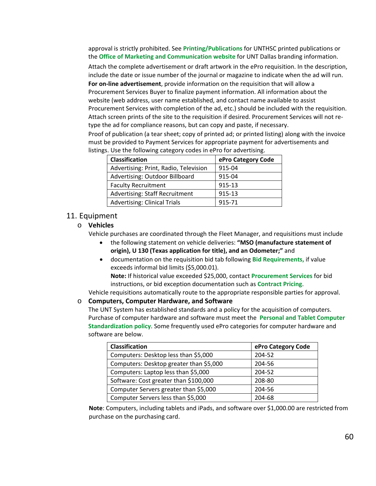approval is strictly prohibited. See **[Printing/Publications](#page-43-0)** for UNTHSC printed publications or the **[Office of Marketing and Communication website](http://www.untdallas.edu/marcom)** for UNT Dallas branding information.

Attach the complete advertisement or draft artwork in the ePro requisition. In the description, include the date or issue number of the journal or magazine to indicate when the ad will run.

**For on-line advertisement**, provide information on the requisition that will allow a Procurement Services Buyer to finalize payment information. All information about the website (web address, user name established, and contact name available to assist Procurement Services with completion of the ad, etc.) should be included with the requisition. Attach screen prints of the site to the requisition if desired. Procurement Services will not retype the ad for compliance reasons, but can copy and paste, if necessary.

Proof of publication (a tear sheet; copy of printed ad; or printed listing) along with the invoice must be provided to Payment Services for appropriate payment for advertisements and listings. Use the following category codes in ePro for advertising.

| <b>Classification</b>                 | ePro Category Code |
|---------------------------------------|--------------------|
| Advertising: Print, Radio, Television | 915-04             |
| Advertising: Outdoor Billboard        | 915-04             |
| <b>Faculty Recruitment</b>            | 915-13             |
| Advertising: Staff Recruitment        | 915-13             |
| <b>Advertising: Clinical Trials</b>   | 915-71             |

### 11. Equipment

# o **Vehicles**

Vehicle purchases are coordinated through the Fleet Manager, and requisitions must include

- the following statement on vehicle deliveries: **"MSO (manufacture statement of origin), U 130 (Texas application for title), and an Odometer;"** and
- documentation on the requisition bid tab following **[Bid Requirements,](#page-26-0)** if value exceeds informal bid limits (\$5,000.01).

**Note:** If historical value exceeded \$25,000, contact **[Procurement Services](mailto:purchasing@untsystem.edu)** for bid instructions, or bid exception documentation such as **[Contract Pricing](https://www.untsystem.edu/hr-it-business-services/procurement/purchasing/cooperatives-and-contract-pricing)**.

Vehicle requisitions automatically route to the appropriate responsible parties for approval.

### o **Computers, Computer Hardware, and Software**

The UNT System has established standards and a policy for the acquisition of computers. Purchase of computer hardware and software must meet the **[Personal and Tablet Computer](http://www.untsystem.edu/sites/default/files/01_About/06.2000_personal_and_tablet_computer_standardization_00095124.pdf)  [Standardization policy](http://www.untsystem.edu/sites/default/files/01_About/06.2000_personal_and_tablet_computer_standardization_00095124.pdf)**. Some frequently used ePro categories for computer hardware and software are below.

| <b>Classification</b>                   | ePro Category Code |
|-----------------------------------------|--------------------|
| Computers: Desktop less than \$5,000    | 204-52             |
| Computers: Desktop greater than \$5,000 | 204-56             |
| Computers: Laptop less than \$5,000     | 204-52             |
| Software: Cost greater than \$100,000   | 208-80             |
| Computer Servers greater than \$5,000   | 204-56             |
| Computer Servers less than \$5,000      | 204-68             |

**Note**: Computers, including tablets and iPads, and software over \$1,000.00 are restricted from purchase on the purchasing card.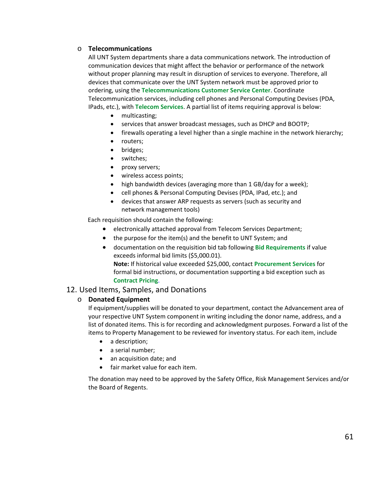# o **Telecommunications**

All UNT System departments share a data communications network. The introduction of communication devices that might affect the behavior or performance of the network without proper planning may result in disruption of services to everyone. Therefore, all devices that communicate over the UNT System network must be approved prior to ordering, using the **[Telecommunications Customer Service Center](http://telecomsupport.untsystem.edu/csc/csc/index)**. Coordinate Telecommunication services, including cell phones and Personal Computing Devises (PDA, IPads, etc.), with **[Telecom Services](mailto:telecom.support@untsystem.edu)**. A partial list of items requiring approval is below:

- multicasting;
- services that answer broadcast messages, such as DHCP and BOOTP;
- firewalls operating a level higher than a single machine in the network hierarchy;
- routers;
- bridges;
- switches;
- proxy servers;
- wireless access points;
- high bandwidth devices (averaging more than 1 GB/day for a week);
- cell phones & Personal Computing Devises (PDA, IPad, etc.); and
- devices that answer ARP requests as servers (such as security and network management tools)

Each requisition should contain the following:

- electronically attached approval from Telecom Services Department;
- the purpose for the item(s) and the benefit to UNT System; and
- documentation on the requisition bid tab following **[Bid Requirements](#page-26-0)** if value exceeds informal bid limits (\$5,000.01). **Note:** If historical value exceeded \$25,000, contact **[Procurement Services](mailto:purchasing@untsystem.edu)** for formal bid instructions, or documentation supporting a bid exception such as **[Contract Pricing](https://www.untsystem.edu/hr-it-business-services/procurement/purchasing/cooperatives-and-contract-pricing)**.

# 12. Used Items, Samples, and Donations

# o **Donated Equipment**

If equipment/supplies will be donated to your department, contact the Advancement area of your [respective UNT System component](http://giving.unt.edu/contact-us) in writing including the donor name, address, and a list of donated items. This is for recording and acknowledgment purposes. Forward a list of the items to Property Management to be reviewed for inventory status. For each item, include

- a description;
- a serial number;
- an acquisition date; and
- fair market value for each item.

The donation may need to be approved by the Safety Office, Risk Management Services and/or the Board of Regents.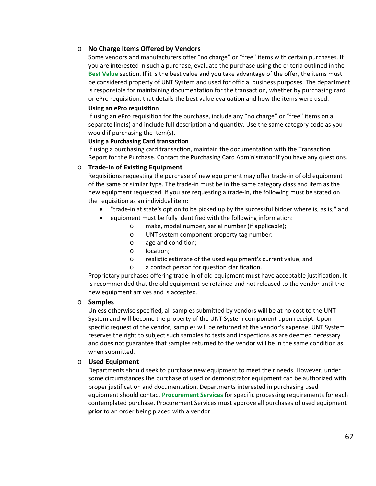### o **No Charge Items Offered by Vendors**

Some vendors and manufacturers offer "no charge" or "free" items with certain purchases. If you are interested in such a purchase, evaluate the purchase using the criteria outlined in the **[Best Value](#page-23-0)** section. If it is the best value and you take advantage of the offer, the items must be considered property of UNT System and used for official business purposes. The department is responsible for maintaining documentation for the transaction, whether by purchasing card or ePro requisition, that details the best value evaluation and how the items were used.

#### **Using an ePro requisition**

If using an ePro requisition for the purchase, include any "no charge" or "free" items on a separate line(s) and include full description and quantity. Use the same category code as you would if purchasing the item(s).

### **Using a Purchasing Card transaction**

If using a purchasing card transaction, maintain the documentation with the Transaction Report for the Purchase. Contact the Purchasing Card Administrator if you have any questions.

### o **Trade-In of Existing Equipment**

Requisitions requesting the purchase of new equipment may offer trade-in of old equipment of the same or similar type. The trade-in must be in the same category class and item as the new equipment requested. If you are requesting a trade-in, the following must be stated on the requisition as an individual item:

- "trade-in at state's option to be picked up by the successful bidder where is, as is;" and
- equipment must be fully identified with the following information:
	- o make, model number, serial number (if applicable);
	- o UNT system component property tag number;
	- o age and condition;
	- o location;
	- o realistic estimate of the used equipment's current value; and
	- o a contact person for question clarification.

Proprietary purchases offering trade-in of old equipment must have acceptable justification. It is recommended that the old equipment be retained and not released to the vendor until the new equipment arrives and is accepted.

#### o **Samples**

Unless otherwise specified, all samples submitted by vendors will be at no cost to the UNT System and will become the property of the UNT System component upon receipt. Upon specific request of the vendor, samples will be returned at the vendor's expense. UNT System reserves the right to subject such samples to tests and inspections as are deemed necessary and does not guarantee that samples returned to the vendor will be in the same condition as when submitted.

#### o **Used Equipment**

Departments should seek to purchase new equipment to meet their needs. However, under some circumstances the purchase of used or demonstrator equipment can be authorized with proper justification and documentation. Departments interested in purchasing used equipment should contact **[Procurement Services](mailto:purchasing@untsystem.edu)** for specific processing requirements for each contemplated purchase. Procurement Services must approve all purchases of used equipment **prior** to an order being placed with a vendor.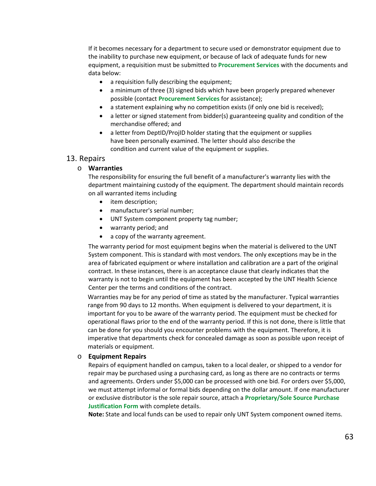If it becomes necessary for a department to secure used or demonstrator equipment due to the inability to purchase new equipment, or because of lack of adequate funds for new equipment, a requisition must be submitted to **[Procurement Services](mailto:purchasing@untsystem.edu)** with the documents and data below:

- a requisition fully describing the equipment;
- a minimum of three (3) signed bids which have been properly prepared whenever possible (contact **[Procurement Services](mailto:purchasing@untsystem.edu)** for assistance);
- a statement explaining why no competition exists (if only one bid is received);
- a letter or signed statement from bidder(s) guaranteeing quality and condition of the merchandise offered; and
- a letter from DeptID/ProjID holder stating that the equipment or supplies have been personally examined. The letter should also describe the condition and current value of the equipment or supplies.

### 13. Repairs

#### o **Warranties**

The responsibility for ensuring the full benefit of a manufacturer's warranty lies with the department maintaining custody of the equipment. The department should maintain records on all warranted items including

- item description;
- manufacturer's serial number;
- UNT System component property tag number;
- warranty period; and
- a copy of the warranty agreement.

The warranty period for most equipment begins when the material is delivered to the UNT System component. This is standard with most vendors. The only exceptions may be in the area of fabricated equipment or where installation and calibration are a part of the original contract. In these instances, there is an acceptance clause that clearly indicates that the warranty is not to begin until the equipment has been accepted by the UNT Health Science Center per the terms and conditions of the contract.

Warranties may be for any period of time as stated by the manufacturer. Typical warranties range from 90 days to 12 months. When equipment is delivered to your department, it is important for you to be aware of the warranty period. The equipment must be checked for operational flaws prior to the end of the warranty period. If this is not done, there is little that can be done for you should you encounter problems with the equipment. Therefore, it is imperative that departments check for concealed damage as soon as possible upon receipt of materials or equipment.

#### o **Equipment Repairs**

Repairs of equipment handled on campus, taken to a local dealer, or shipped to a vendor for repair may be purchased using a purchasing card, as long as there are no contracts or terms and agreements. Orders under \$5,000 can be processed with one bid. For orders over \$5,000, we must attempt informal or formal bids depending on the dollar amount. If one manufacturer or exclusive distributor is the sole repair source, attach a **[Proprietary/Sole Source Purchase](http://www.untsystem.edu/sites/default/files/forms/procurement/proprietary_sole_source_purchase_justification.pdf)  [Justification Form](http://www.untsystem.edu/sites/default/files/forms/procurement/proprietary_sole_source_purchase_justification.pdf)** with complete details.

**Note:** State and local funds can be used to repair only UNT System component owned items.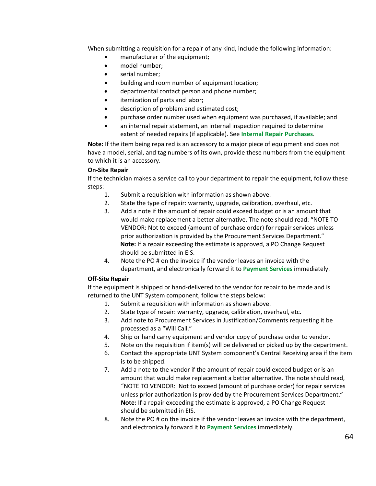When submitting a requisition for a repair of any kind, include the following information:

- manufacturer of the equipment;
- model number;
- serial number;
- building and room number of equipment location;
- departmental contact person and phone number;
- itemization of parts and labor;
- description of problem and estimated cost;
- purchase order number used when equipment was purchased, if available; and
- an internal repair statement, an internal inspection required to determine extent of needed repairs (if applicable). See **[Internal Repair Purchases](#page-64-0)**.

**Note:** If the item being repaired is an accessory to a major piece of equipment and does not have a model, serial, and tag numbers of its own, provide these numbers from the equipment to which it is an accessory.

### **On-Site Repair**

If the technician makes a service call to your department to repair the equipment, follow these steps:

- 1. Submit a requisition with information as shown above.
- 2. State the type of repair: warranty, upgrade, calibration, overhaul, etc.
- 3. Add a note if the amount of repair could exceed budget or is an amount that would make replacement a better alternative. The note should read: "NOTE TO VENDOR: Not to exceed (amount of purchase order) for repair services unless prior authorization is provided by the Procurement Services Department." **Note:** If a repair exceeding the estimate is approved, a PO Change Request should be submitted in EIS.
- 4. Note the PO # on the invoice if the vendor leaves an invoice with the department, and electronically forward it to **[Payment](mailto:invoices@untsystem.edu) Services** immediately.

#### **Off-Site Repair**

If the equipment is shipped or hand-delivered to the vendor for repair to be made and is returned to the UNT System component, follow the steps below:

- 1. Submit a requisition with information as shown above.
- 2. State type of repair: warranty, upgrade, calibration, overhaul, etc.
- 3. Add note to Procurement Services in Justification/Comments requesting it be processed as a "Will Call."
- 4. Ship or hand carry equipment and vendor copy of purchase order to vendor.
- 5. Note on the requisition if item(s) will be delivered or picked up by the department.
- 6. Contact the appropriate UNT System component's Central Receiving area if the item is to be shipped.
- 7. Add a note to the vendor if the amount of repair could exceed budget or is an amount that would make replacement a better alternative. The note should read, "NOTE TO VENDOR: Not to exceed (amount of purchase order) for repair services unless prior authorization is provided by the Procurement Services Department." **Note:** If a repair exceeding the estimate is approved, a PO Change Request should be submitted in EIS.
- 8. Note the PO # on the invoice if the vendor leaves an invoice with the department, and electronically forward it to **[Payment Services](mailto:invoices@untsystem.edu)** immediately.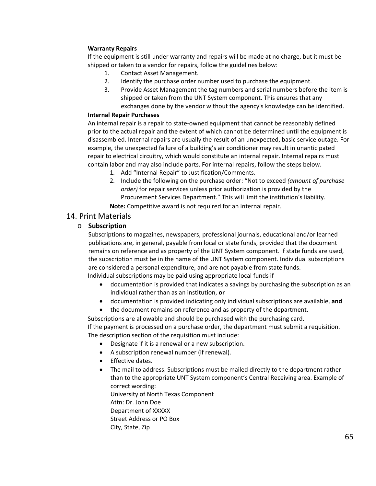### **Warranty Repairs**

If the equipment is still under warranty and repairs will be made at no charge, but it must be shipped or taken to a vendor for repairs, follow the guidelines below:

- 1. Contact Asset Management.
- 2. Identify the purchase order number used to purchase the equipment.
- 3. Provide Asset Management the tag numbers and serial numbers before the item is shipped or taken from the UNT System component. This ensures that any exchanges done by the vendor without the agency's knowledge can be identified.

#### <span id="page-64-0"></span>**Internal Repair Purchases**

An internal repair is a repair to state-owned equipment that cannot be reasonably defined prior to the actual repair and the extent of which cannot be determined until the equipment is disassembled. Internal repairs are usually the result of an unexpected, basic service outage. For example, the unexpected failure of a building's air conditioner may result in unanticipated repair to electrical circuitry, which would constitute an internal repair. Internal repairs must contain labor and may also include parts. For internal repairs, follow the steps below.

- 1. Add "Internal Repair" to Justification/Comments.
- 2. Include the following on the purchase order: "Not to exceed *(amount of purchase order)* for repair services unless prior authorization is provided by the Procurement Services Department." This will limit the institution's liability.

**Note:** Competitive award is not required for an internal repair.

# 14. Print Materials

# o **Subscription**

Subscriptions to magazines, newspapers, professional journals, educational and/or learned publications are, in general, payable from local or state funds, provided that the document remains on reference and as property of the UNT System component. If state funds are used, the subscription must be in the name of the UNT System component. Individual subscriptions are considered a personal expenditure, and are not payable from state funds. Individual subscriptions may be paid using appropriate local funds if

• documentation is provided that indicates a savings by purchasing the subscription as an individual rather than as an institution, **or**

- documentation is provided indicating only individual subscriptions are available, **and**
- the document remains on reference and as property of the department.

Subscriptions are allowable and should be purchased with the purchasing card.

If the payment is processed on a purchase order, the department must submit a requisition. The description section of the requisition must include:

- Designate if it is a renewal or a new subscription.
- A subscription renewal number (if renewal).
- Effective dates.
- The mail to address. Subscriptions must be mailed directly to the department rather than to the appropriate UNT System component's Central Receiving area. Example of correct wording: University of North Texas Component

Attn: Dr. John Doe Department of XXXXX Street Address or PO Box City, State, Zip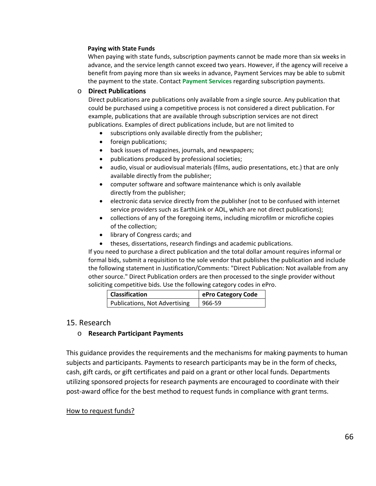#### **Paying with State Funds**

When paying with state funds, subscription payments cannot be made more than six weeks in advance, and the service length cannot exceed two years. However, if the agency will receive a benefit from paying more than six weeks in advance, Payment Services may be able to submit the payment to the state. Contact **[Payment Services](mailto:invoices@untsystem.edu)** regarding subscription payments.

### o **Direct Publications**

Direct publications are publications only available from a single source. Any publication that could be purchased using a competitive process is not considered a direct publication. For example, publications that are available through subscription services are not direct publications. Examples of direct publications include, but are not limited to

- subscriptions only available directly from the publisher;
- foreign publications;
- back issues of magazines, journals, and newspapers;
- publications produced by professional societies;
- audio, visual or audiovisual materials (films, audio presentations, etc.) that are only available directly from the publisher;
- computer software and software maintenance which is only available directly from the publisher;
- electronic data service directly from the publisher (not to be confused with internet service providers such as EarthLink or AOL, which are not direct publications);
- collections of any of the foregoing items, including microfilm or microfiche copies of the collection;
- library of Congress cards; and
- theses, dissertations, research findings and academic publications.

If you need to purchase a direct publication and the total dollar amount requires informal or formal bids, submit a requisition to the sole vendor that publishes the publication and include the following statement in Justification/Comments: "Direct Publication: Not available from any other source." Direct Publication orders are then processed to the single provider without soliciting competitive bids. Use the following category codes in ePro.

| <b>Classification</b>                | ePro Category Code |
|--------------------------------------|--------------------|
| <b>Publications, Not Advertising</b> | 966-59             |

# 15. Research

# o **Research Participant Payments**

This guidance provides the requirements and the mechanisms for making payments to human subjects and participants. Payments to research participants may be in the form of checks, cash, gift cards, or gift certificates and paid on a grant or other local funds. Departments utilizing sponsored projects for research payments are encouraged to coordinate with their post-award office for the best method to request funds in compliance with grant terms.

#### How to request funds?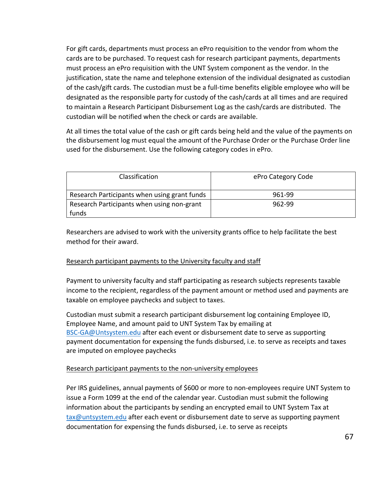For gift cards, departments must process an ePro requisition to the vendor from whom the cards are to be purchased. To request cash for research participant payments, departments must process an ePro requisition with the UNT System component as the vendor. In the justification, state the name and telephone extension of the individual designated as custodian of the cash/gift cards. The custodian must be a full-time benefits eligible employee who will be designated as the responsible party for custody of the cash/cards at all times and are required to maintain a Research Participant Disbursement Log as the cash/cards are distributed. The custodian will be notified when the check or cards are available.

At all times the total value of the cash or gift cards being held and the value of the payments on the disbursement log must equal the amount of the Purchase Order or the Purchase Order line used for the disbursement. Use the following category codes in ePro.

| Classification                               | ePro Category Code |
|----------------------------------------------|--------------------|
| Research Participants when using grant funds | 961-99             |
| Research Participants when using non-grant   | 962-99             |
| funds                                        |                    |

Researchers are advised to work with the university grants office to help facilitate the best method for their award.

# Research participant payments to the University faculty and staff

Payment to university faculty and staff participating as research subjects represents taxable income to the recipient, regardless of the payment amount or method used and payments are taxable on employee paychecks and subject to taxes.

Custodian must submit a research participant disbursement log containing Employee ID, Employee Name, and amount paid to UNT System Tax by emailing at [BSC-GA@Untsystem.edu](mailto:BSC-GA@Untsystem.edu) after each event or disbursement date to serve as supporting payment documentation for expensing the funds disbursed, i.e. to serve as receipts and taxes are imputed on employee paychecks

# Research participant payments to the non-university employees

Per IRS guidelines, annual payments of \$600 or more to non-employees require UNT System to issue a Form 1099 at the end of the calendar year. Custodian must submit the following information about the participants by sending an encrypted email to UNT System Tax at [tax@untsystem.edu](mailto:tax@untsystem.edu) after each event or disbursement date to serve as supporting payment documentation for expensing the funds disbursed, i.e. to serve as receipts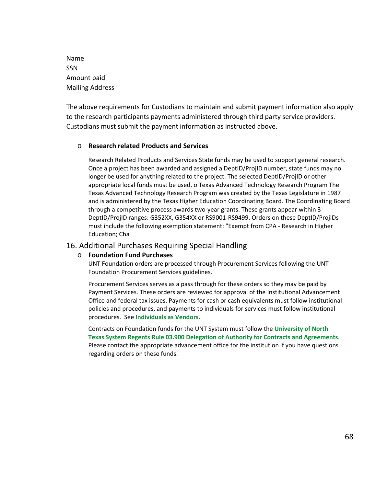Name SSN Amount paid Mailing Address

The above requirements for Custodians to maintain and submit payment information also apply to the research participants payments administered through third party service providers. Custodians must submit the payment information as instructed above.

### o **Research related Products and Services**

Research Related Products and Services State funds may be used to support general research. Once a project has been awarded and assigned a DeptID/ProjID number, state funds may no longer be used for anything related to the project. The selected DeptID/ProjID or other appropriate local funds must be used. o Texas Advanced Technology Research Program The Texas Advanced Technology Research Program was created by the Texas Legislature in 1987 and is administered by the Texas Higher Education Coordinating Board. The Coordinating Board through a competitive process awards two-year grants. These grants appear within 3 DeptID/ProjID ranges: G352XX, G354XX or RS9001-RS9499. Orders on these DeptID/ProjIDs must include the following exemption statement: "Exempt from CPA - Research in Higher Education; Cha

# 16. Additional Purchases Requiring Special Handling

#### o **Foundation Fund Purchases**

UNT Foundation orders are processed through Procurement Services following the UNT Foundation Procurement Services guidelines.

Procurement Services serves as a pass through for these orders so they may be paid by Payment Services. These orders are reviewed for approval of the Institutional Advancement Office and federal tax issues. Payments for cash or cash equivalents must follow institutional policies and procedures, and payments to individuals for services must follow institutional procedures. See **[Individuals as Vendors](#page-13-0)**.

Contracts on Foundation funds for the UNT System must follow the **[University of North](https://www.untsystem.edu/sites/default/files/forms/board-of-regents/rr_03.900_delegation_of_authority_for_contracts_and_agreements_00159622xc146b.pdf)  [Texas System Regents Rule 03.900 Delegation of](https://www.untsystem.edu/sites/default/files/forms/board-of-regents/rr_03.900_delegation_of_authority_for_contracts_and_agreements_00159622xc146b.pdf) Authority for Contracts and Agreements**. Please contact the appropriate advancement office for the institution if you have questions regarding orders on these funds.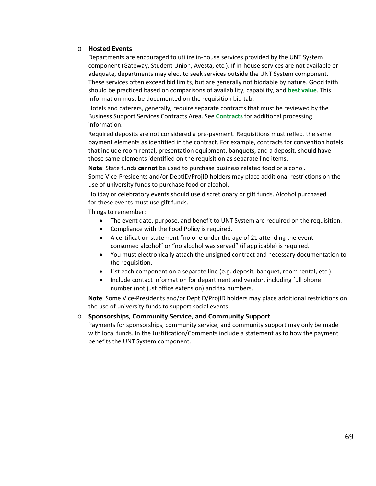#### o **Hosted Events**

Departments are encouraged to utilize in-house services provided by the UNT System component (Gateway, Student Union, Avesta, etc.). If in-house services are not available or adequate, departments may elect to seek services outside the UNT System component. These services often exceed bid limits, but are generally not biddable by nature. Good faith should be practiced based on comparisons of availability, capability, and **[best value](#page-23-0)**. This information must be documented on the requisition bid tab.

Hotels and caterers, generally, require separate contracts that must be reviewed by the Business Support Services Contracts Area. See **[Contracts](#page-33-0)** for additional processing information.

Required deposits are not considered a pre-payment. Requisitions must reflect the same payment elements as identified in the contract. For example, contracts for convention hotels that include room rental, presentation equipment, banquets, and a deposit, should have those same elements identified on the requisition as separate line items.

**Note**: State funds **cannot** be used to purchase business related food or alcohol. Some Vice-Presidents and/or DeptID/ProjID holders may place additional restrictions on the use of university funds to purchase food or alcohol.

Holiday or celebratory events should use discretionary or gift funds. Alcohol purchased for these events must use gift funds.

Things to remember:

- The event date, purpose, and benefit to UNT System are required on the requisition.
- Compliance with the Food Policy is required.
- A certification statement "no one under the age of 21 attending the event consumed alcohol" or "no alcohol was served" (if applicable) is required.
- You must electronically attach the unsigned contract and necessary documentation to the requisition.
- List each component on a separate line (e.g. deposit, banquet, room rental, etc.).
- Include contact information for department and vendor, including full phone number (not just office extension) and fax numbers.

**Note**: Some Vice-Presidents and/or DeptID/ProjID holders may place additional restrictions on the use of university funds to support social events.

# o **Sponsorships, Community Service, and Community Support**

Payments for sponsorships, community service, and community support may only be made with local funds. In the Justification/Comments include a statement as to how the payment benefits the UNT System component.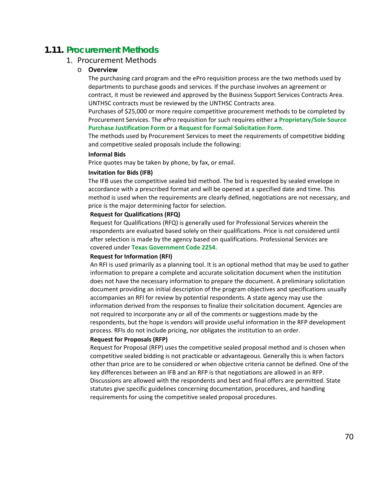# **1.11. Procurement Methods**

# 1. Procurement Methods

#### o **Overview**

The purchasing card program and the ePro requisition process are the two methods used by departments to purchase goods and services. If the purchase involves an agreement or contract, it must be reviewed and approved by the Business Support Services Contracts Area. UNTHSC contracts must be reviewed by the UNTHSC Contracts area.

Purchases of \$25,000 or more require competitive procurement methods to be completed by Procurement Services. The ePro requisition for such requires either a **[Proprietary/Sole Source](http://www.untsystem.edu/sites/default/files/forms/procurement/proprietary_sole_source_purchase_justification.pdf)  [Purchase Justification Form](http://www.untsystem.edu/sites/default/files/forms/procurement/proprietary_sole_source_purchase_justification.pdf)** or a **[Request for Formal Solicitation Form](https://www.untsystem.edu/sites/default/files/forms/procurement/request_for_formal_solicitation.pdf)**.

The methods used by Procurement Services to meet the requirements of competitive bidding and competitive sealed proposals include the following:

#### **Informal Bids**

Price quotes may be taken by phone, by fax, or email.

#### **Invitation for Bids (IFB)**

The IFB uses the competitive sealed bid method. The bid is requested by sealed envelope in accordance with a prescribed format and will be opened at a specified date and time. This method is used when the requirements are clearly defined, negotiations are not necessary, and price is the major determining factor for selection.

#### **Request for Qualifications (RFQ)**

Request for Qualifications (RFQ) is generally used for Professional Services wherein the respondents are evaluated based solely on their qualifications. Price is not considered until after selection is made by the agency based on qualifications. Professional Services are covered under **[Texas Government Code 2254](http://www.statutes.legis.state.tx.us/Docs/GV/htm/GV.2254.htm)**.

#### **Request for Information (RFI)**

An RFI is used primarily as a planning tool. It is an optional method that may be used to gather information to prepare a complete and accurate solicitation document when the institution does not have the necessary information to prepare the document. A preliminary solicitation document providing an initial description of the program objectives and specifications usually accompanies an RFI for review by potential respondents. A state agency may use the information derived from the responses to finalize their solicitation document. Agencies are not required to incorporate any or all of the comments or suggestions made by the respondents, but the hope is vendors will provide useful information in the RFP development process. RFIs do not include pricing, nor obligates the institution to an order.

#### **Request for Proposals (RFP)**

Request for Proposal (RFP) uses the competitive sealed proposal method and is chosen when competitive sealed bidding is not practicable or advantageous. Generally this is when factors other than price are to be considered or when objective criteria cannot be defined. One of the key differences between an IFB and an RFP is that negotiations are allowed in an RFP. Discussions are allowed with the respondents and best and final offers are permitted. State statutes give specific guidelines concerning documentation, procedures, and handling requirements for using the competitive sealed proposal procedures.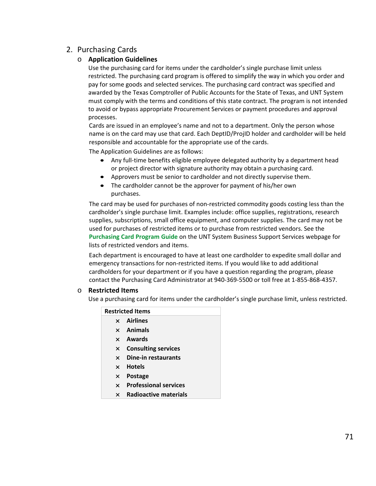# 2. Purchasing Cards

# o **Application Guidelines**

Use the purchasing card for items under the cardholder's single purchase limit unless restricted. The purchasing card program is offered to simplify the way in which you order and pay for some goods and selected services. The purchasing card contract was specified and awarded by the Texas Comptroller of Public Accounts for the State of Texas, and UNT System must comply with the terms and conditions of this state contract. The program is not intended to avoid or bypass appropriate Procurement Services or payment procedures and approval processes.

Cards are issued in an employee's name and not to a department. Only the person whose name is on the card may use that card. Each DeptID/ProjID holder and cardholder will be held responsible and accountable for the appropriate use of the cards.

The Application Guidelines are as follows:

- Any full-time benefits eligible employee delegated authority by a department head or project director with signature authority may obtain a purchasing card.
- Approvers must be senior to cardholder and not directly supervise them.
- The cardholder cannot be the approver for payment of his/her own purchases.

The card may be used for purchases of non-restricted commodity goods costing less than the cardholder's single purchase limit. Examples include: office supplies, registrations, research supplies, subscriptions, small office equipment, and computer supplies. The card may not be used for purchases of restricted items or to purchase from restricted vendors. See the **Purchasing [Card Program Guide](https://www.untsystem.edu/hr-it-business-services/procurement/purchasing/purchasing-card-guide-sections)** on the UNT System Business Support Services webpage for lists of restricted vendors and items.

Each department is encouraged to have at least one cardholder to expedite small dollar and emergency transactions for non-restricted items. If you would like to add additional cardholders for your department or if you have a question regarding the program, please contact the Purchasing Card Administrator at 940-369-5500 or toll free at 1-855-868-4357.

# o **Restricted Items**

Use a purchasing card for items under the cardholder's single purchase limit, unless restricted.

|              | <b>Restricted Items</b>      |
|--------------|------------------------------|
|              | $\times$ Airlines            |
|              | $\times$ Animals             |
|              | $\times$ Awards              |
| X            | <b>Consulting services</b>   |
| $\mathsf{x}$ | Dine-in restaurants          |
|              | $\times$ Hotels              |
| $\times$     | <b>Postage</b>               |
| $\mathsf{x}$ | <b>Professional services</b> |
| $\times$     | Radioactive materials        |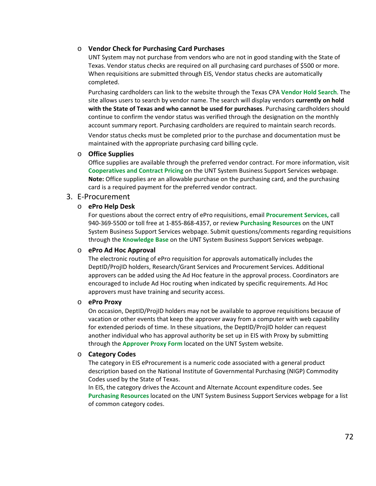### o **Vendor Check for Purchasing Card Purchases**

UNT System may not purchase from vendors who are not in good standing with the State of Texas. Vendor status checks are required on all purchasing card purchases of \$500 or more. When requisitions are submitted through EIS, Vendor status checks are automatically completed.

Purchasing cardholders can link to the website through the Texas CPA **[Vendor Hold Search](https://fmcpa.cpa.state.tx.us/tpis/search.html)**. The site allows users to search by vendor name. The search will display vendors **currently on hold with the State of Texas and who cannot be used for purchases**. Purchasing cardholders should continue to confirm the vendor status was verified through the designation on the monthly account summary report. Purchasing cardholders are required to maintain search records.

Vendor status checks must be completed prior to the purchase and documentation must be maintained with the appropriate purchasing card billing cycle.

### o **Office Supplies**

Office supplies are available through the preferred vendor contract. For more information, visit **[Cooperatives and Contract Pricing](https://www.untsystem.edu/hr-it-business-services/procurement/purchasing/cooperatives-and-contract-pricing)** on the UNT System Business Support Services webpage. **Note:** Office supplies are an allowable purchase on the purchasing card, and the purchasing card is a required payment for the preferred vendor contract.

# 3. E-Procurement

### o **ePro Help Desk**

For questions about the correct entry of ePro requisitions, email **[Procurement Services,](mailto:purchasing@untsystem.edu)** call 940-369-5500 or toll free at 1-855-868-4357, or review **[Purchasing](https://www.untsystem.edu/hr-it-business-services/procurement/purchasing/purchasing-resources) Resources** on the UNT System Business Support Services webpage. Submit questions/comments regarding requisitions through the **Knowledge Base** [on the UNT System Business Support Services](https://www.untsystem.edu/hr-it-business-services/business-support-services/knowledge-base) webpage.

# o **ePro Ad Hoc Approval**

The electronic routing of ePro requisition for approvals automatically includes the DeptID/ProjID holders, Research/Grant Services and Procurement Services. Additional approvers can be added using the Ad Hoc feature in the approval process. Coordinators are encouraged to include Ad Hoc routing when indicated by specific requirements. Ad Hoc approvers must have training and security access.

#### o **ePro Proxy**

On occasion, DeptID/ProjID holders may not be available to approve requisitions because of vacation or other events that keep the approver away from a computer with web capability for extended periods of time. In these situations, the DeptID/ProjID holder can request another individual who has approval authority be set up in EIS with Proxy by submitting through the **[Approver Proxy Form](https://www.untsystem.edu/approver-proxy)** located on the UNT System website.

#### o **Category Codes**

The category in EIS eProcurement is a numeric code associated with a general product description based on the National Institute of Governmental Purchasing (NIGP) Commodity Codes used by the State of Texas.

In EIS, the category drives the Account and Alternate Account expenditure codes. See **[Purchasing Resources](https://www.untsystem.edu/hr-it-business-services/procurement/purchasing/purchasing-resources)** located on the UNT System Business Support Services webpage for a list of common category codes.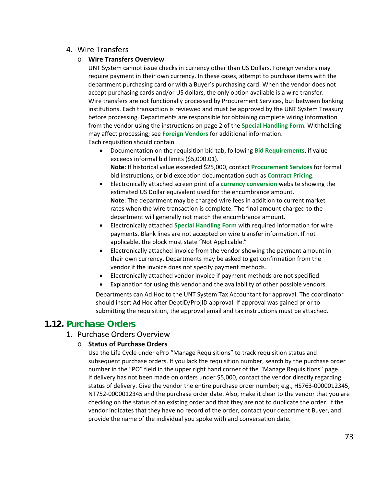# 4. Wire Transfers

# o **Wire Transfers Overview**

UNT System cannot issue checks in currency other than US Dollars. Foreign vendors may require payment in their own currency. In these cases, attempt to purchase items with the department purchasing card or with a Buyer's purchasing card. When the vendor does not accept purchasing cards and/or US dollars, the only option available is a wire transfer. Wire transfers are not functionally processed by Procurement Services, but between banking institutions. Each transaction is reviewed and must be approved by the UNT System Treasury before processing. Departments are responsible for obtaining complete wiring information from the vendor using the instructions on page 2 of the **[Special Handling Form](https://www.untsystem.edu/sites/default/files/forms/procurement/special_handling_form_0.pdf)**. Withholding may affect processing; see **[Foreign Vendors](https://www.untsystem.edu/hr-it-business-services/procurement/purchasing/payment/payment-functions)** for additional information. Each requisition should contain

- Documentation on the requisition bid tab, following **[Bid Requirements](#page-26-0)**, if value exceeds informal bid limits (\$5,000.01). **Note:** If historical value exceeded \$25,000, contact **[Procurement Services](mailto:purchasing@untsystem.edu)** for formal bid instructions, or bid exception documentation such as **[Contract Pricing](https://www.untsystem.edu/hr-it-business-services/procurement/purchasing/cooperatives-and-contract-pricing)**.
- Electronically attached screen print of a **[currency conversion](http://www.oanda.com/currency/converter/)** website showing the estimated US Dollar equivalent used for the encumbrance amount. **Note**: The department may be charged wire fees in addition to current market rates when the wire transaction is complete. The final amount charged to the department will generally not match the encumbrance amount.
- Electronically attached **[Special Handling](https://www.untsystem.edu/sites/default/files/forms/procurement/special_handling_form_0.pdf) Form** with required information for wire payments. Blank lines are not accepted on wire transfer information. If not applicable, the block must state "Not Applicable."
- Electronically attached invoice from the vendor showing the payment amount in their own currency. Departments may be asked to get confirmation from the vendor if the invoice does not specify payment methods.
- Electronically attached vendor invoice if payment methods are not specified.
- Explanation for using this vendor and the availability of other possible vendors.

Departments can Ad Hoc to the UNT System Tax Accountant for approval. The coordinator should insert Ad Hoc after DeptID/ProjID approval. If approval was gained prior to submitting the requisition, the approval email and tax instructions must be attached.

# **1.12. Purchase Orders**

# 1. Purchase Orders Overview

## o **Status of Purchase Orders**

Use the Life Cycle under ePro "Manage Requisitions" to track requisition status and subsequent purchase orders. If you lack the requisition number, search by the purchase order number in the "PO" field in the upper right hand corner of the "Manage Requisitions" page. If delivery has not been made on orders under \$5,000, contact the vendor directly regarding status of delivery. Give the vendor the entire purchase order number; e.g., HS763-0000012345, NT752-0000012345 and the purchase order date. Also, make it clear to the vendor that you are checking on the status of an existing order and that they are not to duplicate the order. If the vendor indicates that they have no record of the order, contact your department Buyer, and provide the name of the individual you spoke with and conversation date.